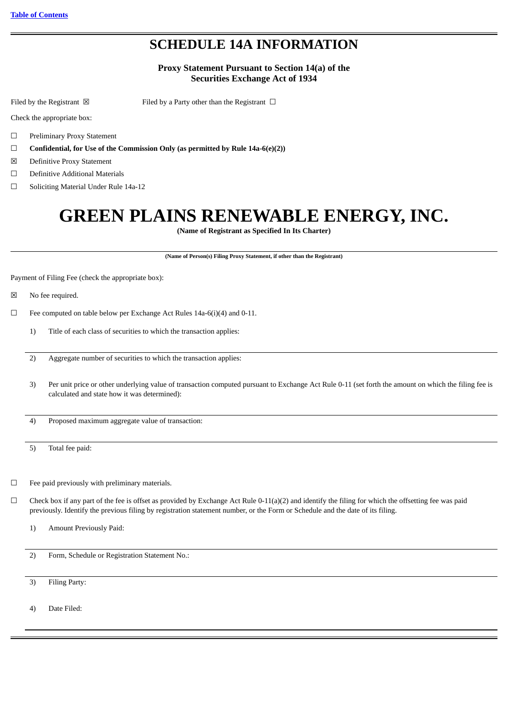# **SCHEDULE 14A INFORMATION**

### **Proxy Statement Pursuant to Section 14(a) of the Securities Exchange Act of 1934**

Filed by the Registrant  $\boxtimes$  Filed by a Party other than the Registrant  $\Box$ 

Check the appropriate box:

- ☐ Preliminary Proxy Statement
- ☐ **Confidential, for Use of the Commission Only (as permitted by Rule 14a-6(e)(2))**
- ☒ Definitive Proxy Statement
- ☐ Definitive Additional Materials
- ☐ Soliciting Material Under Rule 14a-12

# **GREEN PLAINS RENEWABLE ENERGY, INC.**

**(Name of Registrant as Specified In Its Charter)**

**(Name of Person(s) Filing Proxy Statement, if other than the Registrant)**

Payment of Filing Fee (check the appropriate box):

- ☒ No fee required.
- $\Box$  Fee computed on table below per Exchange Act Rules 14a-6(i)(4) and 0-11.
	- 1) Title of each class of securities to which the transaction applies:
	- 2) Aggregate number of securities to which the transaction applies:
	- 3) Per unit price or other underlying value of transaction computed pursuant to Exchange Act Rule 0-11 (set forth the amount on which the filing fee is calculated and state how it was determined):

4) Proposed maximum aggregate value of transaction:

- 5) Total fee paid:
- $\Box$  Fee paid previously with preliminary materials.
- $\Box$  Check box if any part of the fee is offset as provided by Exchange Act Rule 0-11(a)(2) and identify the filing for which the offsetting fee was paid previously. Identify the previous filing by registration statement number, or the Form or Schedule and the date of its filing.
	- 1) Amount Previously Paid:

2) Form, Schedule or Registration Statement No.:

3) Filing Party:

4) Date Filed: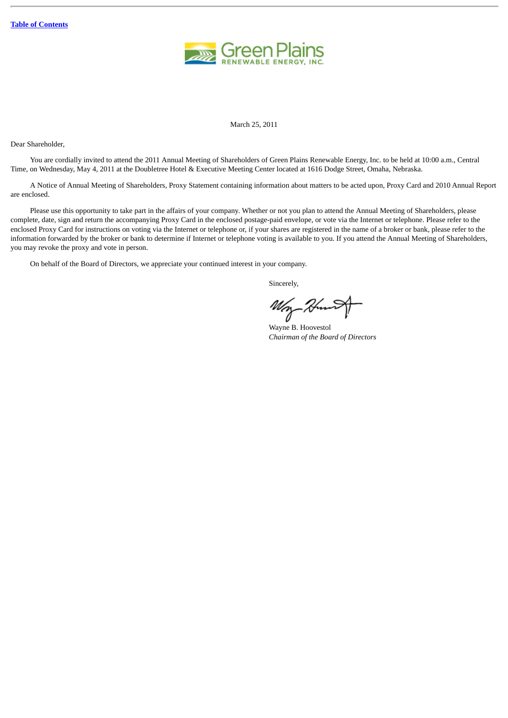

March 25, 2011

Dear Shareholder,

You are cordially invited to attend the 2011 Annual Meeting of Shareholders of Green Plains Renewable Energy, Inc. to be held at 10:00 a.m., Central Time, on Wednesday, May 4, 2011 at the Doubletree Hotel & Executive Meeting Center located at 1616 Dodge Street, Omaha, Nebraska.

A Notice of Annual Meeting of Shareholders, Proxy Statement containing information about matters to be acted upon, Proxy Card and 2010 Annual Report are enclosed.

Please use this opportunity to take part in the affairs of your company. Whether or not you plan to attend the Annual Meeting of Shareholders, please complete, date, sign and return the accompanying Proxy Card in the enclosed postage-paid envelope, or vote via the Internet or telephone. Please refer to the enclosed Proxy Card for instructions on voting via the Internet or telephone or, if your shares are registered in the name of a broker or bank, please refer to the information forwarded by the broker or bank to determine if Internet or telephone voting is available to you. If you attend the Annual Meeting of Shareholders, you may revoke the proxy and vote in person.

On behalf of the Board of Directors, we appreciate your continued interest in your company.

Sincerely,

Wry

Wayne B. Hoovestol *Chairman of the Board of Directors*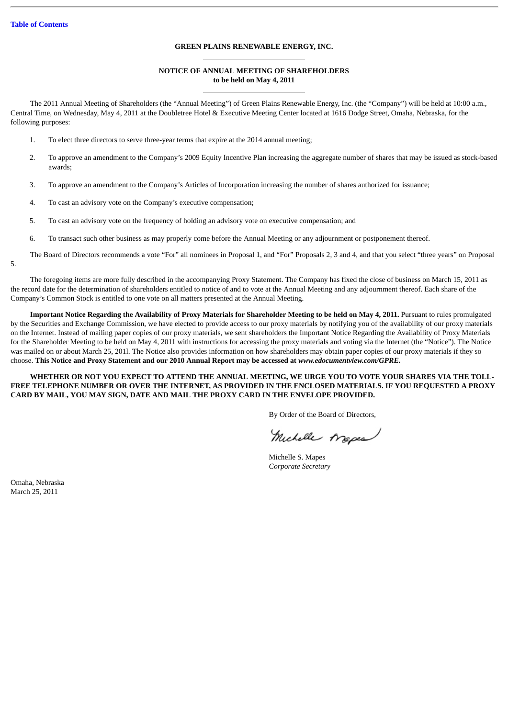### **GREEN PLAINS RENEWABLE ENERGY, INC.**

### **NOTICE OF ANNUAL MEETING OF SHAREHOLDERS to be held on May 4, 2011**

The 2011 Annual Meeting of Shareholders (the "Annual Meeting") of Green Plains Renewable Energy, Inc. (the "Company") will be held at 10:00 a.m., Central Time, on Wednesday, May 4, 2011 at the Doubletree Hotel & Executive Meeting Center located at 1616 Dodge Street, Omaha, Nebraska, for the following purposes:

- 1. To elect three directors to serve three-year terms that expire at the 2014 annual meeting;
- 2. To approve an amendment to the Company's 2009 Equity Incentive Plan increasing the aggregate number of shares that may be issued as stock-based awards;
- 3. To approve an amendment to the Company's Articles of Incorporation increasing the number of shares authorized for issuance;
- 4. To cast an advisory vote on the Company's executive compensation;
- 5. To cast an advisory vote on the frequency of holding an advisory vote on executive compensation; and
- 6. To transact such other business as may properly come before the Annual Meeting or any adjournment or postponement thereof.
- The Board of Directors recommends a vote "For" all nominees in Proposal 1, and "For" Proposals 2, 3 and 4, and that you select "three years" on Proposal 5.

The foregoing items are more fully described in the accompanying Proxy Statement. The Company has fixed the close of business on March 15, 2011 as the record date for the determination of shareholders entitled to notice of and to vote at the Annual Meeting and any adjournment thereof. Each share of the Company's Common Stock is entitled to one vote on all matters presented at the Annual Meeting.

**Important Notice Regarding the Availability of Proxy Materials for Shareholder Meeting to be held on May 4, 2011.** Pursuant to rules promulgated by the Securities and Exchange Commission, we have elected to provide access to our proxy materials by notifying you of the availability of our proxy materials on the Internet. Instead of mailing paper copies of our proxy materials, we sent shareholders the Important Notice Regarding the Availability of Proxy Materials for the Shareholder Meeting to be held on May 4, 2011 with instructions for accessing the proxy materials and voting via the Internet (the "Notice"). The Notice was mailed on or about March 25, 201l. The Notice also provides information on how shareholders may obtain paper copies of our proxy materials if they so choose. **This Notice and Proxy Statement and our 2010 Annual Report may be accessed at** *www.edocumentview.com/GPRE.*

### **WHETHER OR NOT YOU EXPECT TO ATTEND THE ANNUAL MEETING, WE URGE YOU TO VOTE YOUR SHARES VIA THE TOLL-FREE TELEPHONE NUMBER OR OVER THE INTERNET, AS PROVIDED IN THE ENCLOSED MATERIALS. IF YOU REQUESTED A PROXY CARD BY MAIL, YOU MAY SIGN, DATE AND MAIL THE PROXY CARD IN THE ENVELOPE PROVIDED.**

By Order of the Board of Directors,

Michelle Arapes

Michelle S. Mapes *Corporate Secretary*

Omaha, Nebraska March 25, 2011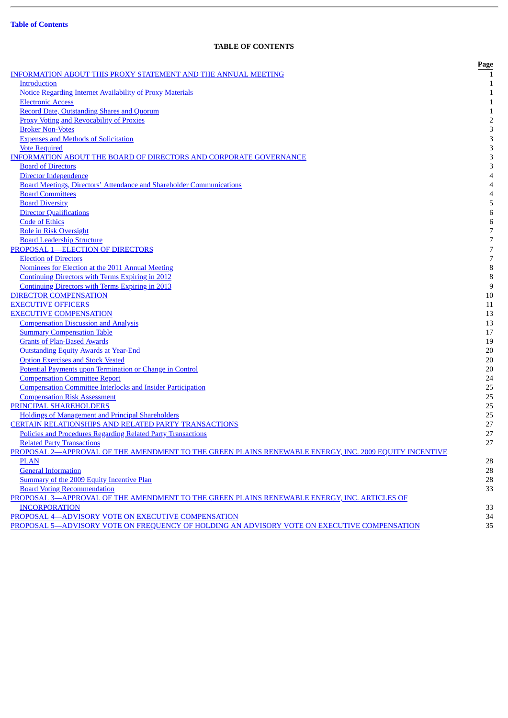J.

### **TABLE OF CONTENTS**

<span id="page-3-0"></span>

|                                                                                                       | Page           |
|-------------------------------------------------------------------------------------------------------|----------------|
| <b>INFORMATION ABOUT THIS PROXY STATEMENT AND THE ANNUAL MEETING</b>                                  |                |
| <b>Introduction</b>                                                                                   | 1              |
| <b>Notice Regarding Internet Availability of Proxy Materials</b>                                      | $\mathbf{1}$   |
| <b>Electronic Access</b>                                                                              | $\mathbf{1}$   |
| <b>Record Date, Outstanding Shares and Quorum</b>                                                     | $\mathbf{1}$   |
| <b>Proxy Voting and Revocability of Proxies</b>                                                       | $\overline{c}$ |
| <b>Broker Non-Votes</b>                                                                               | 3              |
| <b>Expenses and Methods of Solicitation</b>                                                           | 3              |
| <b>Vote Required</b>                                                                                  | 3              |
| INFORMATION ABOUT THE BOARD OF DIRECTORS AND CORPORATE GOVERNANCE                                     | 3              |
| <b>Board of Directors</b>                                                                             | 3              |
| <b>Director Independence</b>                                                                          | 4              |
| <b>Board Meetings, Directors' Attendance and Shareholder Communications</b>                           | 4              |
| <b>Board Committees</b>                                                                               | 4              |
| <b>Board Diversity</b>                                                                                | 5              |
| <b>Director Qualifications</b>                                                                        | 6              |
| <b>Code of Ethics</b>                                                                                 | 6              |
| Role in Risk Oversight                                                                                | 7              |
| <b>Board Leadership Structure</b>                                                                     | 7              |
| PROPOSAL 1-ELECTION OF DIRECTORS                                                                      | 7              |
| <b>Election of Directors</b>                                                                          | 7              |
| Nominees for Election at the 2011 Annual Meeting                                                      | 8              |
| <b>Continuing Directors with Terms Expiring in 2012</b>                                               | 8              |
| <b>Continuing Directors with Terms Expiring in 2013</b>                                               | 9              |
| <b>DIRECTOR COMPENSATION</b>                                                                          | 10             |
| <b>EXECUTIVE OFFICERS</b>                                                                             | 11             |
| <b>EXECUTIVE COMPENSATION</b>                                                                         | 13             |
| <b>Compensation Discussion and Analysis</b>                                                           | 13             |
| <b>Summary Compensation Table</b>                                                                     | 17             |
| <b>Grants of Plan-Based Awards</b>                                                                    | 19             |
| <b>Outstanding Equity Awards at Year-End</b>                                                          | 20             |
| <b>Option Exercises and Stock Vested</b>                                                              | 20             |
| Potential Payments upon Termination or Change in Control                                              | 20             |
| <b>Compensation Committee Report</b>                                                                  | 24             |
| <b>Compensation Committee Interlocks and Insider Participation</b>                                    | 25             |
| <b>Compensation Risk Assessment</b>                                                                   | 25             |
| PRINCIPAL SHAREHOLDERS                                                                                | 25             |
| <b>Holdings of Management and Principal Shareholders</b>                                              | 25             |
| <b>CERTAIN RELATIONSHIPS AND RELATED PARTY TRANSACTIONS</b>                                           | 27             |
| Policies and Procedures Regarding Related Party Transactions                                          | 27             |
| <b>Related Party Transactions</b>                                                                     | 27             |
| PROPOSAL 2-APPROVAL OF THE AMENDMENT TO THE GREEN PLAINS RENEWABLE ENERGY, INC. 2009 EQUITY INCENTIVE |                |
| <b>PLAN</b>                                                                                           | 28             |
| <b>General Information</b>                                                                            | 28             |
| Summary of the 2009 Equity Incentive Plan                                                             | 28             |
| <b>Board Voting Recommendation</b>                                                                    | 33             |
| PROPOSAL 3-APPROVAL OF THE AMENDMENT TO THE GREEN PLAINS RENEWABLE ENERGY, INC. ARTICLES OF           |                |
| <b>INCORPORATION</b>                                                                                  | 33             |
| PROPOSAL 4-ADVISORY VOTE ON EXECUTIVE COMPENSATION                                                    | 34             |
| PROPOSAL 5-ADVISORY VOTE ON FREQUENCY OF HOLDING AN ADVISORY VOTE ON EXECUTIVE COMPENSATION           | 35             |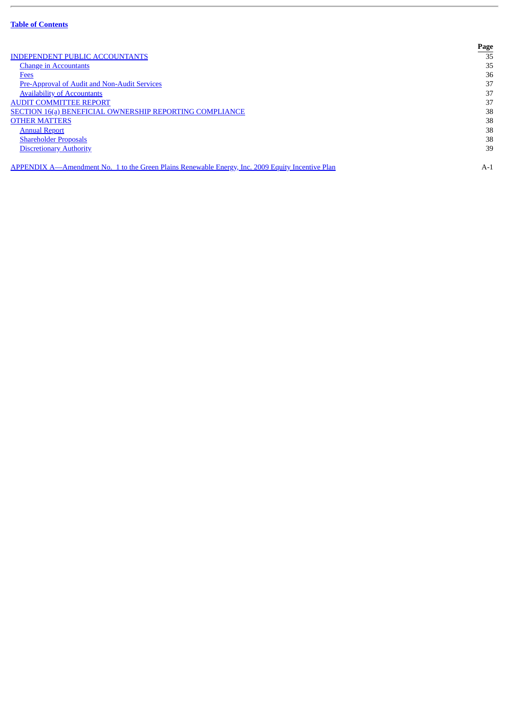J.

|                                                                                                  | Page  |
|--------------------------------------------------------------------------------------------------|-------|
| <b>INDEPENDENT PUBLIC ACCOUNTANTS</b>                                                            | 35    |
| <b>Change in Accountants</b>                                                                     | 35    |
| <b>Fees</b>                                                                                      | 36    |
| Pre-Approval of Audit and Non-Audit Services                                                     | 37    |
| <b>Availability of Accountants</b>                                                               | 37    |
| <b>AUDIT COMMITTEE REPORT</b>                                                                    | 37    |
| <b>SECTION 16(a) BENEFICIAL OWNERSHIP REPORTING COMPLIANCE</b>                                   | 38    |
| <b>OTHER MATTERS</b>                                                                             | 38    |
| <b>Annual Report</b>                                                                             | 38    |
| <b>Shareholder Proposals</b>                                                                     | 38    |
| <b>Discretionary Authority</b>                                                                   | 39    |
| APPENDIX A—Amendment No. 1 to the Green Plains Renewable Energy, Inc. 2009 Equity Incentive Plan | $A-1$ |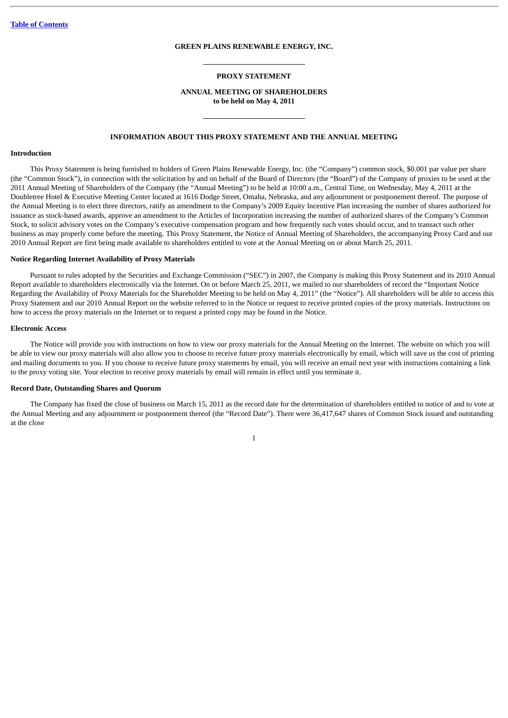#### **GREEN PLAINS RENEWABLE ENERGY, INC.**

#### **PROXY STATEMENT**

### **ANNUAL MEETING OF SHAREHOLDERS to be held on May 4, 2011**

### **INFORMATION ABOUT THIS PROXY STATEMENT AND THE ANNUAL MEETING**

#### <span id="page-5-1"></span><span id="page-5-0"></span>**Introduction**

This Proxy Statement is being furnished to holders of Green Plains Renewable Energy, Inc. (the "Company") common stock, \$0.001 par value per share (the "Common Stock"), in connection with the solicitation by and on behalf of the Board of Directors (the "Board") of the Company of proxies to be used at the 2011 Annual Meeting of Shareholders of the Company (the "Annual Meeting") to be held at 10:00 a.m., Central Time, on Wednesday, May 4, 2011 at the Doubletree Hotel & Executive Meeting Center located at 1616 Dodge Street, Omaha, Nebraska, and any adjournment or postponement thereof. The purpose of the Annual Meeting is to elect three directors, ratify an amendment to the Company's 2009 Equity Incentive Plan increasing the number of shares authorized for issuance as stock-based awards, approve an amendment to the Articles of Incorporation increasing the number of authorized shares of the Company's Common Stock, to solicit advisory votes on the Company's executive compensation program and how frequently such votes should occur, and to transact such other business as may properly come before the meeting. This Proxy Statement, the Notice of Annual Meeting of Shareholders, the accompanying Proxy Card and our 2010 Annual Report are first being made available to shareholders entitled to vote at the Annual Meeting on or about March 25, 2011.

#### <span id="page-5-2"></span>**Notice Regarding Internet Availability of Proxy Materials**

Pursuant to rules adopted by the Securities and Exchange Commission ("SEC") in 2007, the Company is making this Proxy Statement and its 2010 Annual Report available to shareholders electronically via the Internet. On or before March 25, 2011, we mailed to our shareholders of record the "Important Notice Regarding the Availability of Proxy Materials for the Shareholder Meeting to be held on May 4, 2011" (the "Notice"). All shareholders will be able to access this Proxy Statement and our 2010 Annual Report on the website referred to in the Notice or request to receive printed copies of the proxy materials. Instructions on how to access the proxy materials on the Internet or to request a printed copy may be found in the Notice.

#### <span id="page-5-3"></span>**Electronic Access**

The Notice will provide you with instructions on how to view our proxy materials for the Annual Meeting on the Internet. The website on which you will be able to view our proxy materials will also allow you to choose to receive future proxy materials electronically by email, which will save us the cost of printing and mailing documents to you. If you choose to receive future proxy statements by email, you will receive an email next year with instructions containing a link to the proxy voting site. Your election to receive proxy materials by email will remain in effect until you terminate it.

### <span id="page-5-4"></span>**Record Date, Outstanding Shares and Quorum**

The Company has fixed the close of business on March 15, 2011 as the record date for the determination of shareholders entitled to notice of and to vote at the Annual Meeting and any adjournment or postponement thereof (the "Record Date"). There were 36,417,647 shares of Common Stock issued and outstanding at the close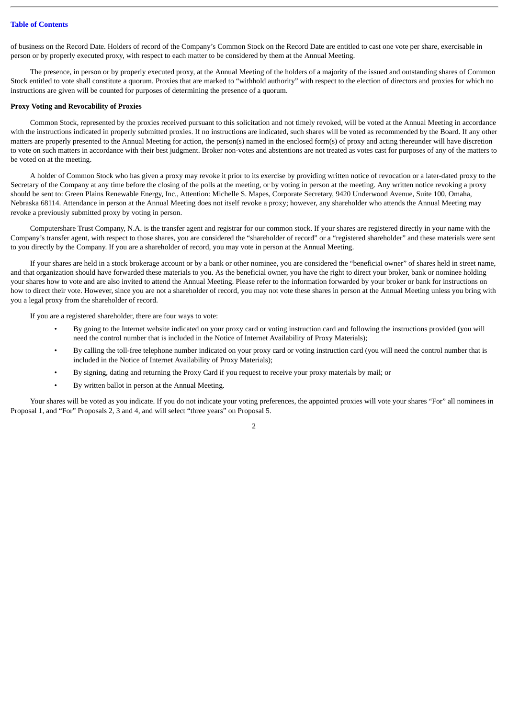of business on the Record Date. Holders of record of the Company's Common Stock on the Record Date are entitled to cast one vote per share, exercisable in person or by properly executed proxy, with respect to each matter to be considered by them at the Annual Meeting.

The presence, in person or by properly executed proxy, at the Annual Meeting of the holders of a majority of the issued and outstanding shares of Common Stock entitled to vote shall constitute a quorum. Proxies that are marked to "withhold authority" with respect to the election of directors and proxies for which no instructions are given will be counted for purposes of determining the presence of a quorum.

#### <span id="page-6-0"></span>**Proxy Voting and Revocability of Proxies**

Common Stock, represented by the proxies received pursuant to this solicitation and not timely revoked, will be voted at the Annual Meeting in accordance with the instructions indicated in properly submitted proxies. If no instructions are indicated, such shares will be voted as recommended by the Board. If any other matters are properly presented to the Annual Meeting for action, the person(s) named in the enclosed form(s) of proxy and acting thereunder will have discretion to vote on such matters in accordance with their best judgment. Broker non-votes and abstentions are not treated as votes cast for purposes of any of the matters to be voted on at the meeting.

A holder of Common Stock who has given a proxy may revoke it prior to its exercise by providing written notice of revocation or a later-dated proxy to the Secretary of the Company at any time before the closing of the polls at the meeting, or by voting in person at the meeting. Any written notice revoking a proxy should be sent to: Green Plains Renewable Energy, Inc., Attention: Michelle S. Mapes, Corporate Secretary, 9420 Underwood Avenue, Suite 100, Omaha, Nebraska 68114. Attendance in person at the Annual Meeting does not itself revoke a proxy; however, any shareholder who attends the Annual Meeting may revoke a previously submitted proxy by voting in person.

Computershare Trust Company, N.A. is the transfer agent and registrar for our common stock. If your shares are registered directly in your name with the Company's transfer agent, with respect to those shares, you are considered the "shareholder of record" or a "registered shareholder" and these materials were sent to you directly by the Company. If you are a shareholder of record, you may vote in person at the Annual Meeting.

If your shares are held in a stock brokerage account or by a bank or other nominee, you are considered the "beneficial owner" of shares held in street name, and that organization should have forwarded these materials to you. As the beneficial owner, you have the right to direct your broker, bank or nominee holding your shares how to vote and are also invited to attend the Annual Meeting. Please refer to the information forwarded by your broker or bank for instructions on how to direct their vote. However, since you are not a shareholder of record, you may not vote these shares in person at the Annual Meeting unless you bring with you a legal proxy from the shareholder of record.

If you are a registered shareholder, there are four ways to vote:

- By going to the Internet website indicated on your proxy card or voting instruction card and following the instructions provided (you will need the control number that is included in the Notice of Internet Availability of Proxy Materials);
- By calling the toll-free telephone number indicated on your proxy card or voting instruction card (you will need the control number that is included in the Notice of Internet Availability of Proxy Materials);
- By signing, dating and returning the Proxy Card if you request to receive your proxy materials by mail; or
- By written ballot in person at the Annual Meeting.

Your shares will be voted as you indicate. If you do not indicate your voting preferences, the appointed proxies will vote your shares "For" all nominees in Proposal 1, and "For" Proposals 2, 3 and 4, and will select "three years" on Proposal 5.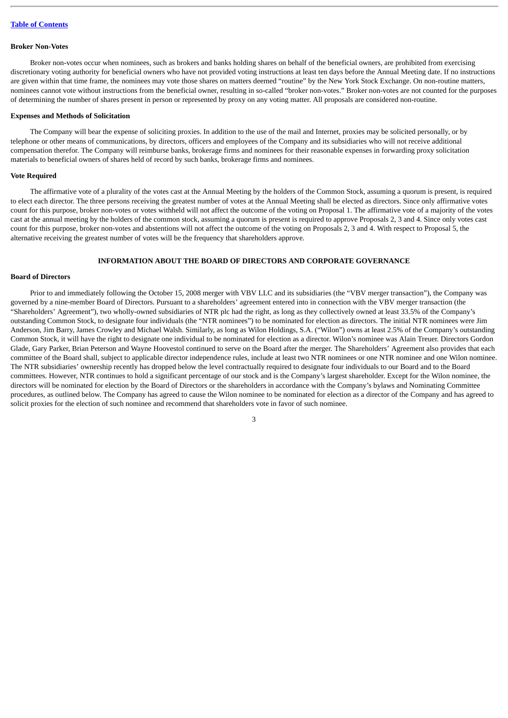#### <span id="page-7-0"></span>**Broker Non-Votes**

Broker non-votes occur when nominees, such as brokers and banks holding shares on behalf of the beneficial owners, are prohibited from exercising discretionary voting authority for beneficial owners who have not provided voting instructions at least ten days before the Annual Meeting date. If no instructions are given within that time frame, the nominees may vote those shares on matters deemed "routine" by the New York Stock Exchange. On non-routine matters, nominees cannot vote without instructions from the beneficial owner, resulting in so-called "broker non-votes." Broker non-votes are not counted for the purposes of determining the number of shares present in person or represented by proxy on any voting matter. All proposals are considered non-routine.

#### <span id="page-7-1"></span>**Expenses and Methods of Solicitation**

The Company will bear the expense of soliciting proxies. In addition to the use of the mail and Internet, proxies may be solicited personally, or by telephone or other means of communications, by directors, officers and employees of the Company and its subsidiaries who will not receive additional compensation therefor. The Company will reimburse banks, brokerage firms and nominees for their reasonable expenses in forwarding proxy solicitation materials to beneficial owners of shares held of record by such banks, brokerage firms and nominees.

#### <span id="page-7-2"></span>**Vote Required**

The affirmative vote of a plurality of the votes cast at the Annual Meeting by the holders of the Common Stock, assuming a quorum is present, is required to elect each director. The three persons receiving the greatest number of votes at the Annual Meeting shall be elected as directors. Since only affirmative votes count for this purpose, broker non-votes or votes withheld will not affect the outcome of the voting on Proposal 1. The affirmative vote of a majority of the votes cast at the annual meeting by the holders of the common stock, assuming a quorum is present is required to approve Proposals 2, 3 and 4. Since only votes cast count for this purpose, broker non-votes and abstentions will not affect the outcome of the voting on Proposals 2, 3 and 4. With respect to Proposal 5, the alternative receiving the greatest number of votes will be the frequency that shareholders approve.

### **INFORMATION ABOUT THE BOARD OF DIRECTORS AND CORPORATE GOVERNANCE**

### <span id="page-7-4"></span><span id="page-7-3"></span>**Board of Directors**

Prior to and immediately following the October 15, 2008 merger with VBV LLC and its subsidiaries (the "VBV merger transaction"), the Company was governed by a nine-member Board of Directors. Pursuant to a shareholders' agreement entered into in connection with the VBV merger transaction (the "Shareholders' Agreement"), two wholly-owned subsidiaries of NTR plc had the right, as long as they collectively owned at least 33.5% of the Company's outstanding Common Stock, to designate four individuals (the "NTR nominees") to be nominated for election as directors. The initial NTR nominees were Jim Anderson, Jim Barry, James Crowley and Michael Walsh. Similarly, as long as Wilon Holdings, S.A. ("Wilon") owns at least 2.5% of the Company's outstanding Common Stock, it will have the right to designate one individual to be nominated for election as a director. Wilon's nominee was Alain Treuer. Directors Gordon Glade, Gary Parker, Brian Peterson and Wayne Hoovestol continued to serve on the Board after the merger. The Shareholders' Agreement also provides that each committee of the Board shall, subject to applicable director independence rules, include at least two NTR nominees or one NTR nominee and one Wilon nominee. The NTR subsidiaries' ownership recently has dropped below the level contractually required to designate four individuals to our Board and to the Board committees. However, NTR continues to hold a significant percentage of our stock and is the Company's largest shareholder. Except for the Wilon nominee, the directors will be nominated for election by the Board of Directors or the shareholders in accordance with the Company's bylaws and Nominating Committee procedures, as outlined below. The Company has agreed to cause the Wilon nominee to be nominated for election as a director of the Company and has agreed to solicit proxies for the election of such nominee and recommend that shareholders vote in favor of such nominee.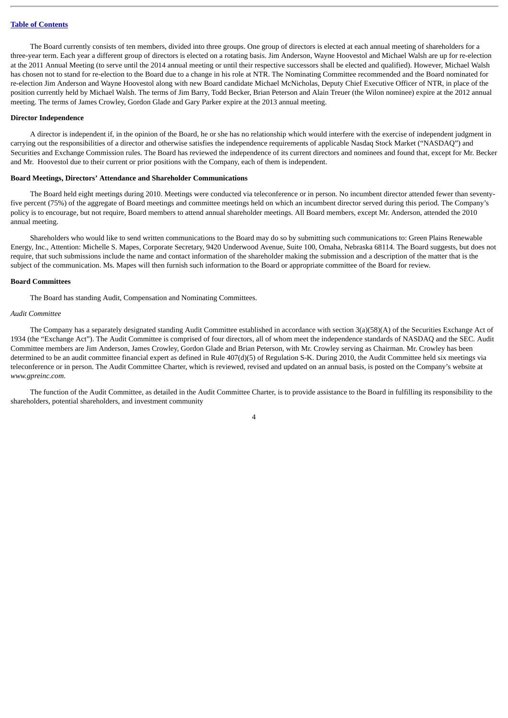The Board currently consists of ten members, divided into three groups. One group of directors is elected at each annual meeting of shareholders for a three-year term. Each year a different group of directors is elected on a rotating basis. Jim Anderson, Wayne Hoovestol and Michael Walsh are up for re-election at the 2011 Annual Meeting (to serve until the 2014 annual meeting or until their respective successors shall be elected and qualified). However, Michael Walsh has chosen not to stand for re-election to the Board due to a change in his role at NTR. The Nominating Committee recommended and the Board nominated for re-election Jim Anderson and Wayne Hoovestol along with new Board candidate Michael McNicholas, Deputy Chief Executive Officer of NTR, in place of the position currently held by Michael Walsh. The terms of Jim Barry, Todd Becker, Brian Peterson and Alain Treuer (the Wilon nominee) expire at the 2012 annual meeting. The terms of James Crowley, Gordon Glade and Gary Parker expire at the 2013 annual meeting.

#### <span id="page-8-0"></span>**Director Independence**

A director is independent if, in the opinion of the Board, he or she has no relationship which would interfere with the exercise of independent judgment in carrying out the responsibilities of a director and otherwise satisfies the independence requirements of applicable Nasdaq Stock Market ("NASDAQ") and Securities and Exchange Commission rules. The Board has reviewed the independence of its current directors and nominees and found that, except for Mr. Becker and Mr. Hoovestol due to their current or prior positions with the Company, each of them is independent.

#### <span id="page-8-1"></span>**Board Meetings, Directors' Attendance and Shareholder Communications**

The Board held eight meetings during 2010. Meetings were conducted via teleconference or in person. No incumbent director attended fewer than seventyfive percent (75%) of the aggregate of Board meetings and committee meetings held on which an incumbent director served during this period. The Company's policy is to encourage, but not require, Board members to attend annual shareholder meetings. All Board members, except Mr. Anderson, attended the 2010 annual meeting.

Shareholders who would like to send written communications to the Board may do so by submitting such communications to: Green Plains Renewable Energy, Inc., Attention: Michelle S. Mapes, Corporate Secretary, 9420 Underwood Avenue, Suite 100, Omaha, Nebraska 68114. The Board suggests, but does not require, that such submissions include the name and contact information of the shareholder making the submission and a description of the matter that is the subject of the communication. Ms. Mapes will then furnish such information to the Board or appropriate committee of the Board for review.

#### <span id="page-8-2"></span>**Board Committees**

The Board has standing Audit, Compensation and Nominating Committees.

### *Audit Committee*

The Company has a separately designated standing Audit Committee established in accordance with section 3(a)(58)(A) of the Securities Exchange Act of 1934 (the "Exchange Act"). The Audit Committee is comprised of four directors, all of whom meet the independence standards of NASDAQ and the SEC. Audit Committee members are Jim Anderson, James Crowley, Gordon Glade and Brian Peterson, with Mr. Crowley serving as Chairman. Mr. Crowley has been determined to be an audit committee financial expert as defined in Rule 407(d)(5) of Regulation S-K. During 2010, the Audit Committee held six meetings via teleconference or in person. The Audit Committee Charter, which is reviewed, revised and updated on an annual basis, is posted on the Company's website at *www.gpreinc.com*.

The function of the Audit Committee, as detailed in the Audit Committee Charter, is to provide assistance to the Board in fulfilling its responsibility to the shareholders, potential shareholders, and investment community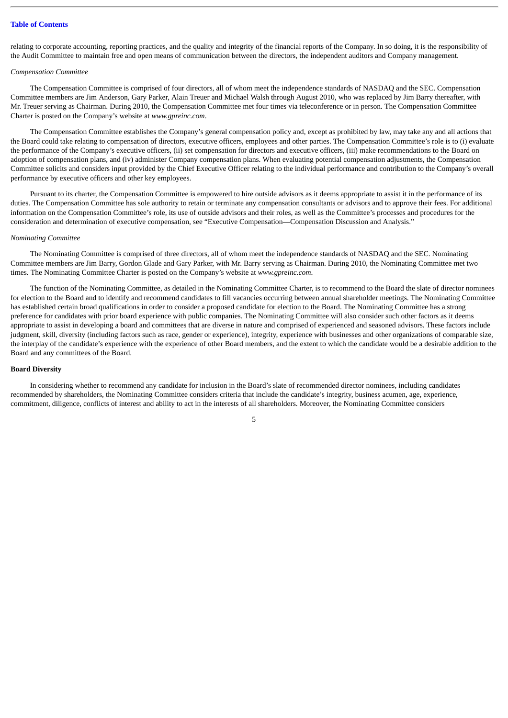relating to corporate accounting, reporting practices, and the quality and integrity of the financial reports of the Company. In so doing, it is the responsibility of the Audit Committee to maintain free and open means of communication between the directors, the independent auditors and Company management.

#### *Compensation Committee*

The Compensation Committee is comprised of four directors, all of whom meet the independence standards of NASDAQ and the SEC. Compensation Committee members are Jim Anderson, Gary Parker, Alain Treuer and Michael Walsh through August 2010, who was replaced by Jim Barry thereafter, with Mr. Treuer serving as Chairman. During 2010, the Compensation Committee met four times via teleconference or in person. The Compensation Committee Charter is posted on the Company's website at *www.gpreinc.com*.

The Compensation Committee establishes the Company's general compensation policy and, except as prohibited by law, may take any and all actions that the Board could take relating to compensation of directors, executive officers, employees and other parties. The Compensation Committee's role is to (i) evaluate the performance of the Company's executive officers, (ii) set compensation for directors and executive officers, (iii) make recommendations to the Board on adoption of compensation plans, and (iv) administer Company compensation plans. When evaluating potential compensation adjustments, the Compensation Committee solicits and considers input provided by the Chief Executive Officer relating to the individual performance and contribution to the Company's overall performance by executive officers and other key employees.

Pursuant to its charter, the Compensation Committee is empowered to hire outside advisors as it deems appropriate to assist it in the performance of its duties. The Compensation Committee has sole authority to retain or terminate any compensation consultants or advisors and to approve their fees. For additional information on the Compensation Committee's role, its use of outside advisors and their roles, as well as the Committee's processes and procedures for the consideration and determination of executive compensation, see "Executive Compensation—Compensation Discussion and Analysis."

#### *Nominating Committee*

The Nominating Committee is comprised of three directors, all of whom meet the independence standards of NASDAQ and the SEC. Nominating Committee members are Jim Barry, Gordon Glade and Gary Parker, with Mr. Barry serving as Chairman. During 2010, the Nominating Committee met two times. The Nominating Committee Charter is posted on the Company's website at *www.gpreinc.com*.

The function of the Nominating Committee, as detailed in the Nominating Committee Charter, is to recommend to the Board the slate of director nominees for election to the Board and to identify and recommend candidates to fill vacancies occurring between annual shareholder meetings. The Nominating Committee has established certain broad qualifications in order to consider a proposed candidate for election to the Board. The Nominating Committee has a strong preference for candidates with prior board experience with public companies. The Nominating Committee will also consider such other factors as it deems appropriate to assist in developing a board and committees that are diverse in nature and comprised of experienced and seasoned advisors. These factors include judgment, skill, diversity (including factors such as race, gender or experience), integrity, experience with businesses and other organizations of comparable size, the interplay of the candidate's experience with the experience of other Board members, and the extent to which the candidate would be a desirable addition to the Board and any committees of the Board.

#### <span id="page-9-0"></span>**Board Diversity**

In considering whether to recommend any candidate for inclusion in the Board's slate of recommended director nominees, including candidates recommended by shareholders, the Nominating Committee considers criteria that include the candidate's integrity, business acumen, age, experience, commitment, diligence, conflicts of interest and ability to act in the interests of all shareholders. Moreover, the Nominating Committee considers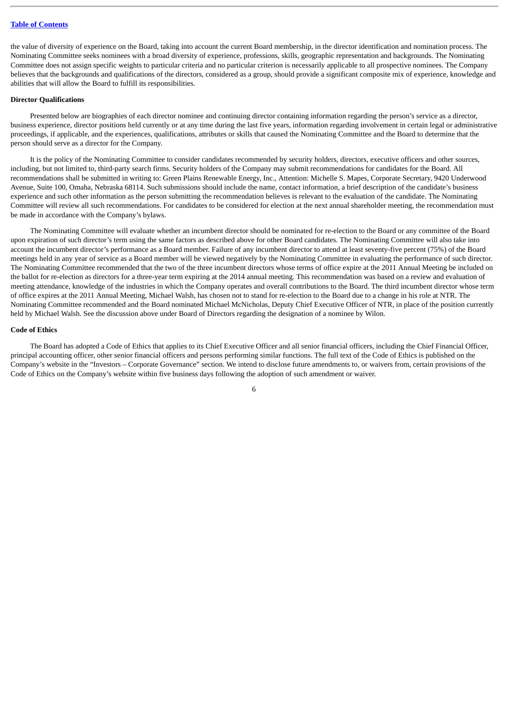the value of diversity of experience on the Board, taking into account the current Board membership, in the director identification and nomination process. The Nominating Committee seeks nominees with a broad diversity of experience, professions, skills, geographic representation and backgrounds. The Nominating Committee does not assign specific weights to particular criteria and no particular criterion is necessarily applicable to all prospective nominees. The Company believes that the backgrounds and qualifications of the directors, considered as a group, should provide a significant composite mix of experience, knowledge and abilities that will allow the Board to fulfill its responsibilities.

#### <span id="page-10-0"></span>**Director Qualifications**

Presented below are biographies of each director nominee and continuing director containing information regarding the person's service as a director, business experience, director positions held currently or at any time during the last five years, information regarding involvement in certain legal or administrative proceedings, if applicable, and the experiences, qualifications, attributes or skills that caused the Nominating Committee and the Board to determine that the person should serve as a director for the Company.

It is the policy of the Nominating Committee to consider candidates recommended by security holders, directors, executive officers and other sources, including, but not limited to, third-party search firms. Security holders of the Company may submit recommendations for candidates for the Board. All recommendations shall be submitted in writing to: Green Plains Renewable Energy, Inc., Attention: Michelle S. Mapes, Corporate Secretary, 9420 Underwood Avenue, Suite 100, Omaha, Nebraska 68114. Such submissions should include the name, contact information, a brief description of the candidate's business experience and such other information as the person submitting the recommendation believes is relevant to the evaluation of the candidate. The Nominating Committee will review all such recommendations. For candidates to be considered for election at the next annual shareholder meeting, the recommendation must be made in accordance with the Company's bylaws.

The Nominating Committee will evaluate whether an incumbent director should be nominated for re-election to the Board or any committee of the Board upon expiration of such director's term using the same factors as described above for other Board candidates. The Nominating Committee will also take into account the incumbent director's performance as a Board member. Failure of any incumbent director to attend at least seventy-five percent (75%) of the Board meetings held in any year of service as a Board member will be viewed negatively by the Nominating Committee in evaluating the performance of such director. The Nominating Committee recommended that the two of the three incumbent directors whose terms of office expire at the 2011 Annual Meeting be included on the ballot for re-election as directors for a three-year term expiring at the 2014 annual meeting. This recommendation was based on a review and evaluation of meeting attendance, knowledge of the industries in which the Company operates and overall contributions to the Board. The third incumbent director whose term of office expires at the 2011 Annual Meeting, Michael Walsh, has chosen not to stand for re-election to the Board due to a change in his role at NTR. The Nominating Committee recommended and the Board nominated Michael McNicholas, Deputy Chief Executive Officer of NTR, in place of the position currently held by Michael Walsh. See the discussion above under Board of Directors regarding the designation of a nominee by Wilon.

#### <span id="page-10-1"></span>**Code of Ethics**

The Board has adopted a Code of Ethics that applies to its Chief Executive Officer and all senior financial officers, including the Chief Financial Officer, principal accounting officer, other senior financial officers and persons performing similar functions. The full text of the Code of Ethics is published on the Company's website in the "Investors – Corporate Governance" section. We intend to disclose future amendments to, or waivers from, certain provisions of the Code of Ethics on the Company's website within five business days following the adoption of such amendment or waiver.

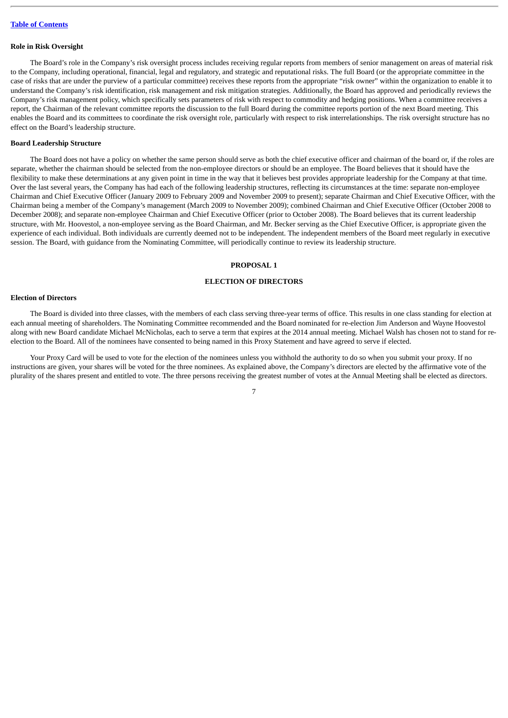#### <span id="page-11-0"></span>**Role in Risk Oversight**

The Board's role in the Company's risk oversight process includes receiving regular reports from members of senior management on areas of material risk to the Company, including operational, financial, legal and regulatory, and strategic and reputational risks. The full Board (or the appropriate committee in the case of risks that are under the purview of a particular committee) receives these reports from the appropriate "risk owner" within the organization to enable it to understand the Company's risk identification, risk management and risk mitigation strategies. Additionally, the Board has approved and periodically reviews the Company's risk management policy, which specifically sets parameters of risk with respect to commodity and hedging positions. When a committee receives a report, the Chairman of the relevant committee reports the discussion to the full Board during the committee reports portion of the next Board meeting. This enables the Board and its committees to coordinate the risk oversight role, particularly with respect to risk interrelationships. The risk oversight structure has no effect on the Board's leadership structure.

### <span id="page-11-1"></span>**Board Leadership Structure**

The Board does not have a policy on whether the same person should serve as both the chief executive officer and chairman of the board or, if the roles are separate, whether the chairman should be selected from the non-employee directors or should be an employee. The Board believes that it should have the flexibility to make these determinations at any given point in time in the way that it believes best provides appropriate leadership for the Company at that time. Over the last several years, the Company has had each of the following leadership structures, reflecting its circumstances at the time: separate non-employee Chairman and Chief Executive Officer (January 2009 to February 2009 and November 2009 to present); separate Chairman and Chief Executive Officer, with the Chairman being a member of the Company's management (March 2009 to November 2009); combined Chairman and Chief Executive Officer (October 2008 to December 2008); and separate non-employee Chairman and Chief Executive Officer (prior to October 2008). The Board believes that its current leadership structure, with Mr. Hoovestol, a non-employee serving as the Board Chairman, and Mr. Becker serving as the Chief Executive Officer, is appropriate given the experience of each individual. Both individuals are currently deemed not to be independent. The independent members of the Board meet regularly in executive session. The Board, with guidance from the Nominating Committee, will periodically continue to review its leadership structure.

#### **PROPOSAL 1**

### **ELECTION OF DIRECTORS**

### <span id="page-11-3"></span><span id="page-11-2"></span>**Election of Directors**

The Board is divided into three classes, with the members of each class serving three-year terms of office. This results in one class standing for election at each annual meeting of shareholders. The Nominating Committee recommended and the Board nominated for re-election Jim Anderson and Wayne Hoovestol along with new Board candidate Michael McNicholas, each to serve a term that expires at the 2014 annual meeting. Michael Walsh has chosen not to stand for reelection to the Board. All of the nominees have consented to being named in this Proxy Statement and have agreed to serve if elected.

Your Proxy Card will be used to vote for the election of the nominees unless you withhold the authority to do so when you submit your proxy. If no instructions are given, your shares will be voted for the three nominees. As explained above, the Company's directors are elected by the affirmative vote of the plurality of the shares present and entitled to vote. The three persons receiving the greatest number of votes at the Annual Meeting shall be elected as directors.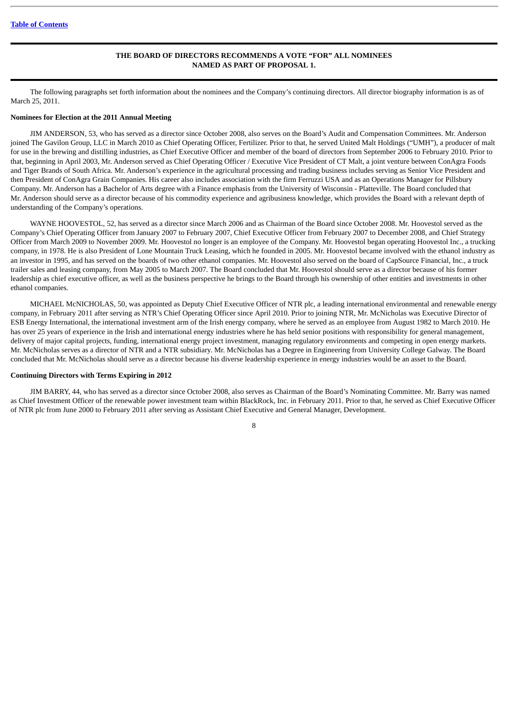### **THE BOARD OF DIRECTORS RECOMMENDS A VOTE "FOR" ALL NOMINEES NAMED AS PART OF PROPOSAL 1.**

The following paragraphs set forth information about the nominees and the Company's continuing directors. All director biography information is as of March 25, 2011.

### <span id="page-12-0"></span>**Nominees for Election at the 2011 Annual Meeting**

JIM ANDERSON, 53, who has served as a director since October 2008, also serves on the Board's Audit and Compensation Committees. Mr. Anderson joined The Gavilon Group, LLC in March 2010 as Chief Operating Officer, Fertilizer. Prior to that, he served United Malt Holdings ("UMH"), a producer of malt for use in the brewing and distilling industries, as Chief Executive Officer and member of the board of directors from September 2006 to February 2010. Prior to that, beginning in April 2003, Mr. Anderson served as Chief Operating Officer / Executive Vice President of CT Malt, a joint venture between ConAgra Foods and Tiger Brands of South Africa. Mr. Anderson's experience in the agricultural processing and trading business includes serving as Senior Vice President and then President of ConAgra Grain Companies. His career also includes association with the firm Ferruzzi USA and as an Operations Manager for Pillsbury Company. Mr. Anderson has a Bachelor of Arts degree with a Finance emphasis from the University of Wisconsin - Platteville. The Board concluded that Mr. Anderson should serve as a director because of his commodity experience and agribusiness knowledge, which provides the Board with a relevant depth of understanding of the Company's operations.

WAYNE HOOVESTOL, 52, has served as a director since March 2006 and as Chairman of the Board since October 2008. Mr. Hoovestol served as the Company's Chief Operating Officer from January 2007 to February 2007, Chief Executive Officer from February 2007 to December 2008, and Chief Strategy Officer from March 2009 to November 2009. Mr. Hoovestol no longer is an employee of the Company. Mr. Hoovestol began operating Hoovestol Inc., a trucking company, in 1978. He is also President of Lone Mountain Truck Leasing, which he founded in 2005. Mr. Hoovestol became involved with the ethanol industry as an investor in 1995, and has served on the boards of two other ethanol companies. Mr. Hoovestol also served on the board of CapSource Financial, Inc., a truck trailer sales and leasing company, from May 2005 to March 2007. The Board concluded that Mr. Hoovestol should serve as a director because of his former leadership as chief executive officer, as well as the business perspective he brings to the Board through his ownership of other entities and investments in other ethanol companies.

MICHAEL McNICHOLAS, 50, was appointed as Deputy Chief Executive Officer of NTR plc, a leading international environmental and renewable energy company, in February 2011 after serving as NTR's Chief Operating Officer since April 2010. Prior to joining NTR, Mr. McNicholas was Executive Director of ESB Energy International, the international investment arm of the Irish energy company, where he served as an employee from August 1982 to March 2010. He has over 25 years of experience in the Irish and international energy industries where he has held senior positions with responsibility for general management, delivery of major capital projects, funding, international energy project investment, managing regulatory environments and competing in open energy markets. Mr. McNicholas serves as a director of NTR and a NTR subsidiary. Mr. McNicholas has a Degree in Engineering from University College Galway. The Board concluded that Mr. McNicholas should serve as a director because his diverse leadership experience in energy industries would be an asset to the Board.

#### <span id="page-12-1"></span>**Continuing Directors with Terms Expiring in 2012**

JIM BARRY, 44, who has served as a director since October 2008, also serves as Chairman of the Board's Nominating Committee. Mr. Barry was named as Chief Investment Officer of the renewable power investment team within BlackRock, Inc. in February 2011. Prior to that, he served as Chief Executive Officer of NTR plc from June 2000 to February 2011 after serving as Assistant Chief Executive and General Manager, Development.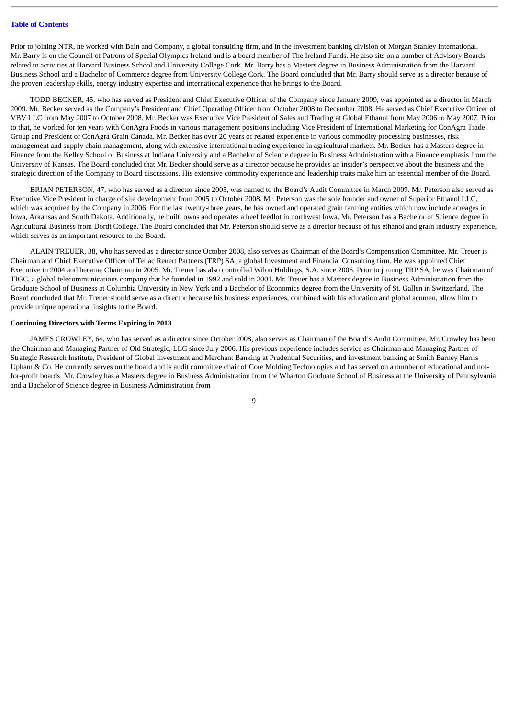Prior to joining NTR, he worked with Bain and Company, a global consulting firm, and in the investment banking division of Morgan Stanley International. Mr. Barry is on the Council of Patrons of Special Olympics Ireland and is a board member of The Ireland Funds. He also sits on a number of Advisory Boards related to activities at Harvard Business School and University College Cork. Mr. Barry has a Masters degree in Business Administration from the Harvard Business School and a Bachelor of Commerce degree from University College Cork. The Board concluded that Mr. Barry should serve as a director because of the proven leadership skills, energy industry expertise and international experience that he brings to the Board.

TODD BECKER, 45, who has served as President and Chief Executive Officer of the Company since January 2009, was appointed as a director in March 2009. Mr. Becker served as the Company's President and Chief Operating Officer from October 2008 to December 2008. He served as Chief Executive Officer of VBV LLC from May 2007 to October 2008. Mr. Becker was Executive Vice President of Sales and Trading at Global Ethanol from May 2006 to May 2007. Prior to that, he worked for ten years with ConAgra Foods in various management positions including Vice President of International Marketing for ConAgra Trade Group and President of ConAgra Grain Canada. Mr. Becker has over 20 years of related experience in various commodity processing businesses, risk management and supply chain management, along with extensive international trading experience in agricultural markets. Mr. Becker has a Masters degree in Finance from the Kelley School of Business at Indiana University and a Bachelor of Science degree in Business Administration with a Finance emphasis from the University of Kansas. The Board concluded that Mr. Becker should serve as a director because he provides an insider's perspective about the business and the strategic direction of the Company to Board discussions. His extensive commodity experience and leadership traits make him an essential member of the Board.

BRIAN PETERSON, 47, who has served as a director since 2005, was named to the Board's Audit Committee in March 2009. Mr. Peterson also served as Executive Vice President in charge of site development from 2005 to October 2008. Mr. Peterson was the sole founder and owner of Superior Ethanol LLC, which was acquired by the Company in 2006. For the last twenty-three years, he has owned and operated grain farming entities which now include acreages in Iowa, Arkansas and South Dakota. Additionally, he built, owns and operates a beef feedlot in northwest Iowa. Mr. Peterson has a Bachelor of Science degree in Agricultural Business from Dordt College. The Board concluded that Mr. Peterson should serve as a director because of his ethanol and grain industry experience, which serves as an important resource to the Board.

ALAIN TREUER, 38, who has served as a director since October 2008, also serves as Chairman of the Board's Compensation Committee. Mr. Treuer is Chairman and Chief Executive Officer of Tellac Reuert Partners (TRP) SA, a global Investment and Financial Consulting firm. He was appointed Chief Executive in 2004 and became Chairman in 2005. Mr. Treuer has also controlled Wilon Holdings, S.A. since 2006. Prior to joining TRP SA, he was Chairman of TIGC, a global telecommunications company that he founded in 1992 and sold in 2001. Mr. Treuer has a Masters degree in Business Administration from the Graduate School of Business at Columbia University in New York and a Bachelor of Economics degree from the University of St. Gallen in Switzerland. The Board concluded that Mr. Treuer should serve as a director because his business experiences, combined with his education and global acumen, allow him to provide unique operational insights to the Board.

### <span id="page-13-0"></span>**Continuing Directors with Terms Expiring in 2013**

JAMES CROWLEY, 64, who has served as a director since October 2008, also serves as Chairman of the Board's Audit Committee. Mr. Crowley has been the Chairman and Managing Partner of Old Strategic, LLC since July 2006. His previous experience includes service as Chairman and Managing Partner of Strategic Research Institute, President of Global Investment and Merchant Banking at Prudential Securities, and investment banking at Smith Barney Harris Upham & Co. He currently serves on the board and is audit committee chair of Core Molding Technologies and has served on a number of educational and notfor-profit boards. Mr. Crowley has a Masters degree in Business Administration from the Wharton Graduate School of Business at the University of Pennsylvania and a Bachelor of Science degree in Business Administration from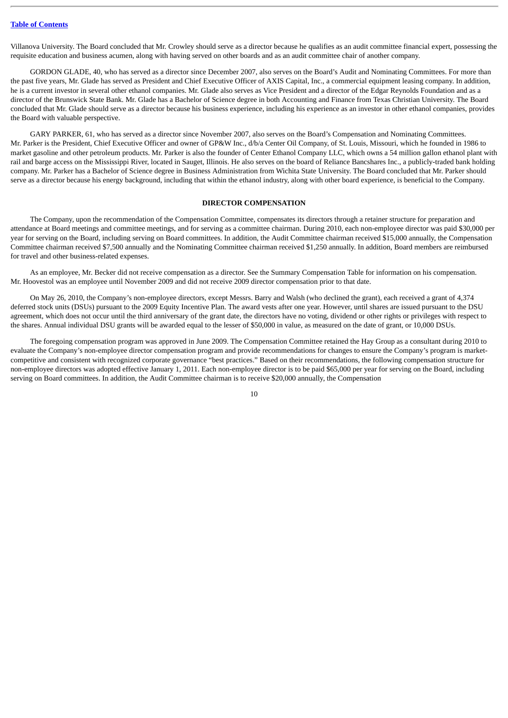Villanova University. The Board concluded that Mr. Crowley should serve as a director because he qualifies as an audit committee financial expert, possessing the requisite education and business acumen, along with having served on other boards and as an audit committee chair of another company.

GORDON GLADE, 40, who has served as a director since December 2007, also serves on the Board's Audit and Nominating Committees. For more than the past five years, Mr. Glade has served as President and Chief Executive Officer of AXIS Capital, Inc., a commercial equipment leasing company. In addition, he is a current investor in several other ethanol companies. Mr. Glade also serves as Vice President and a director of the Edgar Reynolds Foundation and as a director of the Brunswick State Bank. Mr. Glade has a Bachelor of Science degree in both Accounting and Finance from Texas Christian University. The Board concluded that Mr. Glade should serve as a director because his business experience, including his experience as an investor in other ethanol companies, provides the Board with valuable perspective.

GARY PARKER, 61, who has served as a director since November 2007, also serves on the Board's Compensation and Nominating Committees. Mr. Parker is the President, Chief Executive Officer and owner of GP&W Inc., d/b/a Center Oil Company, of St. Louis, Missouri, which he founded in 1986 to market gasoline and other petroleum products. Mr. Parker is also the founder of Center Ethanol Company LLC, which owns a 54 million gallon ethanol plant with rail and barge access on the Mississippi River, located in Sauget, Illinois. He also serves on the board of Reliance Bancshares Inc., a publicly-traded bank holding company. Mr. Parker has a Bachelor of Science degree in Business Administration from Wichita State University. The Board concluded that Mr. Parker should serve as a director because his energy background, including that within the ethanol industry, along with other board experience, is beneficial to the Company.

#### **DIRECTOR COMPENSATION**

<span id="page-14-0"></span>The Company, upon the recommendation of the Compensation Committee, compensates its directors through a retainer structure for preparation and attendance at Board meetings and committee meetings, and for serving as a committee chairman. During 2010, each non-employee director was paid \$30,000 per year for serving on the Board, including serving on Board committees. In addition, the Audit Committee chairman received \$15,000 annually, the Compensation Committee chairman received \$7,500 annually and the Nominating Committee chairman received \$1,250 annually. In addition, Board members are reimbursed for travel and other business-related expenses.

As an employee, Mr. Becker did not receive compensation as a director. See the Summary Compensation Table for information on his compensation. Mr. Hoovestol was an employee until November 2009 and did not receive 2009 director compensation prior to that date.

On May 26, 2010, the Company's non-employee directors, except Messrs. Barry and Walsh (who declined the grant), each received a grant of 4,374 deferred stock units (DSUs) pursuant to the 2009 Equity Incentive Plan. The award vests after one year. However, until shares are issued pursuant to the DSU agreement, which does not occur until the third anniversary of the grant date, the directors have no voting, dividend or other rights or privileges with respect to the shares. Annual individual DSU grants will be awarded equal to the lesser of \$50,000 in value, as measured on the date of grant, or 10,000 DSUs.

The foregoing compensation program was approved in June 2009. The Compensation Committee retained the Hay Group as a consultant during 2010 to evaluate the Company's non-employee director compensation program and provide recommendations for changes to ensure the Company's program is marketcompetitive and consistent with recognized corporate governance "best practices." Based on their recommendations, the following compensation structure for non-employee directors was adopted effective January 1, 2011. Each non-employee director is to be paid \$65,000 per year for serving on the Board, including serving on Board committees. In addition, the Audit Committee chairman is to receive \$20,000 annually, the Compensation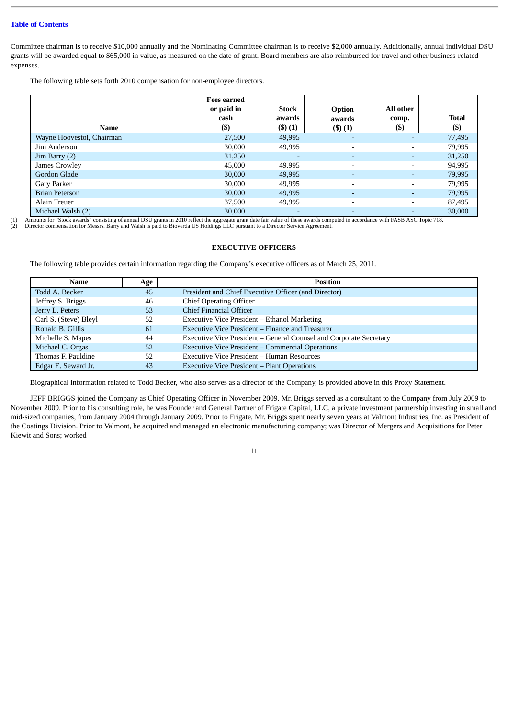Committee chairman is to receive \$10,000 annually and the Nominating Committee chairman is to receive \$2,000 annually. Additionally, annual individual DSU grants will be awarded equal to \$65,000 in value, as measured on the date of grant. Board members are also reimbursed for travel and other business-related expenses.

The following table sets forth 2010 compensation for non-employee directors.

| Name                      | <b>Fees earned</b><br>or paid in<br>cash<br>$($ \$ | <b>Stock</b><br>awards<br>(3)(1) | Option<br>awards<br>$($ \$ $)(1)$ | All other<br>comp.<br>$($ \$) | <b>Total</b><br>$($ \$ |
|---------------------------|----------------------------------------------------|----------------------------------|-----------------------------------|-------------------------------|------------------------|
| Wayne Hoovestol, Chairman | 27,500                                             | 49,995                           |                                   |                               | 77,495                 |
| Jim Anderson              | 30,000                                             | 49,995                           |                                   | $\overline{\phantom{0}}$      | 79,995                 |
| $\text{Jim Barry (2)}$    | 31,250                                             | $\overline{a}$                   |                                   | ٠                             | 31,250                 |
| James Crowley             | 45,000                                             | 49,995                           | $\overline{a}$                    | Ξ.                            | 94,995                 |
| Gordon Glade              | 30,000                                             | 49,995                           | $\overline{\phantom{a}}$          | ٠                             | 79,995                 |
| Gary Parker               | 30,000                                             | 49,995                           |                                   |                               | 79,995                 |
| <b>Brian Peterson</b>     | 30,000                                             | 49,995                           |                                   | ٠                             | 79,995                 |
| Alain Treuer              | 37,500                                             | 49,995                           |                                   | Ξ.                            | 87,495                 |
| Michael Walsh (2)         | 30,000                                             |                                  |                                   |                               | 30,000                 |

(1) Amounts for "Stock awards" consisting of annual DSU grants in 2010 reflect the aggregate grant date fair value of these awards computed in accordance with FASB ASC Topic 718.

<span id="page-15-0"></span>(2) Director compensation for Messrs. Barry and Walsh is paid to Bioverda US Holdings LLC pursuant to a Director Service Agreement.

### **EXECUTIVE OFFICERS**

The following table provides certain information regarding the Company's executive officers as of March 25, 2011.

| Name                  | Age | <b>Position</b>                                                    |
|-----------------------|-----|--------------------------------------------------------------------|
| Todd A. Becker        | 45  | President and Chief Executive Officer (and Director)               |
| Jeffrey S. Briggs     | 46  | <b>Chief Operating Officer</b>                                     |
| Jerry L. Peters       | 53  | Chief Financial Officer                                            |
| Carl S. (Steve) Bleyl | 52  | Executive Vice President – Ethanol Marketing                       |
| Ronald B. Gillis      | 61  | Executive Vice President – Finance and Treasurer                   |
| Michelle S. Mapes     | 44  | Executive Vice President – General Counsel and Corporate Secretary |
| Michael C. Orgas      | 52  | <b>Executive Vice President - Commercial Operations</b>            |
| Thomas F. Pauldine    | 52  | Executive Vice President – Human Resources                         |
| Edgar E. Seward Jr.   | 43  | <b>Executive Vice President – Plant Operations</b>                 |

Biographical information related to Todd Becker, who also serves as a director of the Company, is provided above in this Proxy Statement.

JEFF BRIGGS joined the Company as Chief Operating Officer in November 2009. Mr. Briggs served as a consultant to the Company from July 2009 to November 2009. Prior to his consulting role, he was Founder and General Partner of Frigate Capital, LLC, a private investment partnership investing in small and mid-sized companies, from January 2004 through January 2009. Prior to Frigate, Mr. Briggs spent nearly seven years at Valmont Industries, Inc. as President of the Coatings Division. Prior to Valmont, he acquired and managed an electronic manufacturing company; was Director of Mergers and Acquisitions for Peter Kiewit and Sons; worked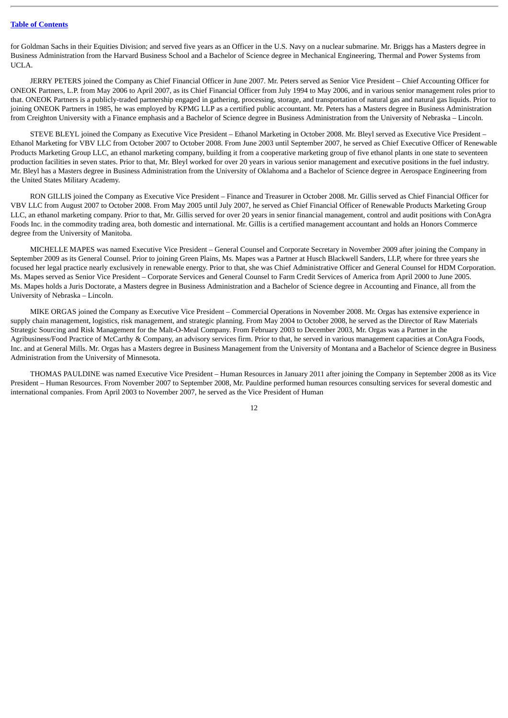for Goldman Sachs in their Equities Division; and served five years as an Officer in the U.S. Navy on a nuclear submarine. Mr. Briggs has a Masters degree in Business Administration from the Harvard Business School and a Bachelor of Science degree in Mechanical Engineering, Thermal and Power Systems from UCLA.

JERRY PETERS joined the Company as Chief Financial Officer in June 2007. Mr. Peters served as Senior Vice President – Chief Accounting Officer for ONEOK Partners, L.P. from May 2006 to April 2007, as its Chief Financial Officer from July 1994 to May 2006, and in various senior management roles prior to that. ONEOK Partners is a publicly-traded partnership engaged in gathering, processing, storage, and transportation of natural gas and natural gas liquids. Prior to joining ONEOK Partners in 1985, he was employed by KPMG LLP as a certified public accountant. Mr. Peters has a Masters degree in Business Administration from Creighton University with a Finance emphasis and a Bachelor of Science degree in Business Administration from the University of Nebraska – Lincoln.

STEVE BLEYL joined the Company as Executive Vice President – Ethanol Marketing in October 2008. Mr. Bleyl served as Executive Vice President – Ethanol Marketing for VBV LLC from October 2007 to October 2008. From June 2003 until September 2007, he served as Chief Executive Officer of Renewable Products Marketing Group LLC, an ethanol marketing company, building it from a cooperative marketing group of five ethanol plants in one state to seventeen production facilities in seven states. Prior to that, Mr. Bleyl worked for over 20 years in various senior management and executive positions in the fuel industry. Mr. Bleyl has a Masters degree in Business Administration from the University of Oklahoma and a Bachelor of Science degree in Aerospace Engineering from the United States Military Academy.

RON GILLIS joined the Company as Executive Vice President – Finance and Treasurer in October 2008. Mr. Gillis served as Chief Financial Officer for VBV LLC from August 2007 to October 2008. From May 2005 until July 2007, he served as Chief Financial Officer of Renewable Products Marketing Group LLC, an ethanol marketing company. Prior to that, Mr. Gillis served for over 20 years in senior financial management, control and audit positions with ConAgra Foods Inc. in the commodity trading area, both domestic and international. Mr. Gillis is a certified management accountant and holds an Honors Commerce degree from the University of Manitoba.

MICHELLE MAPES was named Executive Vice President – General Counsel and Corporate Secretary in November 2009 after joining the Company in September 2009 as its General Counsel. Prior to joining Green Plains, Ms. Mapes was a Partner at Husch Blackwell Sanders, LLP, where for three years she focused her legal practice nearly exclusively in renewable energy. Prior to that, she was Chief Administrative Officer and General Counsel for HDM Corporation. Ms. Mapes served as Senior Vice President – Corporate Services and General Counsel to Farm Credit Services of America from April 2000 to June 2005. Ms. Mapes holds a Juris Doctorate, a Masters degree in Business Administration and a Bachelor of Science degree in Accounting and Finance, all from the University of Nebraska – Lincoln.

MIKE ORGAS joined the Company as Executive Vice President – Commercial Operations in November 2008. Mr. Orgas has extensive experience in supply chain management, logistics, risk management, and strategic planning. From May 2004 to October 2008, he served as the Director of Raw Materials Strategic Sourcing and Risk Management for the Malt-O-Meal Company. From February 2003 to December 2003, Mr. Orgas was a Partner in the Agribusiness/Food Practice of McCarthy & Company, an advisory services firm. Prior to that, he served in various management capacities at ConAgra Foods, Inc. and at General Mills. Mr. Orgas has a Masters degree in Business Management from the University of Montana and a Bachelor of Science degree in Business Administration from the University of Minnesota.

THOMAS PAULDINE was named Executive Vice President – Human Resources in January 2011 after joining the Company in September 2008 as its Vice President – Human Resources. From November 2007 to September 2008, Mr. Pauldine performed human resources consulting services for several domestic and international companies. From April 2003 to November 2007, he served as the Vice President of Human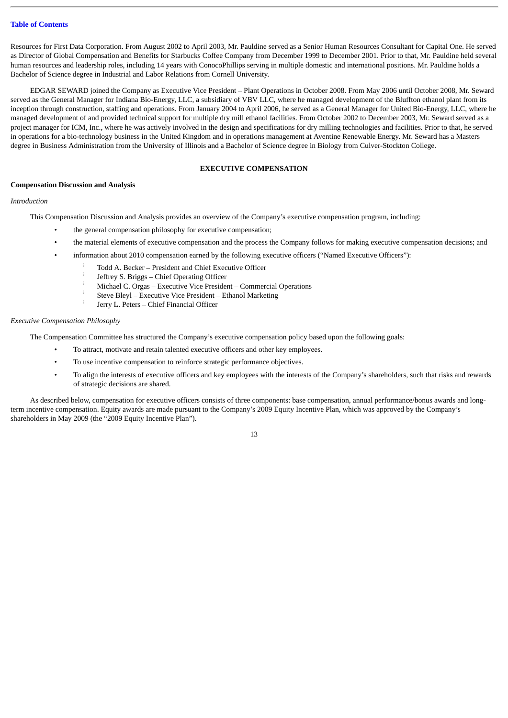Resources for First Data Corporation. From August 2002 to April 2003, Mr. Pauldine served as a Senior Human Resources Consultant for Capital One. He served as Director of Global Compensation and Benefits for Starbucks Coffee Company from December 1999 to December 2001. Prior to that, Mr. Pauldine held several human resources and leadership roles, including 14 years with ConocoPhillips serving in multiple domestic and international positions. Mr. Pauldine holds a Bachelor of Science degree in Industrial and Labor Relations from Cornell University.

EDGAR SEWARD joined the Company as Executive Vice President – Plant Operations in October 2008. From May 2006 until October 2008, Mr. Seward served as the General Manager for Indiana Bio-Energy, LLC, a subsidiary of VBV LLC, where he managed development of the Bluffton ethanol plant from its inception through construction, staffing and operations. From January 2004 to April 2006, he served as a General Manager for United Bio-Energy, LLC, where he managed development of and provided technical support for multiple dry mill ethanol facilities. From October 2002 to December 2003, Mr. Seward served as a project manager for ICM, Inc., where he was actively involved in the design and specifications for dry milling technologies and facilities. Prior to that, he served in operations for a bio-technology business in the United Kingdom and in operations management at Aventine Renewable Energy. Mr. Seward has a Masters degree in Business Administration from the University of Illinois and a Bachelor of Science degree in Biology from Culver-Stockton College.

### **EXECUTIVE COMPENSATION**

### <span id="page-17-1"></span><span id="page-17-0"></span>**Compensation Discussion and Analysis**

### *Introduction*

This Compensation Discussion and Analysis provides an overview of the Company's executive compensation program, including:

- the general compensation philosophy for executive compensation;
- the material elements of executive compensation and the process the Company follows for making executive compensation decisions; and
- information about 2010 compensation earned by the following executive officers ("Named Executive Officers"):
	- Todd A. Becker President and Chief Executive Officer ¡ ¡
		- Jeffrey S. Briggs Chief Operating Officer
		- Michael C. Orgas Executive Vice President Commercial Operations ¡ ¡
		- Steve Bleyl Executive Vice President Ethanol Marketing
		- Jerry L. Peters Chief Financial Officer ¡

### *Executive Compensation Philosophy*

The Compensation Committee has structured the Company's executive compensation policy based upon the following goals:

- To attract, motivate and retain talented executive officers and other key employees.
- To use incentive compensation to reinforce strategic performance objectives.
- To align the interests of executive officers and key employees with the interests of the Company's shareholders, such that risks and rewards of strategic decisions are shared.

As described below, compensation for executive officers consists of three components: base compensation, annual performance/bonus awards and longterm incentive compensation. Equity awards are made pursuant to the Company's 2009 Equity Incentive Plan, which was approved by the Company's shareholders in May 2009 (the "2009 Equity Incentive Plan").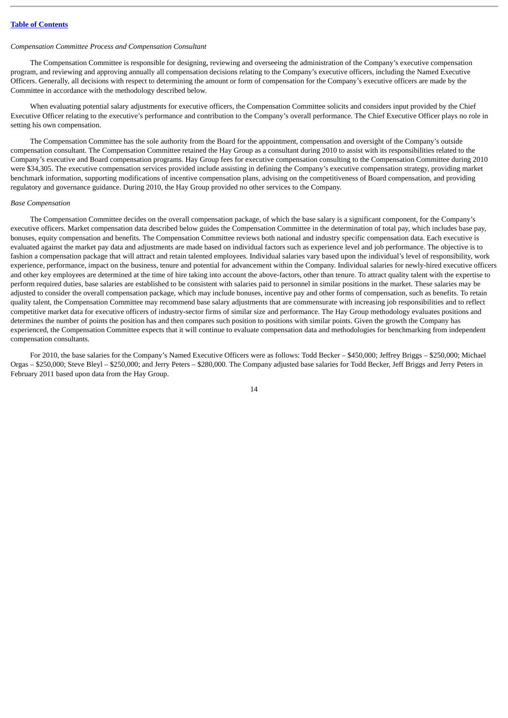#### *Compensation Committee Process and Compensation Consultant*

The Compensation Committee is responsible for designing, reviewing and overseeing the administration of the Company's executive compensation program, and reviewing and approving annually all compensation decisions relating to the Company's executive officers, including the Named Executive Officers. Generally, all decisions with respect to determining the amount or form of compensation for the Company's executive officers are made by the Committee in accordance with the methodology described below.

When evaluating potential salary adjustments for executive officers, the Compensation Committee solicits and considers input provided by the Chief Executive Officer relating to the executive's performance and contribution to the Company's overall performance. The Chief Executive Officer plays no role in setting his own compensation.

The Compensation Committee has the sole authority from the Board for the appointment, compensation and oversight of the Company's outside compensation consultant. The Compensation Committee retained the Hay Group as a consultant during 2010 to assist with its responsibilities related to the Company's executive and Board compensation programs. Hay Group fees for executive compensation consulting to the Compensation Committee during 2010 were \$34,305. The executive compensation services provided include assisting in defining the Company's executive compensation strategy, providing market benchmark information, supporting modifications of incentive compensation plans, advising on the competitiveness of Board compensation, and providing regulatory and governance guidance. During 2010, the Hay Group provided no other services to the Company.

#### *Base Compensation*

The Compensation Committee decides on the overall compensation package, of which the base salary is a significant component, for the Company's executive officers. Market compensation data described below guides the Compensation Committee in the determination of total pay, which includes base pay, bonuses, equity compensation and benefits. The Compensation Committee reviews both national and industry specific compensation data. Each executive is evaluated against the market pay data and adjustments are made based on individual factors such as experience level and job performance. The objective is to fashion a compensation package that will attract and retain talented employees. Individual salaries vary based upon the individual's level of responsibility, work experience, performance, impact on the business, tenure and potential for advancement within the Company. Individual salaries for newly-hired executive officers and other key employees are determined at the time of hire taking into account the above-factors, other than tenure. To attract quality talent with the expertise to perform required duties, base salaries are established to be consistent with salaries paid to personnel in similar positions in the market. These salaries may be adjusted to consider the overall compensation package, which may include bonuses, incentive pay and other forms of compensation, such as benefits. To retain quality talent, the Compensation Committee may recommend base salary adjustments that are commensurate with increasing job responsibilities and to reflect competitive market data for executive officers of industry-sector firms of similar size and performance. The Hay Group methodology evaluates positions and determines the number of points the position has and then compares such position to positions with similar points. Given the growth the Company has experienced, the Compensation Committee expects that it will continue to evaluate compensation data and methodologies for benchmarking from independent compensation consultants.

For 2010, the base salaries for the Company's Named Executive Officers were as follows: Todd Becker – \$450,000; Jeffrey Briggs – \$250,000; Michael Orgas – \$250,000; Steve Bleyl – \$250,000; and Jerry Peters – \$280,000. The Company adjusted base salaries for Todd Becker, Jeff Briggs and Jerry Peters in February 2011 based upon data from the Hay Group.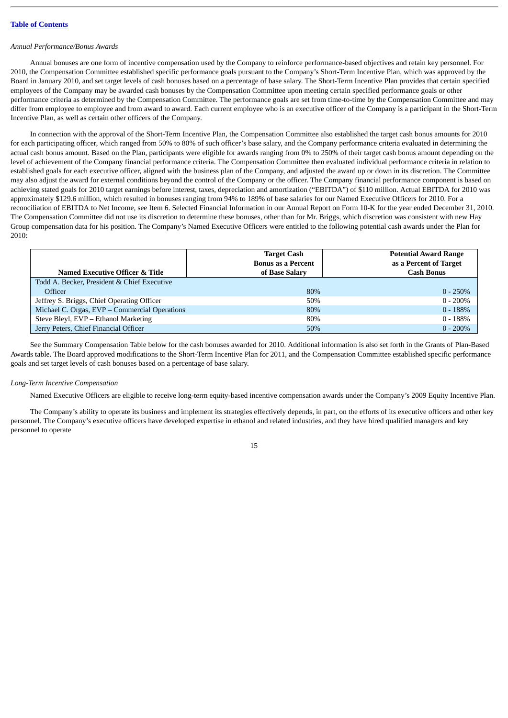### *Annual Performance/Bonus Awards*

Annual bonuses are one form of incentive compensation used by the Company to reinforce performance-based objectives and retain key personnel. For 2010, the Compensation Committee established specific performance goals pursuant to the Company's Short-Term Incentive Plan, which was approved by the Board in January 2010, and set target levels of cash bonuses based on a percentage of base salary. The Short-Term Incentive Plan provides that certain specified employees of the Company may be awarded cash bonuses by the Compensation Committee upon meeting certain specified performance goals or other performance criteria as determined by the Compensation Committee. The performance goals are set from time-to-time by the Compensation Committee and may differ from employee to employee and from award to award. Each current employee who is an executive officer of the Company is a participant in the Short-Term Incentive Plan, as well as certain other officers of the Company.

In connection with the approval of the Short-Term Incentive Plan, the Compensation Committee also established the target cash bonus amounts for 2010 for each participating officer, which ranged from 50% to 80% of such officer's base salary, and the Company performance criteria evaluated in determining the actual cash bonus amount. Based on the Plan, participants were eligible for awards ranging from 0% to 250% of their target cash bonus amount depending on the level of achievement of the Company financial performance criteria. The Compensation Committee then evaluated individual performance criteria in relation to established goals for each executive officer, aligned with the business plan of the Company, and adjusted the award up or down in its discretion. The Committee may also adjust the award for external conditions beyond the control of the Company or the officer. The Company financial performance component is based on achieving stated goals for 2010 target earnings before interest, taxes, depreciation and amortization ("EBITDA") of \$110 million. Actual EBITDA for 2010 was approximately \$129.6 million, which resulted in bonuses ranging from 94% to 189% of base salaries for our Named Executive Officers for 2010. For a reconciliation of EBITDA to Net Income, see Item 6. Selected Financial Information in our Annual Report on Form 10-K for the year ended December 31, 2010. The Compensation Committee did not use its discretion to determine these bonuses, other than for Mr. Briggs, which discretion was consistent with new Hay Group compensation data for his position. The Company's Named Executive Officers were entitled to the following potential cash awards under the Plan for 2010:

| <b>Named Executive Officer &amp; Title</b>    | <b>Target Cash</b><br><b>Bonus as a Percent</b><br>of Base Salary | <b>Potential Award Range</b><br>as a Percent of Target<br><b>Cash Bonus</b> |
|-----------------------------------------------|-------------------------------------------------------------------|-----------------------------------------------------------------------------|
| Todd A. Becker, President & Chief Executive   |                                                                   |                                                                             |
| <b>Officer</b>                                | 80%                                                               | $0 - 250\%$                                                                 |
| Jeffrey S. Briggs, Chief Operating Officer    | 50%                                                               | $0 - 200\%$                                                                 |
| Michael C. Orgas, EVP - Commercial Operations | 80%                                                               | $0 - 188%$                                                                  |
| Steve Bleyl, EVP - Ethanol Marketing          | 80%                                                               | $0 - 188%$                                                                  |
| Jerry Peters, Chief Financial Officer         | 50%                                                               | $0 - 200\%$                                                                 |

See the Summary Compensation Table below for the cash bonuses awarded for 2010. Additional information is also set forth in the Grants of Plan-Based Awards table. The Board approved modifications to the Short-Term Incentive Plan for 2011, and the Compensation Committee established specific performance goals and set target levels of cash bonuses based on a percentage of base salary.

#### *Long-Term Incentive Compensation*

Named Executive Officers are eligible to receive long-term equity-based incentive compensation awards under the Company's 2009 Equity Incentive Plan.

The Company's ability to operate its business and implement its strategies effectively depends, in part, on the efforts of its executive officers and other key personnel. The Company's executive officers have developed expertise in ethanol and related industries, and they have hired qualified managers and key personnel to operate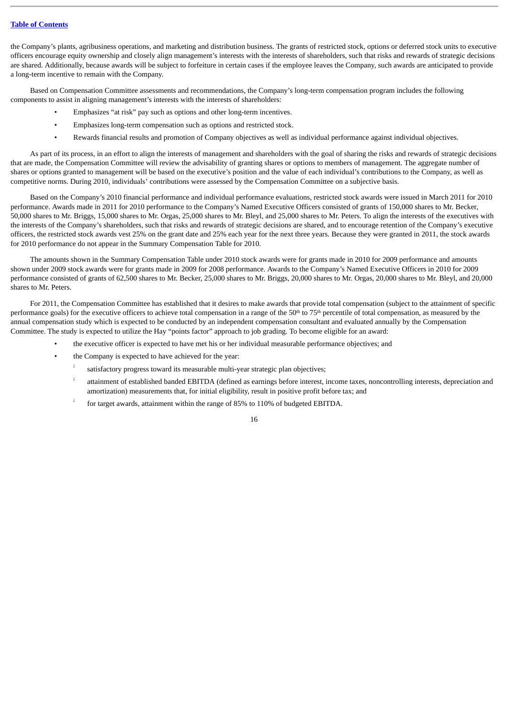the Company's plants, agribusiness operations, and marketing and distribution business. The grants of restricted stock, options or deferred stock units to executive officers encourage equity ownership and closely align management's interests with the interests of shareholders, such that risks and rewards of strategic decisions are shared. Additionally, because awards will be subject to forfeiture in certain cases if the employee leaves the Company, such awards are anticipated to provide a long-term incentive to remain with the Company.

Based on Compensation Committee assessments and recommendations, the Company's long-term compensation program includes the following components to assist in aligning management's interests with the interests of shareholders:

- Emphasizes "at risk" pay such as options and other long-term incentives.
- Emphasizes long-term compensation such as options and restricted stock.
- Rewards financial results and promotion of Company objectives as well as individual performance against individual objectives.

As part of its process, in an effort to align the interests of management and shareholders with the goal of sharing the risks and rewards of strategic decisions that are made, the Compensation Committee will review the advisability of granting shares or options to members of management. The aggregate number of shares or options granted to management will be based on the executive's position and the value of each individual's contributions to the Company, as well as competitive norms. During 2010, individuals' contributions were assessed by the Compensation Committee on a subjective basis.

Based on the Company's 2010 financial performance and individual performance evaluations, restricted stock awards were issued in March 2011 for 2010 performance. Awards made in 2011 for 2010 performance to the Company's Named Executive Officers consisted of grants of 150,000 shares to Mr. Becker, 50,000 shares to Mr. Briggs, 15,000 shares to Mr. Orgas, 25,000 shares to Mr. Bleyl, and 25,000 shares to Mr. Peters. To align the interests of the executives with the interests of the Company's shareholders, such that risks and rewards of strategic decisions are shared, and to encourage retention of the Company's executive officers, the restricted stock awards vest 25% on the grant date and 25% each year for the next three years. Because they were granted in 2011, the stock awards for 2010 performance do not appear in the Summary Compensation Table for 2010.

The amounts shown in the Summary Compensation Table under 2010 stock awards were for grants made in 2010 for 2009 performance and amounts shown under 2009 stock awards were for grants made in 2009 for 2008 performance. Awards to the Company's Named Executive Officers in 2010 for 2009 performance consisted of grants of 62,500 shares to Mr. Becker, 25,000 shares to Mr. Briggs, 20,000 shares to Mr. Orgas, 20,000 shares to Mr. Bleyl, and 20,000 shares to Mr. Peters.

For 2011, the Compensation Committee has established that it desires to make awards that provide total compensation (subject to the attainment of specific performance goals) for the executive officers to achieve total compensation in a range of the 50<sup>th</sup> to 75<sup>th</sup> percentile of total compensation, as measured by the annual compensation study which is expected to be conducted by an independent compensation consultant and evaluated annually by the Compensation Committee. The study is expected to utilize the Hay "points factor" approach to job grading. To become eligible for an award:

- the executive officer is expected to have met his or her individual measurable performance objectives; and
	- the Company is expected to have achieved for the year:
		- satisfactory progress toward its measurable multi-year strategic plan objectives; ¡
		- attainment of established banded EBITDA (defined as earnings before interest, income taxes, noncontrolling interests, depreciation and amortization) measurements that, for initial eligibility, result in positive profit before tax; and ¡
		- for target awards, attainment within the range of 85% to 110% of budgeted EBITDA. ¡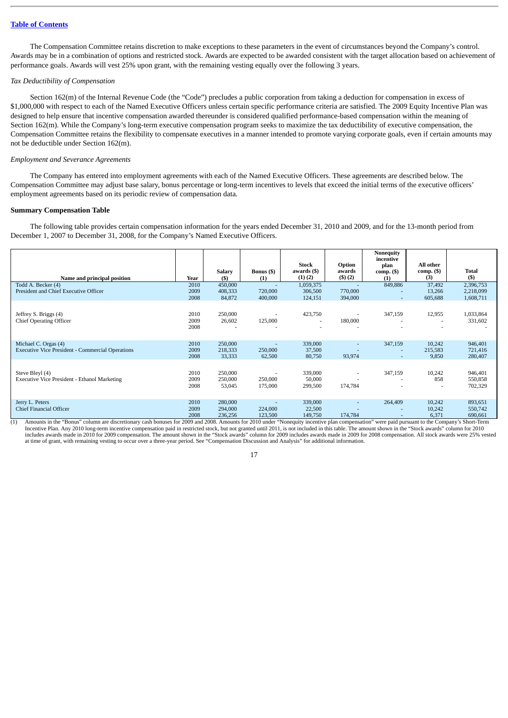The Compensation Committee retains discretion to make exceptions to these parameters in the event of circumstances beyond the Company's control. Awards may be in a combination of options and restricted stock. Awards are expected to be awarded consistent with the target allocation based on achievement of performance goals. Awards will vest 25% upon grant, with the remaining vesting equally over the following 3 years.

### *Tax Deductibility of Compensation*

Section 162(m) of the Internal Revenue Code (the "Code") precludes a public corporation from taking a deduction for compensation in excess of \$1,000,000 with respect to each of the Named Executive Officers unless certain specific performance criteria are satisfied. The 2009 Equity Incentive Plan was designed to help ensure that incentive compensation awarded thereunder is considered qualified performance-based compensation within the meaning of Section 162(m). While the Company's long-term executive compensation program seeks to maximize the tax deductibility of executive compensation, the Compensation Committee retains the flexibility to compensate executives in a manner intended to promote varying corporate goals, even if certain amounts may not be deductible under Section 162(m).

#### *Employment and Severance Agreements*

The Company has entered into employment agreements with each of the Named Executive Officers. These agreements are described below. The Compensation Committee may adjust base salary, bonus percentage or long-term incentives to levels that exceed the initial terms of the executive officers' employment agreements based on its periodic review of compensation data.

### <span id="page-21-0"></span>**Summary Compensation Table**

The following table provides certain compensation information for the years ended December 31, 2010 and 2009, and for the 13-month period from December 1, 2007 to December 31, 2008, for the Company's Named Executive Officers.

|                                                                                 |                      |                               |                    | Stock                           | Option                                   | Nonequity<br>incentive<br>plan      | All other                                 |                                     |
|---------------------------------------------------------------------------------|----------------------|-------------------------------|--------------------|---------------------------------|------------------------------------------|-------------------------------------|-------------------------------------------|-------------------------------------|
| Name and principal position                                                     | Year                 | Salary<br>(S)                 | Bonus (\$)<br>(1)  | awards (\$)<br>$(1)$ $(2)$      | awards<br>(3)(2)                         | $comp. (\$)$<br>(1)                 | $comp. (\$)$<br>(3)                       | <b>Total</b><br>$(5)$               |
| Todd A. Becker (4)<br>President and Chief Executive Officer                     | 2010<br>2009<br>2008 | 450,000<br>408,333<br>84,872  | 720,000<br>400,000 | 1,059,375<br>306,500<br>124,151 | 770,000<br>394,000                       | 849,886<br>٠<br>÷                   | 37,492<br>13,266<br>605,688               | 2,396,753<br>2,218,099<br>1,608,711 |
| Jeffrey S. Briggs (4)<br><b>Chief Operating Officer</b>                         | 2010<br>2009<br>2008 | 250,000<br>26,602             | 125,000            | 423,750                         | $\overline{\phantom{a}}$<br>180,000<br>٠ | 347,159                             | 12,955<br>$\overline{\phantom{a}}$<br>٠   | 1,033,864<br>331,602                |
| Michael C. Orgas (4)<br><b>Executive Vice President - Commercial Operations</b> | 2010<br>2009<br>2008 | 250,000<br>218,333<br>33,333  | 250,000<br>62,500  | 339,000<br>37,500<br>80,750     | ٠<br>93,974                              | 347,159<br>٠<br>÷                   | 10,242<br>215,583<br>9,850                | 946,401<br>721,416<br>280,407       |
| Steve Bleyl (4)<br>Executive Vice President - Ethanol Marketing                 | 2010<br>2009<br>2008 | 250,000<br>250,000<br>53,045  | 250,000<br>175,000 | 339,000<br>50,000<br>299,500    | 174,784                                  | 347,159<br>$\overline{\phantom{a}}$ | 10,242<br>858<br>$\overline{\phantom{a}}$ | 946,401<br>550,858<br>702,329       |
| Jerry L. Peters<br>Chief Financial Officer                                      | 2010<br>2009<br>2008 | 280,000<br>294,000<br>236,256 | 224,000<br>123,500 | 339,000<br>22,500<br>149,750    | ٠<br>174,784                             | 264,409<br>٠<br>۰                   | 10,242<br>10,242<br>6,371                 | 893,651<br>550,742<br>690,661       |

(1) Amounts in the "Bonus" column are discretionary cash bonuses for 2009 and 2008. Amounts for 2010 under "Nonequity incentive plan compensation" were paid pursuant to the Company's Short-Term Incentive Plan. Any 2010 long-term incentive compensation paid in restricted stock, but not granted until 2011, is not included in this table. The amount shown in the "Stock awards" column for 2010 includes awards made in 2010 for 2009 compensation. The amount shown in the "Stock awards" column for 2009 includes awards made in 2009 for 2008 compensation. All stock awards were 25% vested at time of grant, with remaining vesting to occur over a three-year period. See "Compensation Discussion and Analysis" for additional information.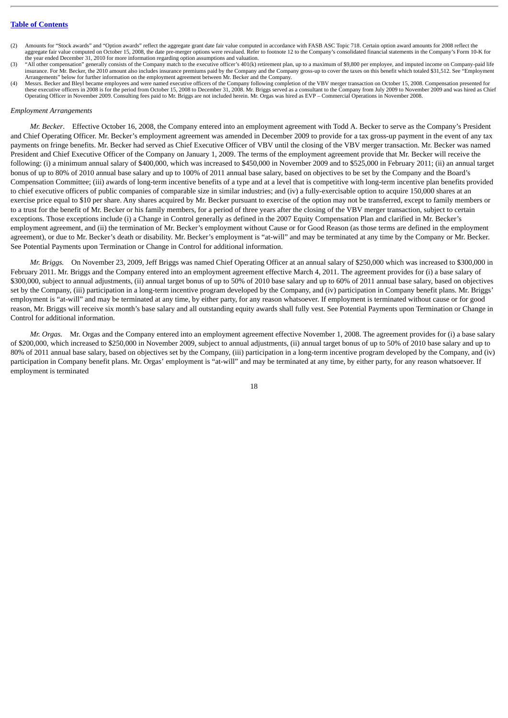- Amounts for "Stock awards" and "Option awards" reflect the aggregate grant date fair value computed in accordance with FASB ASC Topic 718. Certain option award amounts for 2008 reflect the aggregate fair value computed on October 15, 2008, the date pre-merger options were revalued. Refer to footnote 12 to the Company's consolidated financial statements in the Company's Form 10-K for the year ended December 31, 2010 for more information regarding option assumptions and valuation.
- "All other compensation" generally consists of the Company match to the executive officer's 401(k) retirement plan, up to a maximum of \$9,800 per employee, and imputed income on Company-paid life insurance. For Mr. Becker, the 2010 amount also includes insurance premiums paid by the Company and the Company gross-up to cover the taxes on this benefit which totaled \$31,512. See "Employment Arrangements" below for further information on the employment agreement between Mr. Becker and the Company.
- (4) Messrs. Becker and Bleyl became employees and were named executive officers of the Company following completion of the VBV merger transaction on October 15, 2008. Compensation presented for these executive officers in 2008 is for the period from October 15, 2008 to December 31, 2008. Mr. Briggs served as a consultant to the Company from July 2009 to November 2009 and was hired as Chief<br>Operating Officer in No

#### *Employment Arrangements*

*Mr. Becker*. Effective October 16, 2008, the Company entered into an employment agreement with Todd A. Becker to serve as the Company's President and Chief Operating Officer. Mr. Becker's employment agreement was amended in December 2009 to provide for a tax gross-up payment in the event of any tax payments on fringe benefits. Mr. Becker had served as Chief Executive Officer of VBV until the closing of the VBV merger transaction. Mr. Becker was named President and Chief Executive Officer of the Company on January 1, 2009. The terms of the employment agreement provide that Mr. Becker will receive the following: (i) a minimum annual salary of \$400,000, which was increased to \$450,000 in November 2009 and to \$525,000 in February 2011; (ii) an annual target bonus of up to 80% of 2010 annual base salary and up to 100% of 2011 annual base salary, based on objectives to be set by the Company and the Board's Compensation Committee; (iii) awards of long-term incentive benefits of a type and at a level that is competitive with long-term incentive plan benefits provided to chief executive officers of public companies of comparable size in similar industries; and (iv) a fully-exercisable option to acquire 150,000 shares at an exercise price equal to \$10 per share. Any shares acquired by Mr. Becker pursuant to exercise of the option may not be transferred, except to family members or to a trust for the benefit of Mr. Becker or his family members, for a period of three years after the closing of the VBV merger transaction, subject to certain exceptions. Those exceptions include (i) a Change in Control generally as defined in the 2007 Equity Compensation Plan and clarified in Mr. Becker's employment agreement, and (ii) the termination of Mr. Becker's employment without Cause or for Good Reason (as those terms are defined in the employment agreement), or due to Mr. Becker's death or disability. Mr. Becker's employment is "at-will" and may be terminated at any time by the Company or Mr. Becker. See Potential Payments upon Termination or Change in Control for additional information.

*Mr. Briggs.* On November 23, 2009, Jeff Briggs was named Chief Operating Officer at an annual salary of \$250,000 which was increased to \$300,000 in February 2011. Mr. Briggs and the Company entered into an employment agreement effective March 4, 2011. The agreement provides for (i) a base salary of \$300,000, subject to annual adjustments, (ii) annual target bonus of up to 50% of 2010 base salary and up to 60% of 2011 annual base salary, based on objectives set by the Company, (iii) participation in a long-term incentive program developed by the Company, and (iv) participation in Company benefit plans. Mr. Briggs' employment is "at-will" and may be terminated at any time, by either party, for any reason whatsoever. If employment is terminated without cause or for good reason, Mr. Briggs will receive six month's base salary and all outstanding equity awards shall fully vest. See Potential Payments upon Termination or Change in Control for additional information.

*Mr. Orgas.* Mr. Orgas and the Company entered into an employment agreement effective November 1, 2008. The agreement provides for (i) a base salary of \$200,000, which increased to \$250,000 in November 2009, subject to annual adjustments, (ii) annual target bonus of up to 50% of 2010 base salary and up to 80% of 2011 annual base salary, based on objectives set by the Company, (iii) participation in a long-term incentive program developed by the Company, and (iv) participation in Company benefit plans. Mr. Orgas' employment is "at-will" and may be terminated at any time, by either party, for any reason whatsoever. If employment is terminated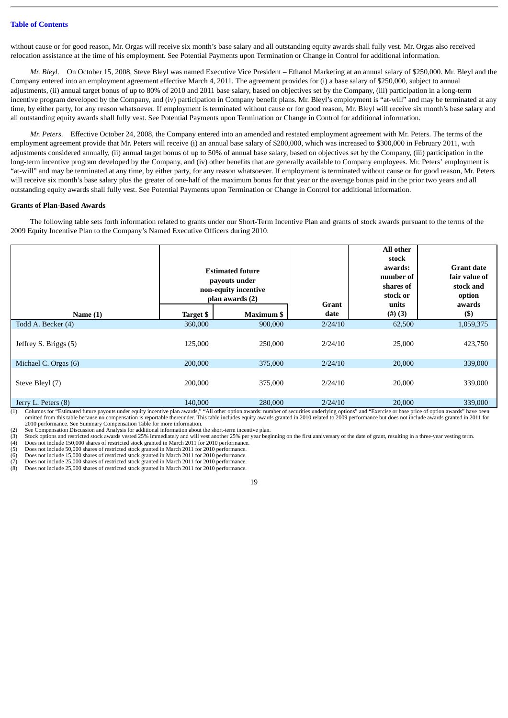without cause or for good reason, Mr. Orgas will receive six month's base salary and all outstanding equity awards shall fully vest. Mr. Orgas also received relocation assistance at the time of his employment. See Potential Payments upon Termination or Change in Control for additional information.

*Mr. Bleyl.* On October 15, 2008, Steve Bleyl was named Executive Vice President – Ethanol Marketing at an annual salary of \$250,000. Mr. Bleyl and the Company entered into an employment agreement effective March 4, 2011. The agreement provides for (i) a base salary of \$250,000, subject to annual adjustments, (ii) annual target bonus of up to 80% of 2010 and 2011 base salary, based on objectives set by the Company, (iii) participation in a long-term incentive program developed by the Company, and (iv) participation in Company benefit plans. Mr. Bleyl's employment is "at-will" and may be terminated at any time, by either party, for any reason whatsoever. If employment is terminated without cause or for good reason, Mr. Bleyl will receive six month's base salary and all outstanding equity awards shall fully vest. See Potential Payments upon Termination or Change in Control for additional information.

*Mr. Peters*. Effective October 24, 2008, the Company entered into an amended and restated employment agreement with Mr. Peters. The terms of the employment agreement provide that Mr. Peters will receive (i) an annual base salary of \$280,000, which was increased to \$300,000 in February 2011, with adjustments considered annually, (ii) annual target bonus of up to 50% of annual base salary, based on objectives set by the Company, (iii) participation in the long-term incentive program developed by the Company, and (iv) other benefits that are generally available to Company employees. Mr. Peters' employment is "at-will" and may be terminated at any time, by either party, for any reason whatsoever. If employment is terminated without cause or for good reason, Mr. Peters will receive six month's base salary plus the greater of one-half of the maximum bonus for that year or the average bonus paid in the prior two years and all outstanding equity awards shall fully vest. See Potential Payments upon Termination or Change in Control for additional information.

#### <span id="page-23-0"></span>**Grants of Plan-Based Awards**

The following table sets forth information related to grants under our Short-Term Incentive Plan and grants of stock awards pursuant to the terms of the 2009 Equity Incentive Plan to the Company's Named Executive Officers during 2010.

|                       | <b>Estimated future</b><br>payouts under<br>non-equity incentive<br>plan awards (2) |                   | Grant   | All other<br>stock<br>awards:<br>number of<br>shares of<br>stock or<br>units | <b>Grant date</b><br>fair value of<br>stock and<br>option<br>awards |
|-----------------------|-------------------------------------------------------------------------------------|-------------------|---------|------------------------------------------------------------------------------|---------------------------------------------------------------------|
| Name $(1)$            | <b>Target \$</b>                                                                    | <b>Maximum \$</b> | date    | $(\#)(3)$                                                                    | $($ \$                                                              |
| Todd A. Becker (4)    | 360,000                                                                             | 900,000           | 2/24/10 | 62,500                                                                       | 1,059,375                                                           |
| Jeffrey S. Briggs (5) | 125,000                                                                             | 250,000           | 2/24/10 | 25,000                                                                       | 423,750                                                             |
| Michael C. Orgas (6)  | 200,000                                                                             | 375,000           | 2/24/10 | 20,000                                                                       | 339,000                                                             |
| Steve Bleyl (7)       | 200,000                                                                             | 375,000           | 2/24/10 | 20,000                                                                       | 339,000                                                             |
| Jerry L. Peters (8)   | 140,000                                                                             | 280,000           | 2/24/10 | 20,000                                                                       | 339,000                                                             |

(1) Columns for "Estimated future payouts under equity incentive plan awards," "All other option awards: number of securities underlying options" and "Exercise or base price of option awards" have been omitted from this table because no compensation is reportable thereunder. This table includes equity awards granted in 2010 related to 2009 performance but does not include awards granted in 2011 for<br>2010 performance. See

(2) See Compensation Discussion and Analysis for additional information about the short-term incentive plan.<br>
(3) Stock options and restricted stock awards vested 25% immediately and will vest another 25% per year begi<br>
( Stock options and restricted stock awards vested 25% immediately and will vest another 25% per year beginning on the first anniversary of the date of grant, resulting in a three-year vesting term.

Does not include 150,000 shares of restricted stock granted in March 2011 for 2010 performance.

Does not include 50,000 shares of restricted stock granted in March 2011 for 2010 performance.

(6) Does not include 15,000 shares of restricted stock granted in March 2011 for 2010 performance.

Does not include 25,000 shares of restricted stock granted in March 2011 for 2010 performance.

Does not include 25,000 shares of restricted stock granted in March 2011 for 2010 performance.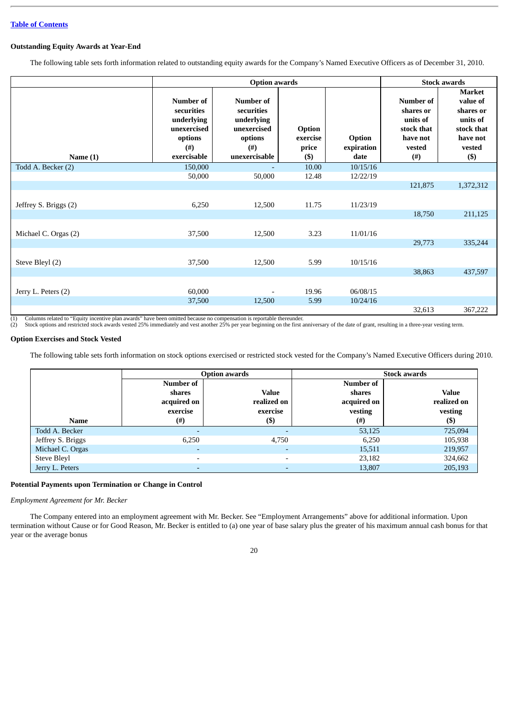### <span id="page-24-0"></span>**Outstanding Equity Awards at Year-End**

The following table sets forth information related to outstanding equity awards for the Company's Named Executive Officers as of December 31, 2010.

|                       |                                                                                             |                                                                                                     | <b>Stock awards</b>                           |                                     |                                                                                     |                                                                                                   |
|-----------------------|---------------------------------------------------------------------------------------------|-----------------------------------------------------------------------------------------------------|-----------------------------------------------|-------------------------------------|-------------------------------------------------------------------------------------|---------------------------------------------------------------------------------------------------|
| Name $(1)$            | Number of<br>securities<br>underlying<br>unexercised<br>options<br>$($ # $)$<br>exercisable | <b>Number of</b><br>securities<br>underlying<br>unexercised<br>options<br>$^{(#)}$<br>unexercisable | <b>Option</b><br>exercise<br>price<br>$($ \$) | <b>Option</b><br>expiration<br>date | Number of<br>shares or<br>units of<br>stock that<br>have not<br>vested<br>$($ # $)$ | <b>Market</b><br>value of<br>shares or<br>units of<br>stock that<br>have not<br>vested<br>$($ \$) |
| Todd A. Becker (2)    | 150,000                                                                                     |                                                                                                     | 10.00                                         | 10/15/16                            |                                                                                     |                                                                                                   |
|                       | 50,000                                                                                      | 50,000                                                                                              | 12.48                                         | 12/22/19                            |                                                                                     |                                                                                                   |
|                       |                                                                                             |                                                                                                     |                                               |                                     | 121,875                                                                             | 1,372,312                                                                                         |
| Jeffrey S. Briggs (2) | 6,250                                                                                       | 12,500                                                                                              | 11.75                                         | 11/23/19                            |                                                                                     |                                                                                                   |
|                       |                                                                                             |                                                                                                     |                                               |                                     | 18,750                                                                              | 211,125                                                                                           |
| Michael C. Orgas (2)  | 37,500                                                                                      | 12,500                                                                                              | 3.23                                          | 11/01/16                            |                                                                                     |                                                                                                   |
|                       |                                                                                             |                                                                                                     |                                               |                                     | 29,773                                                                              | 335,244                                                                                           |
| Steve Bleyl (2)       | 37,500                                                                                      | 12,500                                                                                              | 5.99                                          | 10/15/16                            |                                                                                     |                                                                                                   |
|                       |                                                                                             |                                                                                                     |                                               |                                     | 38,863                                                                              | 437,597                                                                                           |
| Jerry L. Peters (2)   | 60,000                                                                                      | $\overline{a}$                                                                                      | 19.96                                         | 06/08/15                            |                                                                                     |                                                                                                   |
|                       | 37,500                                                                                      | 12,500                                                                                              | 5.99                                          | 10/24/16                            |                                                                                     |                                                                                                   |
|                       |                                                                                             |                                                                                                     |                                               |                                     | 32,613                                                                              | 367,222                                                                                           |

(1) Columns related to "Equity incentive plan awards" have been omitted because no compensation is reportable thereunder.

Stock options and restricted stock awards vested 25% immediately and vest another 25% per year beginning on the first anniversary of the date of grant, resulting in a three-year vesting term.

#### <span id="page-24-1"></span>**Option Exercises and Stock Vested**

The following table sets forth information on stock options exercised or restricted stock vested for the Company's Named Executive Officers during 2010.

|                   |                                                | <b>Option awards</b>                    |                                               | <b>Stock awards</b>                    |
|-------------------|------------------------------------------------|-----------------------------------------|-----------------------------------------------|----------------------------------------|
|                   | Number of<br>shares<br>acquired on<br>exercise | <b>Value</b><br>realized on<br>exercise | Number of<br>shares<br>acquired on<br>vesting | <b>Value</b><br>realized on<br>vesting |
| <b>Name</b>       | (#)                                            | $($ \$)                                 | (#)                                           | $($ \$                                 |
| Todd A. Becker    | ٠                                              |                                         | 53,125                                        | 725,094                                |
| Jeffrey S. Briggs | 6,250                                          | 4,750                                   | 6,250                                         | 105,938                                |
| Michael C. Orgas  | $\overline{\phantom{0}}$                       |                                         | 15,511                                        | 219,957                                |
| Steve Bleyl       | $\overline{\phantom{0}}$                       | $\overline{\phantom{0}}$                | 23,182                                        | 324,662                                |
| Jerry L. Peters   |                                                |                                         | 13,807                                        | 205,193                                |

### <span id="page-24-2"></span>**Potential Payments upon Termination or Change in Control**

*Employment Agreement for Mr. Becker*

The Company entered into an employment agreement with Mr. Becker. See "Employment Arrangements" above for additional information. Upon termination without Cause or for Good Reason, Mr. Becker is entitled to (a) one year of base salary plus the greater of his maximum annual cash bonus for that year or the average bonus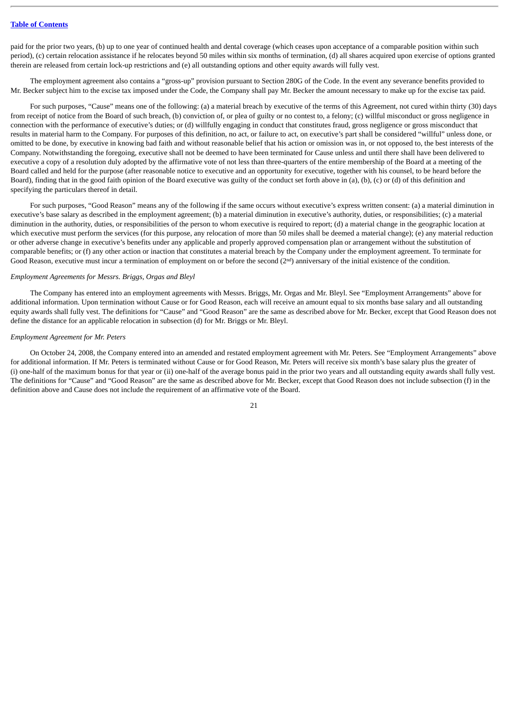paid for the prior two years, (b) up to one year of continued health and dental coverage (which ceases upon acceptance of a comparable position within such period), (c) certain relocation assistance if he relocates beyond 50 miles within six months of termination, (d) all shares acquired upon exercise of options granted therein are released from certain lock-up restrictions and (e) all outstanding options and other equity awards will fully vest.

The employment agreement also contains a "gross-up" provision pursuant to Section 280G of the Code. In the event any severance benefits provided to Mr. Becker subject him to the excise tax imposed under the Code, the Company shall pay Mr. Becker the amount necessary to make up for the excise tax paid.

For such purposes, "Cause" means one of the following: (a) a material breach by executive of the terms of this Agreement, not cured within thirty (30) days from receipt of notice from the Board of such breach, (b) conviction of, or plea of guilty or no contest to, a felony; (c) willful misconduct or gross negligence in connection with the performance of executive's duties; or (d) willfully engaging in conduct that constitutes fraud, gross negligence or gross misconduct that results in material harm to the Company. For purposes of this definition, no act, or failure to act, on executive's part shall be considered "willful" unless done, or omitted to be done, by executive in knowing bad faith and without reasonable belief that his action or omission was in, or not opposed to, the best interests of the Company. Notwithstanding the foregoing, executive shall not be deemed to have been terminated for Cause unless and until there shall have been delivered to executive a copy of a resolution duly adopted by the affirmative vote of not less than three-quarters of the entire membership of the Board at a meeting of the Board called and held for the purpose (after reasonable notice to executive and an opportunity for executive, together with his counsel, to be heard before the Board), finding that in the good faith opinion of the Board executive was guilty of the conduct set forth above in (a), (b), (c) or (d) of this definition and specifying the particulars thereof in detail.

For such purposes, "Good Reason" means any of the following if the same occurs without executive's express written consent: (a) a material diminution in executive's base salary as described in the employment agreement; (b) a material diminution in executive's authority, duties, or responsibilities; (c) a material diminution in the authority, duties, or responsibilities of the person to whom executive is required to report; (d) a material change in the geographic location at which executive must perform the services (for this purpose, any relocation of more than 50 miles shall be deemed a material change); (e) any material reduction or other adverse change in executive's benefits under any applicable and properly approved compensation plan or arrangement without the substitution of comparable benefits; or (f) any other action or inaction that constitutes a material breach by the Company under the employment agreement. To terminate for Good Reason, executive must incur a termination of employment on or before the second  $(2<sup>nd</sup>)$  anniversary of the initial existence of the condition.

#### *Employment Agreements for Messrs. Briggs, Orgas and Bleyl*

The Company has entered into an employment agreements with Messrs. Briggs, Mr. Orgas and Mr. Bleyl. See "Employment Arrangements" above for additional information. Upon termination without Cause or for Good Reason, each will receive an amount equal to six months base salary and all outstanding equity awards shall fully vest. The definitions for "Cause" and "Good Reason" are the same as described above for Mr. Becker, except that Good Reason does not define the distance for an applicable relocation in subsection (d) for Mr. Briggs or Mr. Bleyl.

#### *Employment Agreement for Mr. Peters*

On October 24, 2008, the Company entered into an amended and restated employment agreement with Mr. Peters. See "Employment Arrangements" above for additional information. If Mr. Peters is terminated without Cause or for Good Reason, Mr. Peters will receive six month's base salary plus the greater of (i) one-half of the maximum bonus for that year or (ii) one-half of the average bonus paid in the prior two years and all outstanding equity awards shall fully vest. The definitions for "Cause" and "Good Reason" are the same as described above for Mr. Becker, except that Good Reason does not include subsection (f) in the definition above and Cause does not include the requirement of an affirmative vote of the Board.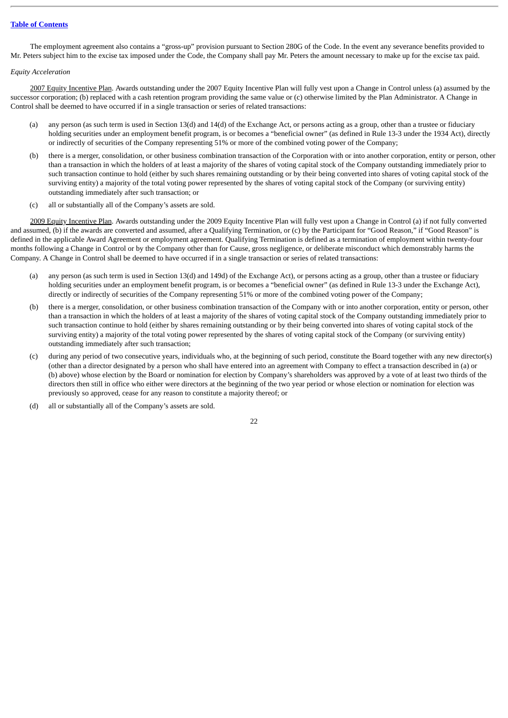The employment agreement also contains a "gross-up" provision pursuant to Section 280G of the Code. In the event any severance benefits provided to Mr. Peters subject him to the excise tax imposed under the Code, the Company shall pay Mr. Peters the amount necessary to make up for the excise tax paid.

#### *Equity Acceleration*

2007 Equity Incentive Plan. Awards outstanding under the 2007 Equity Incentive Plan will fully vest upon a Change in Control unless (a) assumed by the successor corporation; (b) replaced with a cash retention program providing the same value or (c) otherwise limited by the Plan Administrator. A Change in Control shall be deemed to have occurred if in a single transaction or series of related transactions:

- (a) any person (as such term is used in Section 13(d) and 14(d) of the Exchange Act, or persons acting as a group, other than a trustee or fiduciary holding securities under an employment benefit program, is or becomes a "beneficial owner" (as defined in Rule 13-3 under the 1934 Act), directly or indirectly of securities of the Company representing 51% or more of the combined voting power of the Company;
- (b) there is a merger, consolidation, or other business combination transaction of the Corporation with or into another corporation, entity or person, other than a transaction in which the holders of at least a majority of the shares of voting capital stock of the Company outstanding immediately prior to such transaction continue to hold (either by such shares remaining outstanding or by their being converted into shares of voting capital stock of the surviving entity) a majority of the total voting power represented by the shares of voting capital stock of the Company (or surviving entity) outstanding immediately after such transaction; or
- (c) all or substantially all of the Company's assets are sold.

2009 Equity Incentive Plan. Awards outstanding under the 2009 Equity Incentive Plan will fully vest upon a Change in Control (a) if not fully converted and assumed, (b) if the awards are converted and assumed, after a Qualifying Termination, or (c) by the Participant for "Good Reason," if "Good Reason" is defined in the applicable Award Agreement or employment agreement. Qualifying Termination is defined as a termination of employment within twenty-four months following a Change in Control or by the Company other than for Cause, gross negligence, or deliberate misconduct which demonstrably harms the Company. A Change in Control shall be deemed to have occurred if in a single transaction or series of related transactions:

- (a) any person (as such term is used in Section 13(d) and 149d) of the Exchange Act), or persons acting as a group, other than a trustee or fiduciary holding securities under an employment benefit program, is or becomes a "beneficial owner" (as defined in Rule 13-3 under the Exchange Act), directly or indirectly of securities of the Company representing 51% or more of the combined voting power of the Company;
- (b) there is a merger, consolidation, or other business combination transaction of the Company with or into another corporation, entity or person, other than a transaction in which the holders of at least a majority of the shares of voting capital stock of the Company outstanding immediately prior to such transaction continue to hold (either by shares remaining outstanding or by their being converted into shares of voting capital stock of the surviving entity) a majority of the total voting power represented by the shares of voting capital stock of the Company (or surviving entity) outstanding immediately after such transaction;
- (c) during any period of two consecutive years, individuals who, at the beginning of such period, constitute the Board together with any new director(s) (other than a director designated by a person who shall have entered into an agreement with Company to effect a transaction described in (a) or (b) above) whose election by the Board or nomination for election by Company's shareholders was approved by a vote of at least two thirds of the directors then still in office who either were directors at the beginning of the two year period or whose election or nomination for election was previously so approved, cease for any reason to constitute a majority thereof; or
- (d) all or substantially all of the Company's assets are sold.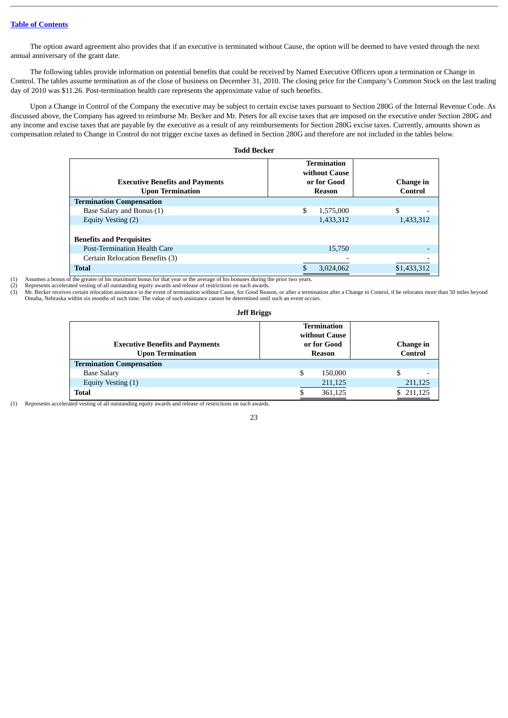The option award agreement also provides that if an executive is terminated without Cause, the option will be deemed to have vested through the next annual anniversary of the grant date.

The following tables provide information on potential benefits that could be received by Named Executive Officers upon a termination or Change in Control. The tables assume termination as of the close of business on December 31, 2010. The closing price for the Company's Common Stock on the last trading day of 2010 was \$11.26. Post-termination health care represents the approximate value of such benefits.

Upon a Change in Control of the Company the executive may be subject to certain excise taxes pursuant to Section 280G of the Internal Revenue Code. As discussed above, the Company has agreed to reimburse Mr. Becker and Mr. Peters for all excise taxes that are imposed on the executive under Section 280G and any income and excise taxes that are payable by the executive as a result of any reimbursements for Section 280G excise taxes. Currently, amounts shown as compensation related to Change in Control do not trigger excise taxes as defined in Section 280G and therefore are not included in the tables below.

**Todd Becker**

| <b>Executive Benefits and Payments</b><br><b>Upon Termination</b> | <b>Termination</b><br>without Cause<br>or for Good<br>Reason | Change in<br>Control |
|-------------------------------------------------------------------|--------------------------------------------------------------|----------------------|
| <b>Termination Compensation</b>                                   |                                                              |                      |
| Base Salary and Bonus (1)                                         | \$<br>1,575,000                                              | \$                   |
| Equity Vesting (2)                                                | 1,433,312                                                    | 1,433,312            |
| <b>Benefits and Perquisites</b>                                   |                                                              |                      |
| <b>Post-Termination Health Care</b>                               | 15,750                                                       |                      |
| Certain Relocation Benefits (3)                                   |                                                              |                      |
| <b>Total</b>                                                      | 3,024,062                                                    | \$1,433,312          |

(1) Assumes a bonus of the greater of his maximum bonus for that year or the average of his bonuses during the prior two years.

(2) Represents accelerated vesting of all outstanding equity awards and release of restrictions on such awards.<br>(3) Mr. Becker receives certain relocation assistance in the event of termination without Cause, for Good Reas

Mr. Becker receives certain relocation assistance in the event of termination without Cause, for Good Reason, or after a termination after a Change in Control, if he relocates more than 50 miles beyond Omaha, Nebraska within six months of such time. The value of such assistance cannot be determined until such an event occurs.

### **Jeff Briggs**

| <b>Executive Benefits and Payments</b><br><b>Upon Termination</b> | <b>Termination</b><br>without Cause<br>or for Good<br>Reason | Change in<br>Control |
|-------------------------------------------------------------------|--------------------------------------------------------------|----------------------|
| <b>Termination Compensation</b>                                   |                                                              |                      |
| <b>Base Salary</b>                                                | \$<br>150,000                                                |                      |
| Equity Vesting (1)                                                | 211,125                                                      | 211,125              |
| <b>Total</b>                                                      | 361,125                                                      | \$211,125            |

(1) Represents accelerated vesting of all outstanding equity awards and release of restrictions on such awards.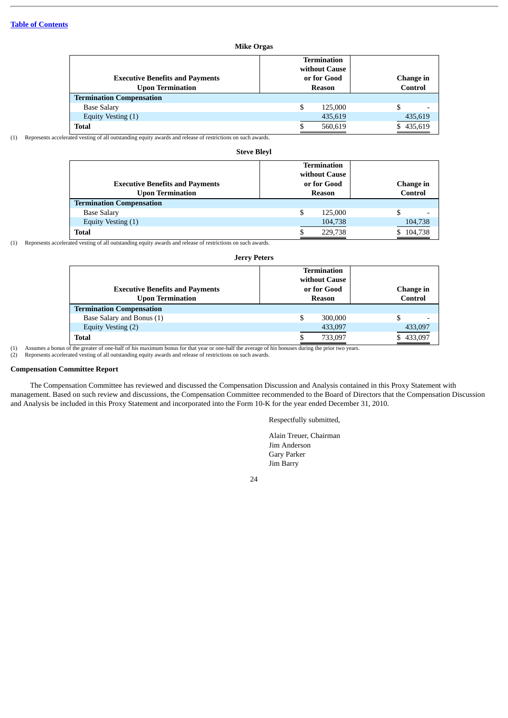| <b>Mike Orgas</b>                                                 |                                                              |                      |  |  |  |  |
|-------------------------------------------------------------------|--------------------------------------------------------------|----------------------|--|--|--|--|
| <b>Executive Benefits and Payments</b><br><b>Upon Termination</b> | <b>Termination</b><br>without Cause<br>or for Good<br>Reason | Change in<br>Control |  |  |  |  |
| <b>Termination Compensation</b>                                   |                                                              |                      |  |  |  |  |
| <b>Base Salary</b>                                                | \$<br>125,000                                                |                      |  |  |  |  |
| Equity Vesting (1)                                                | 435,619                                                      | 435,619              |  |  |  |  |
| <b>Total</b>                                                      | 560,619                                                      | 435,619              |  |  |  |  |

(1) Represents accelerated vesting of all outstanding equity awards and release of restrictions on such awards.

| <b>Steve Blevl</b>                                                |                                     |                      |  |  |  |  |  |  |  |  |
|-------------------------------------------------------------------|-------------------------------------|----------------------|--|--|--|--|--|--|--|--|
|                                                                   | <b>Termination</b><br>without Cause |                      |  |  |  |  |  |  |  |  |
| <b>Executive Benefits and Payments</b><br><b>Upon Termination</b> | or for Good<br>Reason               | Change in<br>Control |  |  |  |  |  |  |  |  |
| <b>Termination Compensation</b>                                   |                                     |                      |  |  |  |  |  |  |  |  |
| <b>Base Salary</b>                                                | \$<br>125,000                       | \$                   |  |  |  |  |  |  |  |  |
| Equity Vesting (1)                                                | 104,738                             | 104,738              |  |  |  |  |  |  |  |  |
| <b>Total</b>                                                      | 229,738                             | 104,738<br>S.        |  |  |  |  |  |  |  |  |

(1) Represents accelerated vesting of all outstanding equity awards and release of restrictions on such awards.

| <b>Jerry Peters</b>                    |                              |           |  |  |  |  |  |  |  |
|----------------------------------------|------------------------------|-----------|--|--|--|--|--|--|--|
|                                        | Termination<br>without Cause |           |  |  |  |  |  |  |  |
| <b>Executive Benefits and Payments</b> | or for Good                  | Change in |  |  |  |  |  |  |  |
| <b>Upon Termination</b>                | Reason                       | Control   |  |  |  |  |  |  |  |
| <b>Termination Compensation</b>        |                              |           |  |  |  |  |  |  |  |
| Base Salary and Bonus (1)              | 300,000                      |           |  |  |  |  |  |  |  |
| Equity Vesting (2)                     | 433,097                      | 433,097   |  |  |  |  |  |  |  |
| Total                                  | 733,097                      | 433,097   |  |  |  |  |  |  |  |

(1) Assumes a bonus of the greater of one-half of his maximum bonus for that year or one-half the average of his bonuses during the prior two years.<br>(2) Represents accelerated vesting of all outstanding equity awards and r

### <span id="page-28-0"></span>**Compensation Committee Report**

The Compensation Committee has reviewed and discussed the Compensation Discussion and Analysis contained in this Proxy Statement with management. Based on such review and discussions, the Compensation Committee recommended to the Board of Directors that the Compensation Discussion and Analysis be included in this Proxy Statement and incorporated into the Form 10-K for the year ended December 31, 2010.

### Respectfully submitted,

Alain Treuer, Chairman Jim Anderson Gary Parker Jim Barry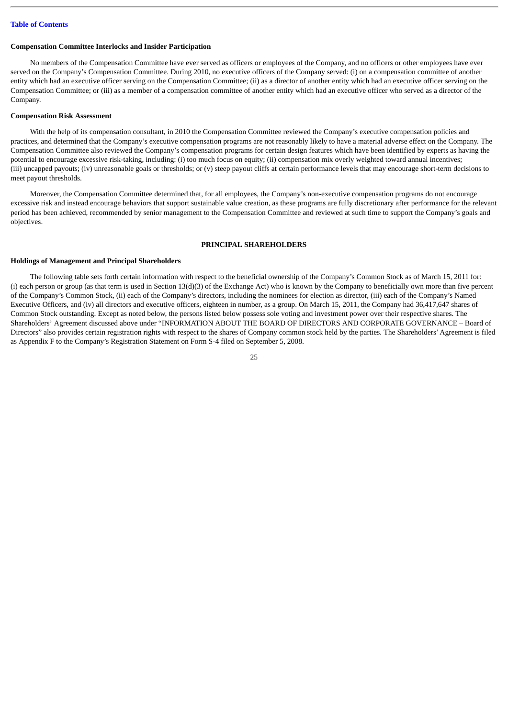#### <span id="page-29-0"></span>**Compensation Committee Interlocks and Insider Participation**

No members of the Compensation Committee have ever served as officers or employees of the Company, and no officers or other employees have ever served on the Company's Compensation Committee. During 2010, no executive officers of the Company served: (i) on a compensation committee of another entity which had an executive officer serving on the Compensation Committee; (ii) as a director of another entity which had an executive officer serving on the Compensation Committee; or (iii) as a member of a compensation committee of another entity which had an executive officer who served as a director of the Company.

### <span id="page-29-1"></span>**Compensation Risk Assessment**

With the help of its compensation consultant, in 2010 the Compensation Committee reviewed the Company's executive compensation policies and practices, and determined that the Company's executive compensation programs are not reasonably likely to have a material adverse effect on the Company. The Compensation Committee also reviewed the Company's compensation programs for certain design features which have been identified by experts as having the potential to encourage excessive risk-taking, including: (i) too much focus on equity; (ii) compensation mix overly weighted toward annual incentives; (iii) uncapped payouts; (iv) unreasonable goals or thresholds; or (v) steep payout cliffs at certain performance levels that may encourage short-term decisions to meet payout thresholds.

Moreover, the Compensation Committee determined that, for all employees, the Company's non-executive compensation programs do not encourage excessive risk and instead encourage behaviors that support sustainable value creation, as these programs are fully discretionary after performance for the relevant period has been achieved, recommended by senior management to the Compensation Committee and reviewed at such time to support the Company's goals and objectives.

### **PRINCIPAL SHAREHOLDERS**

### <span id="page-29-3"></span><span id="page-29-2"></span>**Holdings of Management and Principal Shareholders**

The following table sets forth certain information with respect to the beneficial ownership of the Company's Common Stock as of March 15, 2011 for: (i) each person or group (as that term is used in Section  $13(d)(3)$  of the Exchange Act) who is known by the Company to beneficially own more than five percent of the Company's Common Stock, (ii) each of the Company's directors, including the nominees for election as director, (iii) each of the Company's Named Executive Officers, and (iv) all directors and executive officers, eighteen in number, as a group. On March 15, 2011, the Company had 36,417,647 shares of Common Stock outstanding. Except as noted below, the persons listed below possess sole voting and investment power over their respective shares. The Shareholders' Agreement discussed above under "INFORMATION ABOUT THE BOARD OF DIRECTORS AND CORPORATE GOVERNANCE – Board of Directors" also provides certain registration rights with respect to the shares of Company common stock held by the parties. The Shareholders' Agreement is filed as Appendix F to the Company's Registration Statement on Form S-4 filed on September 5, 2008.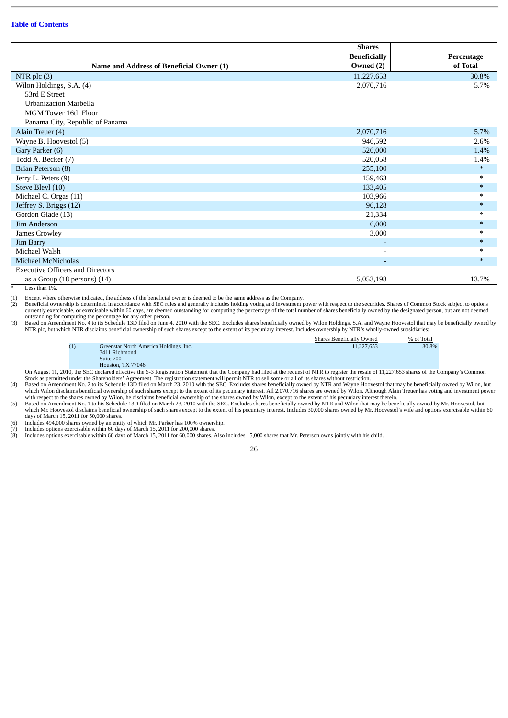|                                          | <b>Shares</b>            |            |
|------------------------------------------|--------------------------|------------|
|                                          | <b>Beneficially</b>      | Percentage |
| Name and Address of Beneficial Owner (1) | Owned (2)                | of Total   |
| NTR plc $(3)$                            | 11,227,653               | 30.8%      |
| Wilon Holdings, S.A. (4)                 | 2,070,716                | 5.7%       |
| 53rd E Street                            |                          |            |
| Urbanizacion Marbella                    |                          |            |
| MGM Tower 16th Floor                     |                          |            |
| Panama City, Republic of Panama          |                          |            |
| Alain Treuer (4)                         | 2,070,716                | 5.7%       |
| Wayne B. Hoovestol (5)                   | 946,592                  | 2.6%       |
| Gary Parker (6)                          | 526,000                  | 1.4%       |
| Todd A. Becker (7)                       | 520,058                  | 1.4%       |
| Brian Peterson (8)                       | 255,100                  | $*$        |
| Jerry L. Peters (9)                      | 159,463                  | $\ast$     |
| Steve Bleyl (10)                         | 133,405                  | $\ast$     |
| Michael C. Orgas (11)                    | 103,966                  | $\ast$     |
| Jeffrey S. Briggs (12)                   | 96,128                   | $\ast$     |
| Gordon Glade (13)                        | 21,334                   |            |
| Jim Anderson                             | 6,000                    | $*$        |
| James Crowley                            | 3,000                    | $\ast$     |
| Jim Barry                                |                          | $*$        |
| Michael Walsh                            | $\overline{\phantom{0}}$ | $\ast$     |
| <b>Michael McNicholas</b>                |                          | $*$        |
| <b>Executive Officers and Directors</b>  |                          |            |
| as a Group $(18$ persons) $(14)$         | 5,053,198                | 13.7%      |

Less than 1%

(1) Except where otherwise indicated, the address of the beneficial owner is deemed to be the same address as the Company. Exercise of the securities in accordance with SEC rules and generally includes holding voting and investment power with respect to the securities. Shares of Common Stock subject to options Beneficial ownership is determine currently exercisable, or exercisable within 60 days, are deemed outstanding for computing the percentage of the total number of shares beneficially owned by the designated person, but are not deemed outstanding for computing the percentage for any other person.

(3) Based on Amendment No. 4 to its Schedule 13D filed on June 4, 2010 with the SEC. Excludes shares beneficially owned by Wilon Holdings, S.A. and Wayne Hoovestol that may be beneficially owned by NTR plc, but which NTR disclaims beneficial ownership of such shares except to the extent of its pecuniary interest. Includes ownership by NTR's wholly-owned subsidiaries:

|                                        | Shares Beneficially Owned | % of Total |
|----------------------------------------|---------------------------|------------|
| Greenstar North America Holdings, Inc. | 11.227.653                | 30.8%      |
| 3411 Richmond                          |                           |            |
| -------                                |                           |            |

Suite 700<br>Houston, TX 77046

Houston, TX 77046<br>On August 11, 2010, the SEC declared effective the S-3 Registration Statement that the Company had filed at the request of NTR to register the resale of 11,227,653 shares of the Company's Common<br>Stock as

(4) Based on Amendment No. 2 to its Schedule 13D filed on March 23, 2010 with the SEC. Excludes shares beneficially owned by NTR and Wayne Hoovestol that may be beneficially owned by Wilon, but which Wilon disclaims benefi

days of March 15, 2011 for 50,000 shares.

(6) Includes 494,000 shares owned by an entity of which Mr. Parker has 100% ownership. (7) Includes options exercisable within 60 days of March 15, 2011 for 200,000 shares.

(8) Includes options exercisable within 60 days of March 15, 2011 for 60,000 shares. Also includes 15,000 shares that Mr. Peterson owns jointly with his child.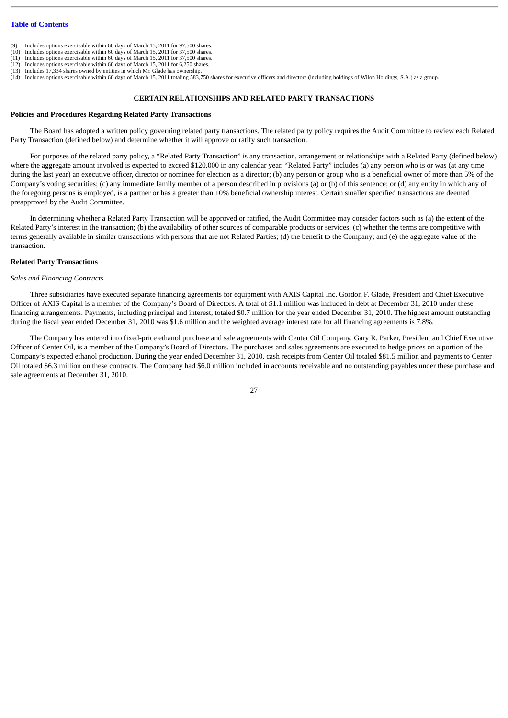- Includes options exercisable within 60 days of March 15, 2011 for 97,500 shares.
- (10) Includes options exercisable within 60 days of March 15, 2011 for 37,500 shares. (11) Includes options exercisable within 60 days of March 15, 2011 for 37,500 shares.
- (12) Includes options exercisable within 60 days of March 15, 2011 for 6,250 shares.
- 
- (13) Includes 17,334 shares owned by entities in which Mr. Glade has ownership.<br>(14) Includes options exercisable within 60 days of March 15, 2011 totaling 583,750 shares for executive officers and directors (including hol

### **CERTAIN RELATIONSHIPS AND RELATED PARTY TRANSACTIONS**

### <span id="page-31-1"></span><span id="page-31-0"></span>**Policies and Procedures Regarding Related Party Transactions**

The Board has adopted a written policy governing related party transactions. The related party policy requires the Audit Committee to review each Related Party Transaction (defined below) and determine whether it will approve or ratify such transaction.

For purposes of the related party policy, a "Related Party Transaction" is any transaction, arrangement or relationships with a Related Party (defined below) where the aggregate amount involved is expected to exceed \$120,000 in any calendar year. "Related Party" includes (a) any person who is or was (at any time during the last year) an executive officer, director or nominee for election as a director; (b) any person or group who is a beneficial owner of more than 5% of the Company's voting securities; (c) any immediate family member of a person described in provisions (a) or (b) of this sentence; or (d) any entity in which any of the foregoing persons is employed, is a partner or has a greater than 10% beneficial ownership interest. Certain smaller specified transactions are deemed preapproved by the Audit Committee.

In determining whether a Related Party Transaction will be approved or ratified, the Audit Committee may consider factors such as (a) the extent of the Related Party's interest in the transaction; (b) the availability of other sources of comparable products or services; (c) whether the terms are competitive with terms generally available in similar transactions with persons that are not Related Parties; (d) the benefit to the Company; and (e) the aggregate value of the transaction.

#### <span id="page-31-2"></span>**Related Party Transactions**

#### *Sales and Financing Contracts*

Three subsidiaries have executed separate financing agreements for equipment with AXIS Capital Inc. Gordon F. Glade, President and Chief Executive Officer of AXIS Capital is a member of the Company's Board of Directors. A total of \$1.1 million was included in debt at December 31, 2010 under these financing arrangements. Payments, including principal and interest, totaled \$0.7 million for the year ended December 31, 2010. The highest amount outstanding during the fiscal year ended December 31, 2010 was \$1.6 million and the weighted average interest rate for all financing agreements is 7.8%.

The Company has entered into fixed-price ethanol purchase and sale agreements with Center Oil Company. Gary R. Parker, President and Chief Executive Officer of Center Oil, is a member of the Company's Board of Directors. The purchases and sales agreements are executed to hedge prices on a portion of the Company's expected ethanol production. During the year ended December 31, 2010, cash receipts from Center Oil totaled \$81.5 million and payments to Center Oil totaled \$6.3 million on these contracts. The Company had \$6.0 million included in accounts receivable and no outstanding payables under these purchase and sale agreements at December 31, 2010.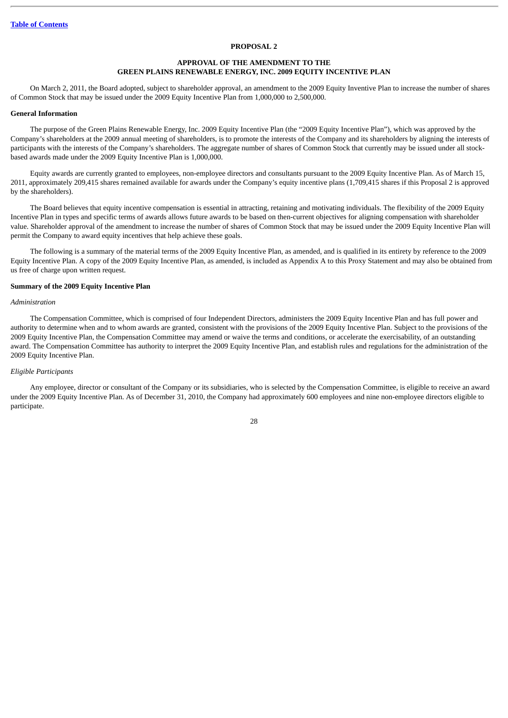#### **PROPOSAL 2**

### **APPROVAL OF THE AMENDMENT TO THE GREEN PLAINS RENEWABLE ENERGY, INC. 2009 EQUITY INCENTIVE PLAN**

<span id="page-32-0"></span>On March 2, 2011, the Board adopted, subject to shareholder approval, an amendment to the 2009 Equity Inventive Plan to increase the number of shares of Common Stock that may be issued under the 2009 Equity Incentive Plan from 1,000,000 to 2,500,000.

#### <span id="page-32-1"></span>**General Information**

The purpose of the Green Plains Renewable Energy, Inc. 2009 Equity Incentive Plan (the "2009 Equity Incentive Plan"), which was approved by the Company's shareholders at the 2009 annual meeting of shareholders, is to promote the interests of the Company and its shareholders by aligning the interests of participants with the interests of the Company's shareholders. The aggregate number of shares of Common Stock that currently may be issued under all stockbased awards made under the 2009 Equity Incentive Plan is 1,000,000.

Equity awards are currently granted to employees, non-employee directors and consultants pursuant to the 2009 Equity Incentive Plan. As of March 15, 2011, approximately 209,415 shares remained available for awards under the Company's equity incentive plans (1,709,415 shares if this Proposal 2 is approved by the shareholders).

The Board believes that equity incentive compensation is essential in attracting, retaining and motivating individuals. The flexibility of the 2009 Equity Incentive Plan in types and specific terms of awards allows future awards to be based on then-current objectives for aligning compensation with shareholder value. Shareholder approval of the amendment to increase the number of shares of Common Stock that may be issued under the 2009 Equity Incentive Plan will permit the Company to award equity incentives that help achieve these goals.

The following is a summary of the material terms of the 2009 Equity Incentive Plan, as amended, and is qualified in its entirety by reference to the 2009 Equity Incentive Plan. A copy of the 2009 Equity Incentive Plan, as amended, is included as Appendix A to this Proxy Statement and may also be obtained from us free of charge upon written request.

#### <span id="page-32-2"></span>**Summary of the 2009 Equity Incentive Plan**

#### *Administration*

The Compensation Committee, which is comprised of four Independent Directors, administers the 2009 Equity Incentive Plan and has full power and authority to determine when and to whom awards are granted, consistent with the provisions of the 2009 Equity Incentive Plan. Subject to the provisions of the 2009 Equity Incentive Plan, the Compensation Committee may amend or waive the terms and conditions, or accelerate the exercisability, of an outstanding award. The Compensation Committee has authority to interpret the 2009 Equity Incentive Plan, and establish rules and regulations for the administration of the 2009 Equity Incentive Plan.

### *Eligible Participants*

Any employee, director or consultant of the Company or its subsidiaries, who is selected by the Compensation Committee, is eligible to receive an award under the 2009 Equity Incentive Plan. As of December 31, 2010, the Company had approximately 600 employees and nine non-employee directors eligible to participate.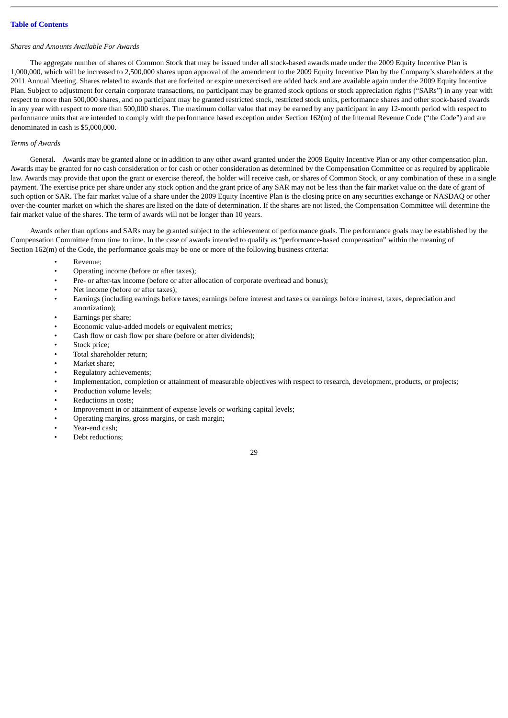### *Shares and Amounts Available For Awards*

The aggregate number of shares of Common Stock that may be issued under all stock-based awards made under the 2009 Equity Incentive Plan is 1,000,000, which will be increased to 2,500,000 shares upon approval of the amendment to the 2009 Equity Incentive Plan by the Company's shareholders at the 2011 Annual Meeting. Shares related to awards that are forfeited or expire unexercised are added back and are available again under the 2009 Equity Incentive Plan. Subject to adjustment for certain corporate transactions, no participant may be granted stock options or stock appreciation rights ("SARs") in any year with respect to more than 500,000 shares, and no participant may be granted restricted stock, restricted stock units, performance shares and other stock-based awards in any year with respect to more than 500,000 shares. The maximum dollar value that may be earned by any participant in any 12-month period with respect to performance units that are intended to comply with the performance based exception under Section 162(m) of the Internal Revenue Code ("the Code") and are denominated in cash is \$5,000,000.

### *Terms of Awards*

General. Awards may be granted alone or in addition to any other award granted under the 2009 Equity Incentive Plan or any other compensation plan. Awards may be granted for no cash consideration or for cash or other consideration as determined by the Compensation Committee or as required by applicable law. Awards may provide that upon the grant or exercise thereof, the holder will receive cash, or shares of Common Stock, or any combination of these in a single payment. The exercise price per share under any stock option and the grant price of any SAR may not be less than the fair market value on the date of grant of such option or SAR. The fair market value of a share under the 2009 Equity Incentive Plan is the closing price on any securities exchange or NASDAQ or other over-the-counter market on which the shares are listed on the date of determination. If the shares are not listed, the Compensation Committee will determine the fair market value of the shares. The term of awards will not be longer than 10 years.

Awards other than options and SARs may be granted subject to the achievement of performance goals. The performance goals may be established by the Compensation Committee from time to time. In the case of awards intended to qualify as "performance-based compensation" within the meaning of Section 162(m) of the Code, the performance goals may be one or more of the following business criteria:

- Revenue;
- Operating income (before or after taxes);
- Pre- or after-tax income (before or after allocation of corporate overhead and bonus);
- Net income (before or after taxes);
- Earnings (including earnings before taxes; earnings before interest and taxes or earnings before interest, taxes, depreciation and amortization);
- Earnings per share;
- Economic value-added models or equivalent metrics;
- Cash flow or cash flow per share (before or after dividends);
- Stock price:
- Total shareholder return;
- Market share:
- Regulatory achievements;
- Implementation, completion or attainment of measurable objectives with respect to research, development, products, or projects;
- Production volume levels;
- Reductions in costs;
- Improvement in or attainment of expense levels or working capital levels;
- Operating margins, gross margins, or cash margin;
- Year-end cash;
- Debt reductions;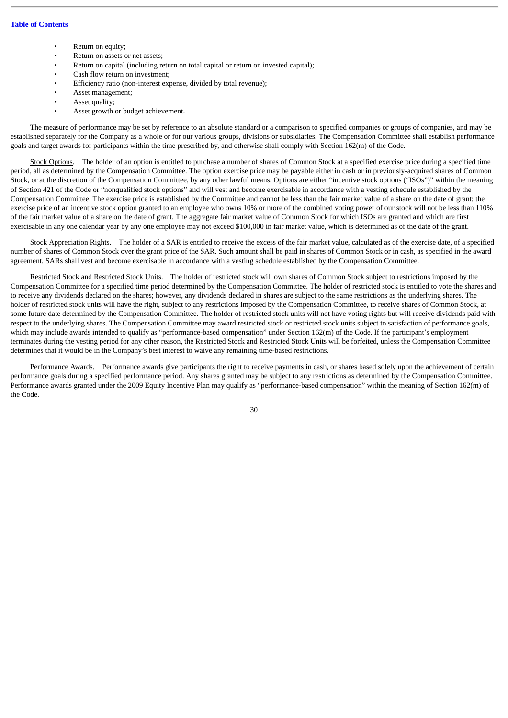- Return on equity;
- Return on assets or net assets;
- Return on capital (including return on total capital or return on invested capital);
- Cash flow return on investment;
- Efficiency ratio (non-interest expense, divided by total revenue);
- Asset management;
- Asset quality;
- Asset growth or budget achievement.

The measure of performance may be set by reference to an absolute standard or a comparison to specified companies or groups of companies, and may be established separately for the Company as a whole or for our various groups, divisions or subsidiaries. The Compensation Committee shall establish performance goals and target awards for participants within the time prescribed by, and otherwise shall comply with Section 162(m) of the Code.

Stock Options. The holder of an option is entitled to purchase a number of shares of Common Stock at a specified exercise price during a specified time period, all as determined by the Compensation Committee. The option exercise price may be payable either in cash or in previously-acquired shares of Common Stock, or at the discretion of the Compensation Committee, by any other lawful means. Options are either "incentive stock options ("ISOs")" within the meaning of Section 421 of the Code or "nonqualified stock options" and will vest and become exercisable in accordance with a vesting schedule established by the Compensation Committee. The exercise price is established by the Committee and cannot be less than the fair market value of a share on the date of grant; the exercise price of an incentive stock option granted to an employee who owns 10% or more of the combined voting power of our stock will not be less than 110% of the fair market value of a share on the date of grant. The aggregate fair market value of Common Stock for which ISOs are granted and which are first exercisable in any one calendar year by any one employee may not exceed \$100,000 in fair market value, which is determined as of the date of the grant.

Stock Appreciation Rights. The holder of a SAR is entitled to receive the excess of the fair market value, calculated as of the exercise date, of a specified number of shares of Common Stock over the grant price of the SAR. Such amount shall be paid in shares of Common Stock or in cash, as specified in the award agreement. SARs shall vest and become exercisable in accordance with a vesting schedule established by the Compensation Committee.

Restricted Stock and Restricted Stock Units. The holder of restricted stock will own shares of Common Stock subject to restrictions imposed by the Compensation Committee for a specified time period determined by the Compensation Committee. The holder of restricted stock is entitled to vote the shares and to receive any dividends declared on the shares; however, any dividends declared in shares are subject to the same restrictions as the underlying shares. The holder of restricted stock units will have the right, subject to any restrictions imposed by the Compensation Committee, to receive shares of Common Stock, at some future date determined by the Compensation Committee. The holder of restricted stock units will not have voting rights but will receive dividends paid with respect to the underlying shares. The Compensation Committee may award restricted stock or restricted stock units subject to satisfaction of performance goals, which may include awards intended to qualify as "performance-based compensation" under Section 162(m) of the Code. If the participant's employment terminates during the vesting period for any other reason, the Restricted Stock and Restricted Stock Units will be forfeited, unless the Compensation Committee determines that it would be in the Company's best interest to waive any remaining time-based restrictions.

Performance Awards. Performance awards give participants the right to receive payments in cash, or shares based solely upon the achievement of certain performance goals during a specified performance period. Any shares granted may be subject to any restrictions as determined by the Compensation Committee. Performance awards granted under the 2009 Equity Incentive Plan may qualify as "performance-based compensation" within the meaning of Section 162(m) of the Code.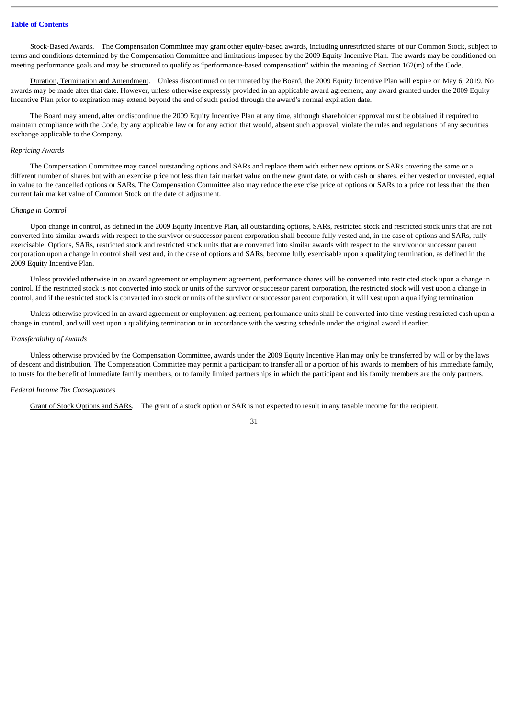Stock-Based Awards. The Compensation Committee may grant other equity-based awards, including unrestricted shares of our Common Stock, subject to terms and conditions determined by the Compensation Committee and limitations imposed by the 2009 Equity Incentive Plan. The awards may be conditioned on meeting performance goals and may be structured to qualify as "performance-based compensation" within the meaning of Section 162(m) of the Code.

Duration, Termination and Amendment. Unless discontinued or terminated by the Board, the 2009 Equity Incentive Plan will expire on May 6, 2019. No awards may be made after that date. However, unless otherwise expressly provided in an applicable award agreement, any award granted under the 2009 Equity Incentive Plan prior to expiration may extend beyond the end of such period through the award's normal expiration date.

The Board may amend, alter or discontinue the 2009 Equity Incentive Plan at any time, although shareholder approval must be obtained if required to maintain compliance with the Code, by any applicable law or for any action that would, absent such approval, violate the rules and regulations of any securities exchange applicable to the Company.

#### *Repricing Awards*

The Compensation Committee may cancel outstanding options and SARs and replace them with either new options or SARs covering the same or a different number of shares but with an exercise price not less than fair market value on the new grant date, or with cash or shares, either vested or unvested, equal in value to the cancelled options or SARs. The Compensation Committee also may reduce the exercise price of options or SARs to a price not less than the then current fair market value of Common Stock on the date of adjustment.

#### *Change in Control*

Upon change in control, as defined in the 2009 Equity Incentive Plan, all outstanding options, SARs, restricted stock and restricted stock units that are not converted into similar awards with respect to the survivor or successor parent corporation shall become fully vested and, in the case of options and SARs, fully exercisable. Options, SARs, restricted stock and restricted stock units that are converted into similar awards with respect to the survivor or successor parent corporation upon a change in control shall vest and, in the case of options and SARs, become fully exercisable upon a qualifying termination, as defined in the 2009 Equity Incentive Plan.

Unless provided otherwise in an award agreement or employment agreement, performance shares will be converted into restricted stock upon a change in control. If the restricted stock is not converted into stock or units of the survivor or successor parent corporation, the restricted stock will vest upon a change in control, and if the restricted stock is converted into stock or units of the survivor or successor parent corporation, it will vest upon a qualifying termination.

Unless otherwise provided in an award agreement or employment agreement, performance units shall be converted into time-vesting restricted cash upon a change in control, and will vest upon a qualifying termination or in accordance with the vesting schedule under the original award if earlier.

#### *Transferability of Awards*

Unless otherwise provided by the Compensation Committee, awards under the 2009 Equity Incentive Plan may only be transferred by will or by the laws of descent and distribution. The Compensation Committee may permit a participant to transfer all or a portion of his awards to members of his immediate family, to trusts for the benefit of immediate family members, or to family limited partnerships in which the participant and his family members are the only partners.

### *Federal Income Tax Consequences*

Grant of Stock Options and SARs. The grant of a stock option or SAR is not expected to result in any taxable income for the recipient.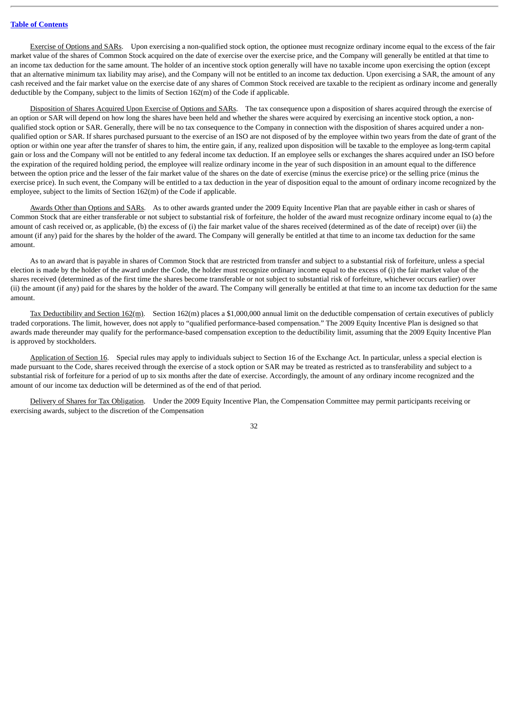Exercise of Options and SARs. Upon exercising a non-qualified stock option, the optionee must recognize ordinary income equal to the excess of the fair market value of the shares of Common Stock acquired on the date of exercise over the exercise price, and the Company will generally be entitled at that time to an income tax deduction for the same amount. The holder of an incentive stock option generally will have no taxable income upon exercising the option (except that an alternative minimum tax liability may arise), and the Company will not be entitled to an income tax deduction. Upon exercising a SAR, the amount of any cash received and the fair market value on the exercise date of any shares of Common Stock received are taxable to the recipient as ordinary income and generally deductible by the Company, subject to the limits of Section 162(m) of the Code if applicable.

Disposition of Shares Acquired Upon Exercise of Options and SARs. The tax consequence upon a disposition of shares acquired through the exercise of an option or SAR will depend on how long the shares have been held and whether the shares were acquired by exercising an incentive stock option, a nonqualified stock option or SAR. Generally, there will be no tax consequence to the Company in connection with the disposition of shares acquired under a nonqualified option or SAR. If shares purchased pursuant to the exercise of an ISO are not disposed of by the employee within two years from the date of grant of the option or within one year after the transfer of shares to him, the entire gain, if any, realized upon disposition will be taxable to the employee as long-term capital gain or loss and the Company will not be entitled to any federal income tax deduction. If an employee sells or exchanges the shares acquired under an ISO before the expiration of the required holding period, the employee will realize ordinary income in the year of such disposition in an amount equal to the difference between the option price and the lesser of the fair market value of the shares on the date of exercise (minus the exercise price) or the selling price (minus the exercise price). In such event, the Company will be entitled to a tax deduction in the year of disposition equal to the amount of ordinary income recognized by the employee, subject to the limits of Section 162(m) of the Code if applicable.

Awards Other than Options and SARs. As to other awards granted under the 2009 Equity Incentive Plan that are payable either in cash or shares of Common Stock that are either transferable or not subject to substantial risk of forfeiture, the holder of the award must recognize ordinary income equal to (a) the amount of cash received or, as applicable, (b) the excess of (i) the fair market value of the shares received (determined as of the date of receipt) over (ii) the amount (if any) paid for the shares by the holder of the award. The Company will generally be entitled at that time to an income tax deduction for the same amount.

As to an award that is payable in shares of Common Stock that are restricted from transfer and subject to a substantial risk of forfeiture, unless a special election is made by the holder of the award under the Code, the holder must recognize ordinary income equal to the excess of (i) the fair market value of the shares received (determined as of the first time the shares become transferable or not subject to substantial risk of forfeiture, whichever occurs earlier) over (ii) the amount (if any) paid for the shares by the holder of the award. The Company will generally be entitled at that time to an income tax deduction for the same amount.

Tax Deductibility and Section 162(m). Section 162(m) places a \$1,000,000 annual limit on the deductible compensation of certain executives of publicly traded corporations. The limit, however, does not apply to "qualified performance-based compensation." The 2009 Equity Incentive Plan is designed so that awards made thereunder may qualify for the performance-based compensation exception to the deductibility limit, assuming that the 2009 Equity Incentive Plan is approved by stockholders.

Application of Section 16. Special rules may apply to individuals subject to Section 16 of the Exchange Act. In particular, unless a special election is made pursuant to the Code, shares received through the exercise of a stock option or SAR may be treated as restricted as to transferability and subject to a substantial risk of forfeiture for a period of up to six months after the date of exercise. Accordingly, the amount of any ordinary income recognized and the amount of our income tax deduction will be determined as of the end of that period.

Delivery of Shares for Tax Obligation. Under the 2009 Equity Incentive Plan, the Compensation Committee may permit participants receiving or exercising awards, subject to the discretion of the Compensation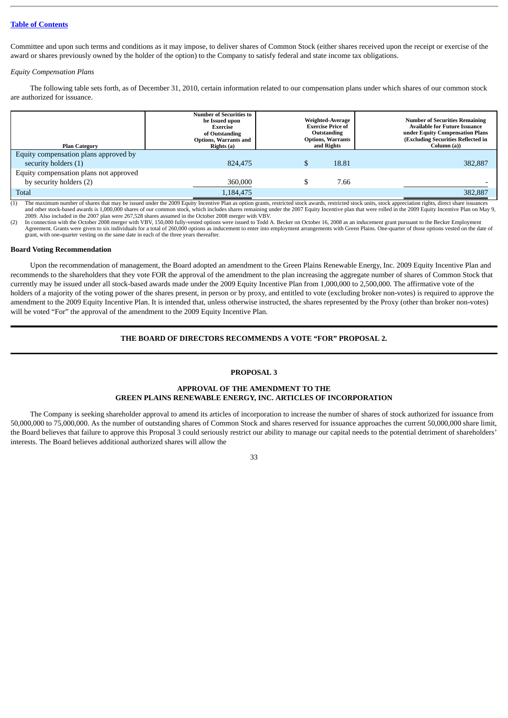Committee and upon such terms and conditions as it may impose, to deliver shares of Common Stock (either shares received upon the receipt or exercise of the award or shares previously owned by the holder of the option) to the Company to satisfy federal and state income tax obligations.

### *Equity Compensation Plans*

The following table sets forth, as of December 31, 2010, certain information related to our compensation plans under which shares of our common stock are authorized for issuance.

| <b>Plan Category</b>                   | <b>Number of Securities to</b><br>be Issued upon<br>Exercise<br>of Outstanding<br>Options, Warrants and<br>Rights (a) | Weighted-Average<br><b>Exercise Price of</b><br>Outstanding<br><b>Options, Warrants</b><br>and Rights |       | <b>Number of Securities Remaining</b><br><b>Available for Future Issuance</b><br>under Equity Compensation Plans<br>(Excluding Securities Reflected in<br>Column (a)) |
|----------------------------------------|-----------------------------------------------------------------------------------------------------------------------|-------------------------------------------------------------------------------------------------------|-------|-----------------------------------------------------------------------------------------------------------------------------------------------------------------------|
| Equity compensation plans approved by  |                                                                                                                       |                                                                                                       |       |                                                                                                                                                                       |
| security holders (1)                   | 824,475                                                                                                               |                                                                                                       | 18.81 | 382,887                                                                                                                                                               |
| Equity compensation plans not approved |                                                                                                                       |                                                                                                       |       |                                                                                                                                                                       |
| by security holders (2)                | 360,000                                                                                                               |                                                                                                       | 7.66  |                                                                                                                                                                       |
| <b>Total</b>                           | 1.184.475                                                                                                             |                                                                                                       |       | 382,887                                                                                                                                                               |

(1) The maximum number of shares that may be issued under the 2009 Equity Incentive Plan as option grants, restricted stock awards, restricted stock units, stock appreciation rights, direct share issuances and other stock-based awards is 1,000,000 shares of our common stock, which includes shares remaining under the 2007 Equity Incentive plan that were rolled in the 2009 Equity Incentive Plan on May 9, 2009. Also included in the 2007 plan were 267,528 shares assumed in the October 2008 merger with VBV.

(2) In connection with the October 2008 merger with VBV, 150,000 fully-vested options were issued to Todd A. Becker on October 16, 2008 as an inducement grant pursuant to the Becker Employment Agreement. Grants were given to six individuals for a total of 260,000 options as inducement to enter into employment arrangements with Green Plains. One-quarter of those options vested on the date of grant, with one-quarter vesting on the same date in each of the three years thereafter.

#### <span id="page-37-0"></span>**Board Voting Recommendation**

Upon the recommendation of management, the Board adopted an amendment to the Green Plains Renewable Energy, Inc. 2009 Equity Incentive Plan and recommends to the shareholders that they vote FOR the approval of the amendment to the plan increasing the aggregate number of shares of Common Stock that currently may be issued under all stock-based awards made under the 2009 Equity Incentive Plan from 1,000,000 to 2,500,000. The affirmative vote of the holders of a majority of the voting power of the shares present, in person or by proxy, and entitled to vote (excluding broker non-votes) is required to approve the amendment to the 2009 Equity Incentive Plan. It is intended that, unless otherwise instructed, the shares represented by the Proxy (other than broker non-votes) will be voted "For" the approval of the amendment to the 2009 Equity Incentive Plan.

### **THE BOARD OF DIRECTORS RECOMMENDS A VOTE "FOR" PROPOSAL 2.**

### **PROPOSAL 3**

### **APPROVAL OF THE AMENDMENT TO THE GREEN PLAINS RENEWABLE ENERGY, INC. ARTICLES OF INCORPORATION**

<span id="page-37-1"></span>The Company is seeking shareholder approval to amend its articles of incorporation to increase the number of shares of stock authorized for issuance from 50,000,000 to 75,000,000. As the number of outstanding shares of Common Stock and shares reserved for issuance approaches the current 50,000,000 share limit, the Board believes that failure to approve this Proposal 3 could seriously restrict our ability to manage our capital needs to the potential detriment of shareholders' interests. The Board believes additional authorized shares will allow the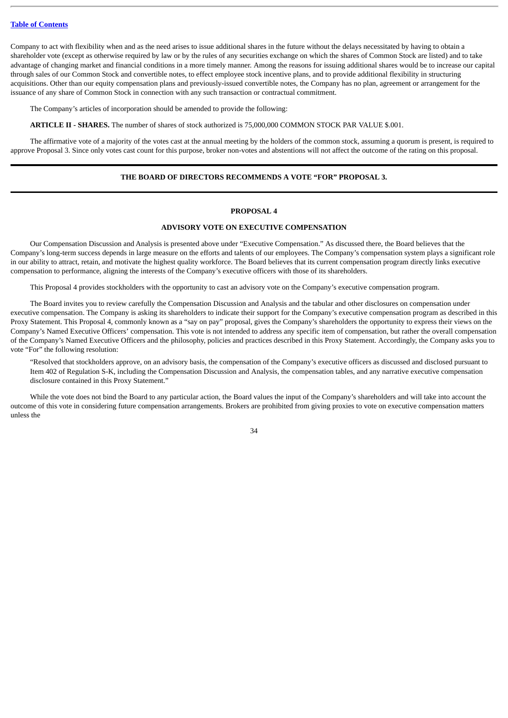Company to act with flexibility when and as the need arises to issue additional shares in the future without the delays necessitated by having to obtain a shareholder vote (except as otherwise required by law or by the rules of any securities exchange on which the shares of Common Stock are listed) and to take advantage of changing market and financial conditions in a more timely manner. Among the reasons for issuing additional shares would be to increase our capital through sales of our Common Stock and convertible notes, to effect employee stock incentive plans, and to provide additional flexibility in structuring acquisitions. Other than our equity compensation plans and previously-issued convertible notes, the Company has no plan, agreement or arrangement for the issuance of any share of Common Stock in connection with any such transaction or contractual commitment.

The Company's articles of incorporation should be amended to provide the following:

**ARTICLE II - SHARES.** The number of shares of stock authorized is 75,000,000 COMMON STOCK PAR VALUE \$.001.

The affirmative vote of a majority of the votes cast at the annual meeting by the holders of the common stock, assuming a quorum is present, is required to approve Proposal 3. Since only votes cast count for this purpose, broker non-votes and abstentions will not affect the outcome of the rating on this proposal.

### **THE BOARD OF DIRECTORS RECOMMENDS A VOTE "FOR" PROPOSAL 3.**

### **PROPOSAL 4**

### **ADVISORY VOTE ON EXECUTIVE COMPENSATION**

<span id="page-38-0"></span>Our Compensation Discussion and Analysis is presented above under "Executive Compensation." As discussed there, the Board believes that the Company's long-term success depends in large measure on the efforts and talents of our employees. The Company's compensation system plays a significant role in our ability to attract, retain, and motivate the highest quality workforce. The Board believes that its current compensation program directly links executive compensation to performance, aligning the interests of the Company's executive officers with those of its shareholders.

This Proposal 4 provides stockholders with the opportunity to cast an advisory vote on the Company's executive compensation program.

The Board invites you to review carefully the Compensation Discussion and Analysis and the tabular and other disclosures on compensation under executive compensation. The Company is asking its shareholders to indicate their support for the Company's executive compensation program as described in this Proxy Statement. This Proposal 4, commonly known as a "say on pay" proposal, gives the Company's shareholders the opportunity to express their views on the Company's Named Executive Officers' compensation. This vote is not intended to address any specific item of compensation, but rather the overall compensation of the Company's Named Executive Officers and the philosophy, policies and practices described in this Proxy Statement. Accordingly, the Company asks you to vote "For" the following resolution:

"Resolved that stockholders approve, on an advisory basis, the compensation of the Company's executive officers as discussed and disclosed pursuant to Item 402 of Regulation S-K, including the Compensation Discussion and Analysis, the compensation tables, and any narrative executive compensation disclosure contained in this Proxy Statement."

While the vote does not bind the Board to any particular action, the Board values the input of the Company's shareholders and will take into account the outcome of this vote in considering future compensation arrangements. Brokers are prohibited from giving proxies to vote on executive compensation matters unless the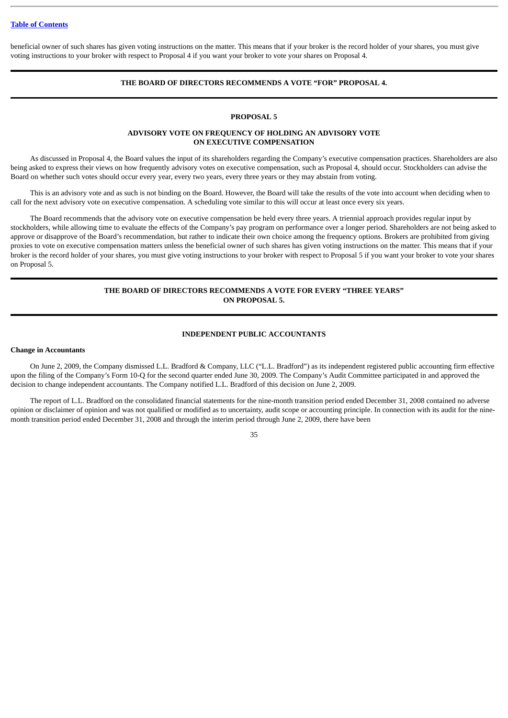beneficial owner of such shares has given voting instructions on the matter. This means that if your broker is the record holder of your shares, you must give voting instructions to your broker with respect to Proposal 4 if you want your broker to vote your shares on Proposal 4.

### **THE BOARD OF DIRECTORS RECOMMENDS A VOTE "FOR" PROPOSAL 4.**

### **PROPOSAL 5**

### **ADVISORY VOTE ON FREQUENCY OF HOLDING AN ADVISORY VOTE ON EXECUTIVE COMPENSATION**

<span id="page-39-0"></span>As discussed in Proposal 4, the Board values the input of its shareholders regarding the Company's executive compensation practices. Shareholders are also being asked to express their views on how frequently advisory votes on executive compensation, such as Proposal 4, should occur. Stockholders can advise the Board on whether such votes should occur every year, every two years, every three years or they may abstain from voting.

This is an advisory vote and as such is not binding on the Board. However, the Board will take the results of the vote into account when deciding when to call for the next advisory vote on executive compensation. A scheduling vote similar to this will occur at least once every six years.

The Board recommends that the advisory vote on executive compensation be held every three years. A triennial approach provides regular input by stockholders, while allowing time to evaluate the effects of the Company's pay program on performance over a longer period. Shareholders are not being asked to approve or disapprove of the Board's recommendation, but rather to indicate their own choice among the frequency options. Brokers are prohibited from giving proxies to vote on executive compensation matters unless the beneficial owner of such shares has given voting instructions on the matter. This means that if your broker is the record holder of your shares, you must give voting instructions to your broker with respect to Proposal 5 if you want your broker to vote your shares on Proposal 5.

### **THE BOARD OF DIRECTORS RECOMMENDS A VOTE FOR EVERY "THREE YEARS" ON PROPOSAL 5.**

### **INDEPENDENT PUBLIC ACCOUNTANTS**

### <span id="page-39-2"></span><span id="page-39-1"></span>**Change in Accountants**

On June 2, 2009, the Company dismissed L.L. Bradford & Company, LLC ("L.L. Bradford") as its independent registered public accounting firm effective upon the filing of the Company's Form 10-Q for the second quarter ended June 30, 2009. The Company's Audit Committee participated in and approved the decision to change independent accountants. The Company notified L.L. Bradford of this decision on June 2, 2009.

The report of L.L. Bradford on the consolidated financial statements for the nine-month transition period ended December 31, 2008 contained no adverse opinion or disclaimer of opinion and was not qualified or modified as to uncertainty, audit scope or accounting principle. In connection with its audit for the ninemonth transition period ended December 31, 2008 and through the interim period through June 2, 2009, there have been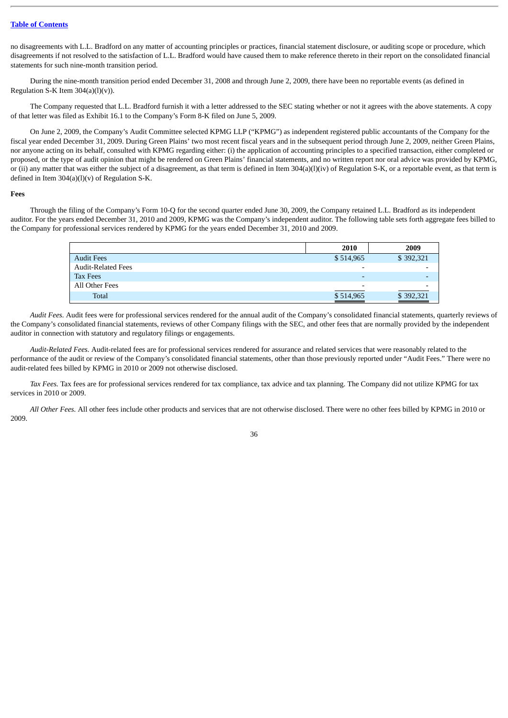no disagreements with L.L. Bradford on any matter of accounting principles or practices, financial statement disclosure, or auditing scope or procedure, which disagreements if not resolved to the satisfaction of L.L. Bradford would have caused them to make reference thereto in their report on the consolidated financial statements for such nine-month transition period.

During the nine-month transition period ended December 31, 2008 and through June 2, 2009, there have been no reportable events (as defined in Regulation S-K Item 304(a)(l)(v)).

The Company requested that L.L. Bradford furnish it with a letter addressed to the SEC stating whether or not it agrees with the above statements. A copy of that letter was filed as Exhibit 16.1 to the Company's Form 8-K filed on June 5, 2009.

On June 2, 2009, the Company's Audit Committee selected KPMG LLP ("KPMG") as independent registered public accountants of the Company for the fiscal year ended December 31, 2009. During Green Plains' two most recent fiscal years and in the subsequent period through June 2, 2009, neither Green Plains, nor anyone acting on its behalf, consulted with KPMG regarding either: (i) the application of accounting principles to a specified transaction, either completed or proposed, or the type of audit opinion that might be rendered on Green Plains' financial statements, and no written report nor oral advice was provided by KPMG, or (ii) any matter that was either the subject of a disagreement, as that term is defined in Item 304(a)(l)(iv) of Regulation S-K, or a reportable event, as that term is defined in Item  $304(a)(l)(v)$  of Regulation S-K.

#### <span id="page-40-0"></span>**Fees**

Through the filing of the Company's Form 10-Q for the second quarter ended June 30, 2009, the Company retained L.L. Bradford as its independent auditor. For the years ended December 31, 2010 and 2009, KPMG was the Company's independent auditor. The following table sets forth aggregate fees billed to the Company for professional services rendered by KPMG for the years ended December 31, 2010 and 2009.

|                           | 2010                     | 2009               |
|---------------------------|--------------------------|--------------------|
| <b>Audit Fees</b>         | \$514,965                | \$392,321          |
| <b>Audit-Related Fees</b> | $\overline{\phantom{0}}$ |                    |
| Tax Fees                  | $\overline{\phantom{0}}$ |                    |
| All Other Fees            | $\overline{\phantom{0}}$ |                    |
| <b>Total</b>              | \$514,965                | \$392,321<br>_____ |

*Audit Fees.* Audit fees were for professional services rendered for the annual audit of the Company's consolidated financial statements, quarterly reviews of the Company's consolidated financial statements, reviews of other Company filings with the SEC, and other fees that are normally provided by the independent auditor in connection with statutory and regulatory filings or engagements.

*Audit-Related Fees.* Audit-related fees are for professional services rendered for assurance and related services that were reasonably related to the performance of the audit or review of the Company's consolidated financial statements, other than those previously reported under "Audit Fees." There were no audit-related fees billed by KPMG in 2010 or 2009 not otherwise disclosed.

*Tax Fees.* Tax fees are for professional services rendered for tax compliance, tax advice and tax planning. The Company did not utilize KPMG for tax services in 2010 or 2009.

*All Other Fees.* All other fees include other products and services that are not otherwise disclosed. There were no other fees billed by KPMG in 2010 or 2009.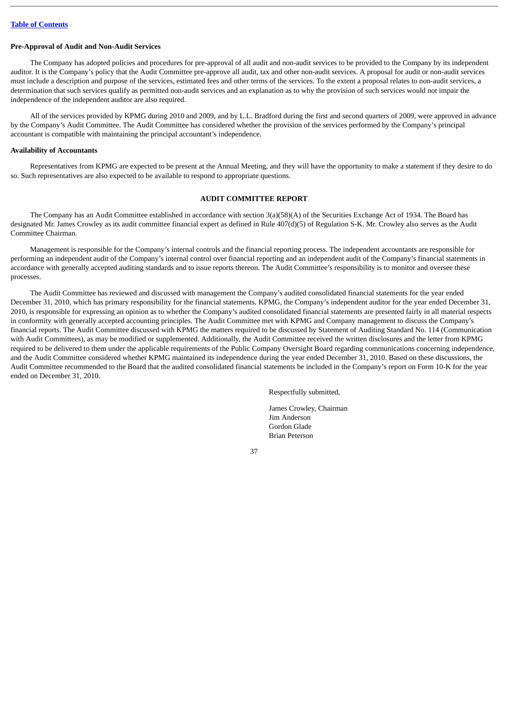#### <span id="page-41-0"></span>**Pre-Approval of Audit and Non-Audit Services**

The Company has adopted policies and procedures for pre-approval of all audit and non-audit services to be provided to the Company by its independent auditor. It is the Company's policy that the Audit Committee pre-approve all audit, tax and other non-audit services. A proposal for audit or non-audit services must include a description and purpose of the services, estimated fees and other terms of the services. To the extent a proposal relates to non-audit services, a determination that such services qualify as permitted non-audit services and an explanation as to why the provision of such services would not impair the independence of the independent auditor are also required.

All of the services provided by KPMG during 2010 and 2009, and by L.L. Bradford during the first and second quarters of 2009, were approved in advance by the Company's Audit Committee. The Audit Committee has considered whether the provision of the services performed by the Company's principal accountant is compatible with maintaining the principal accountant's independence.

#### <span id="page-41-1"></span>**Availability of Accountants**

Representatives from KPMG are expected to be present at the Annual Meeting, and they will have the opportunity to make a statement if they desire to do so. Such representatives are also expected to be available to respond to appropriate questions.

### **AUDIT COMMITTEE REPORT**

<span id="page-41-2"></span>The Company has an Audit Committee established in accordance with section 3(a)(58)(A) of the Securities Exchange Act of 1934. The Board has designated Mr. James Crowley as its audit committee financial expert as defined in Rule 407(d)(5) of Regulation S-K. Mr. Crowley also serves as the Audit Committee Chairman.

Management is responsible for the Company's internal controls and the financial reporting process. The independent accountants are responsible for performing an independent audit of the Company's internal control over financial reporting and an independent audit of the Company's financial statements in accordance with generally accepted auditing standards and to issue reports thereon. The Audit Committee's responsibility is to monitor and oversee these processes.

The Audit Committee has reviewed and discussed with management the Company's audited consolidated financial statements for the year ended December 31, 2010, which has primary responsibility for the financial statements. KPMG, the Company's independent auditor for the year ended December 31, 2010, is responsible for expressing an opinion as to whether the Company's audited consolidated financial statements are presented fairly in all material respects in conformity with generally accepted accounting principles. The Audit Committee met with KPMG and Company management to discuss the Company's financial reports. The Audit Committee discussed with KPMG the matters required to be discussed by Statement of Auditing Standard No. 114 (Communication with Audit Committees), as may be modified or supplemented. Additionally, the Audit Committee received the written disclosures and the letter from KPMG required to be delivered to them under the applicable requirements of the Public Company Oversight Board regarding communications concerning independence, and the Audit Committee considered whether KPMG maintained its independence during the year ended December 31, 2010. Based on these discussions, the Audit Committee recommended to the Board that the audited consolidated financial statements be included in the Company's report on Form 10-K for the year ended on December 31, 2010.

Respectfully submitted,

James Crowley, Chairman Jim Anderson Gordon Glade Brian Peterson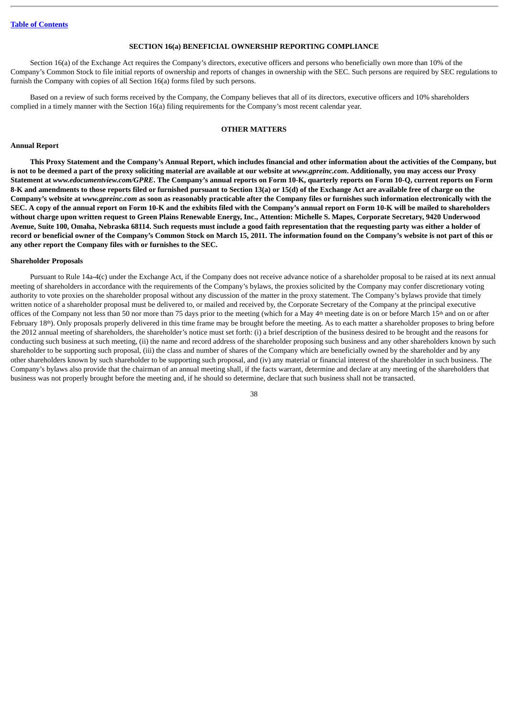### **SECTION 16(a) BENEFICIAL OWNERSHIP REPORTING COMPLIANCE**

<span id="page-42-0"></span>Section 16(a) of the Exchange Act requires the Company's directors, executive officers and persons who beneficially own more than 10% of the Company's Common Stock to file initial reports of ownership and reports of changes in ownership with the SEC. Such persons are required by SEC regulations to furnish the Company with copies of all Section 16(a) forms filed by such persons.

Based on a review of such forms received by the Company, the Company believes that all of its directors, executive officers and 10% shareholders complied in a timely manner with the Section 16(a) filing requirements for the Company's most recent calendar year.

### **OTHER MATTERS**

### <span id="page-42-2"></span><span id="page-42-1"></span>**Annual Report**

**This Proxy Statement and the Company's Annual Report, which includes financial and other information about the activities of the Company, but** is not to be deemed a part of the proxy soliciting material are available at our website at *www.gpreinc.com*. Additionally, you may access our Proxy **Statement at** *www.edocumentview.com/GPRE***. The Company's annual reports on Form 10-K, quarterly reports on Form 10-Q, current reports on Form 8-K and amendments to those reports filed or furnished pursuant to Section 13(a) or 15(d) of the Exchange Act are available free of charge on the Company's website at** *www.gpreinc.com* **as soon as reasonably practicable after the Company files or furnishes such information electronically with the SEC. A copy of the annual report on Form 10-K and the exhibits filed with the Company's annual report on Form 10-K will be mailed to shareholders without charge upon written request to Green Plains Renewable Energy, Inc., Attention: Michelle S. Mapes, Corporate Secretary, 9420 Underwood Avenue, Suite 100, Omaha, Nebraska 68114. Such requests must include a good faith representation that the requesting party was either a holder of record or beneficial owner of the Company's Common Stock on March 15, 2011. The information found on the Company's website is not part of this or any other report the Company files with or furnishes to the SEC.**

#### <span id="page-42-3"></span>**Shareholder Proposals**

Pursuant to Rule 14a-4(c) under the Exchange Act, if the Company does not receive advance notice of a shareholder proposal to be raised at its next annual meeting of shareholders in accordance with the requirements of the Company's bylaws, the proxies solicited by the Company may confer discretionary voting authority to vote proxies on the shareholder proposal without any discussion of the matter in the proxy statement. The Company's bylaws provide that timely written notice of a shareholder proposal must be delivered to, or mailed and received by, the Corporate Secretary of the Company at the principal executive offices of the Company not less than 50 nor more than 75 days prior to the meeting (which for a May  $4<sup>th</sup>$  meeting date is on or before March 15<sup>th</sup> and on or after February 18<sup>th</sup>). Only proposals properly delivered in this time frame may be brought before the meeting. As to each matter a shareholder proposes to bring before the 2012 annual meeting of shareholders, the shareholder's notice must set forth: (i) a brief description of the business desired to be brought and the reasons for conducting such business at such meeting, (ii) the name and record address of the shareholder proposing such business and any other shareholders known by such shareholder to be supporting such proposal, (iii) the class and number of shares of the Company which are beneficially owned by the shareholder and by any other shareholders known by such shareholder to be supporting such proposal, and (iv) any material or financial interest of the shareholder in such business. The Company's bylaws also provide that the chairman of an annual meeting shall, if the facts warrant, determine and declare at any meeting of the shareholders that business was not properly brought before the meeting and, if he should so determine, declare that such business shall not be transacted.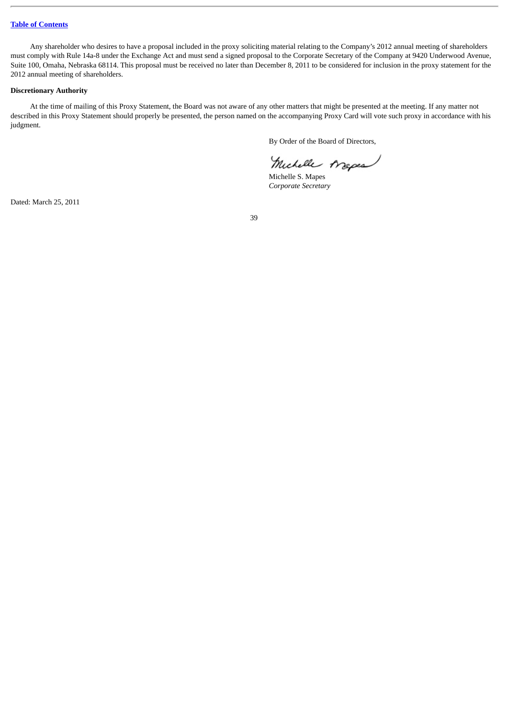Any shareholder who desires to have a proposal included in the proxy soliciting material relating to the Company's 2012 annual meeting of shareholders must comply with Rule 14a-8 under the Exchange Act and must send a signed proposal to the Corporate Secretary of the Company at 9420 Underwood Avenue, Suite 100, Omaha, Nebraska 68114. This proposal must be received no later than December 8, 2011 to be considered for inclusion in the proxy statement for the 2012 annual meeting of shareholders.

### <span id="page-43-0"></span>**Discretionary Authority**

At the time of mailing of this Proxy Statement, the Board was not aware of any other matters that might be presented at the meeting. If any matter not described in this Proxy Statement should properly be presented, the person named on the accompanying Proxy Card will vote such proxy in accordance with his judgment.

By Order of the Board of Directors,

Michelle Arapes

Michelle S. Mapes *Corporate Secretary*

Dated: March 25, 2011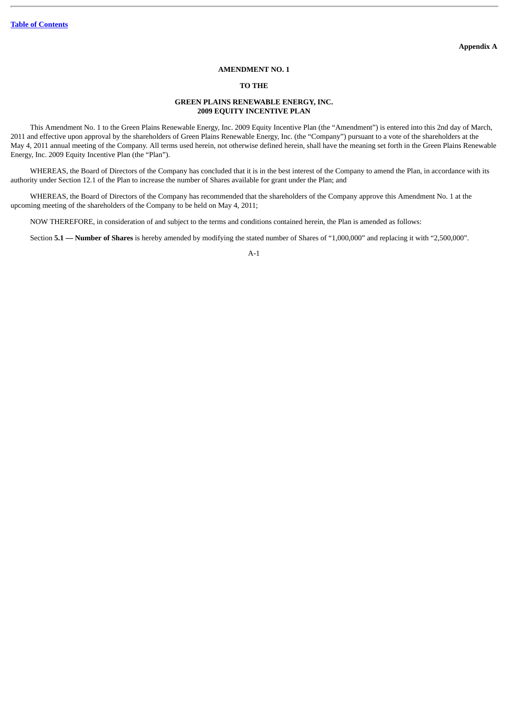### **AMENDMENT NO. 1**

#### **TO THE**

### **GREEN PLAINS RENEWABLE ENERGY, INC. 2009 EQUITY INCENTIVE PLAN**

<span id="page-44-0"></span>This Amendment No. 1 to the Green Plains Renewable Energy, Inc. 2009 Equity Incentive Plan (the "Amendment") is entered into this 2nd day of March, 2011 and effective upon approval by the shareholders of Green Plains Renewable Energy, Inc. (the "Company") pursuant to a vote of the shareholders at the May 4, 2011 annual meeting of the Company. All terms used herein, not otherwise defined herein, shall have the meaning set forth in the Green Plains Renewable Energy, Inc. 2009 Equity Incentive Plan (the "Plan").

WHEREAS, the Board of Directors of the Company has concluded that it is in the best interest of the Company to amend the Plan, in accordance with its authority under Section 12.1 of the Plan to increase the number of Shares available for grant under the Plan; and

WHEREAS, the Board of Directors of the Company has recommended that the shareholders of the Company approve this Amendment No. 1 at the upcoming meeting of the shareholders of the Company to be held on May 4, 2011;

NOW THEREFORE, in consideration of and subject to the terms and conditions contained herein, the Plan is amended as follows:

Section **5.1 — Number of Shares** is hereby amended by modifying the stated number of Shares of "1,000,000" and replacing it with "2,500,000".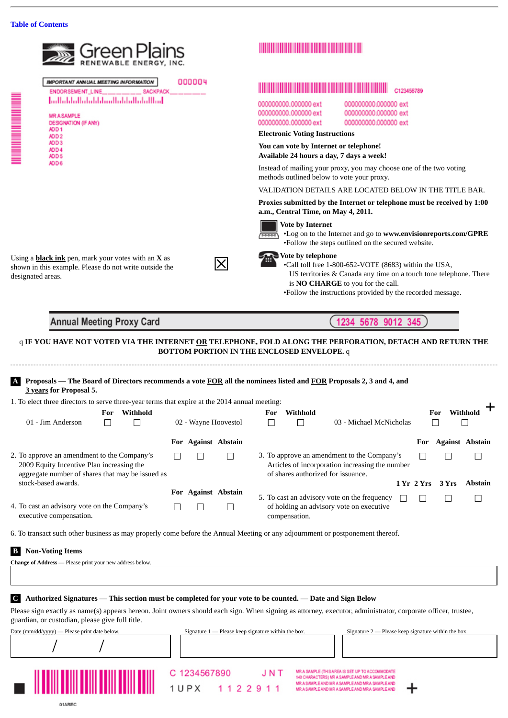

6. To transact such other business as may properly come before the Annual Meeting or any adjournment or postponement thereof.

### **B Non-Voting Items**

| Change of Address - Please print your new address below. |  |
|----------------------------------------------------------|--|
|                                                          |  |

### **C Authorized Signatures — This section must be completed for your vote to be counted. — Date and Sign Below**

Please sign exactly as name(s) appears hereon. Joint owners should each sign. When signing as attorney, executor, administrator, corporate officer, trustee, guardian, or custodian, please give full title.

| Date (mm/dd/yyyy) — Please print date below. | Signature $1$ — Please keep signature within the box. | Signature $2$ — Please keep signature within the box.                                                                                                                                                    |
|----------------------------------------------|-------------------------------------------------------|----------------------------------------------------------------------------------------------------------------------------------------------------------------------------------------------------------|
|                                              |                                                       |                                                                                                                                                                                                          |
|                                              | C 1234567890<br>JNT<br>1122911<br>1 <i>U</i> P X      | MR A SAMPLE (THIS AREA IS SET UP TO ACCOMMODATE<br>140 CHARACTERS) MR A SAMPLE AND MR A SAMPLE AND<br>MR A SAMPLE AND MR A SAMPLE AND MR A SAMPLE AND<br>MR A SAMPLE AND MR A SAMPLE AND MR A SAMPLE AND |

## **THE REAL PROPERTY AND RELEASED FOR A SET OF A SET OF A SET OF A SET OF A SET OF A SET OF A SET OF A SET OF A**

000000000.000000 ext 000000000.000000 ext 000000000.000000 ext

Instead of mailing your proxy, you may choose one of the two voting

VALIDATION DETAILS ARE LOCATED BELOW IN THE TITLE BAR.

**Proxies submitted by the Internet or telephone must be received by 1:00**

•Log on to the Internet and go to **www.envisionreports.com/GPRE** •Follow the steps outlined on the secured website.

•Call toll free 1-800-652-VOTE (8683) within the USA, US territories & Canada any time on a touch tone telephone. There is **NO CHARGE** to you for the call.

•Follow the instructions provided by the recorded message.

345

 $\Box$ 

|                                                                                                                                              |  | For Against Abstain |                                                                                                                                      | For | <b>Against Abstain</b> |                |
|----------------------------------------------------------------------------------------------------------------------------------------------|--|---------------------|--------------------------------------------------------------------------------------------------------------------------------------|-----|------------------------|----------------|
| 2. To approve an amendment to the Company's<br>2009 Equity Incentive Plan increasing the<br>aggregate number of shares that may be issued as |  |                     | 3. To approve an amendment to the Company's<br>Articles of incorporation increasing the number<br>of shares authorized for issuance. |     |                        |                |
| stock-based awards.                                                                                                                          |  |                     |                                                                                                                                      |     | 1 Yr 2 Yrs 3 Yrs       | <b>Abstain</b> |
|                                                                                                                                              |  | For Against Abstain | 5. To cast an advisory vote on the frequency                                                                                         |     |                        |                |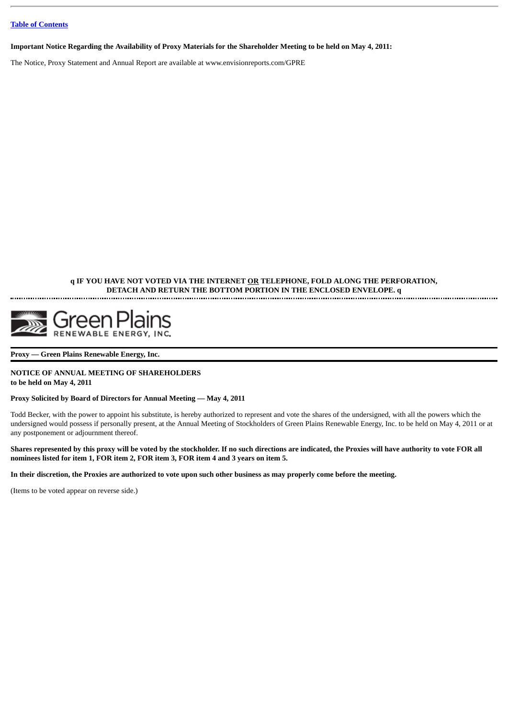**Important Notice Regarding the Availability of Proxy Materials for the Shareholder Meeting to be held on May 4, 2011:**

The Notice, Proxy Statement and Annual Report are available at www.envisionreports.com/GPRE

### **q IF YOU HAVE NOT VOTED VIA THE INTERNET OR TELEPHONE, FOLD ALONG THE PERFORATION, DETACH AND RETURN THE BOTTOM PORTION IN THE ENCLOSED ENVELOPE. q**



#### **Proxy — Green Plains Renewable Energy, Inc.**

### **NOTICE OF ANNUAL MEETING OF SHAREHOLDERS to be held on May 4, 2011**

### **Proxy Solicited by Board of Directors for Annual Meeting — May 4, 2011**

Todd Becker, with the power to appoint his substitute, is hereby authorized to represent and vote the shares of the undersigned, with all the powers which the undersigned would possess if personally present, at the Annual Meeting of Stockholders of Green Plains Renewable Energy, Inc. to be held on May 4, 2011 or at any postponement or adjournment thereof.

**Shares represented by this proxy will be voted by the stockholder. If no such directions are indicated, the Proxies will have authority to vote FOR all nominees listed for item 1, FOR item 2, FOR item 3, FOR item 4 and 3 years on item 5.**

**In their discretion, the Proxies are authorized to vote upon such other business as may properly come before the meeting.**

(Items to be voted appear on reverse side.)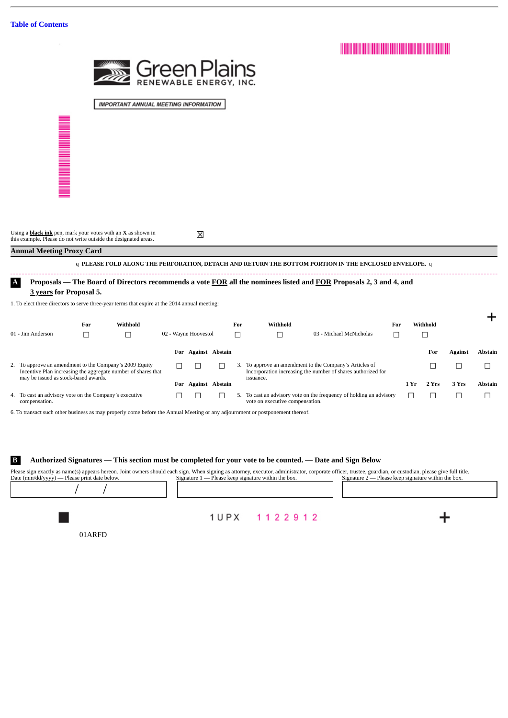

**IMPORTANT ANNUAL MEETING INFORMATION** 

Using a <mark>black ink</mark> pen, mark your votes with an **X** as shown in  $\boxtimes$ 

### **Annual Meeting Proxy Card**

q **PLEASE FOLD ALONG THE PERFORATION, DETACH AND RETURN THE BOTTOM PORTION IN THE ENCLOSED ENVELOPE.** q 

### **A Proposals — The Board of Directors recommends a vote FOR all the nominees listed and FOR Proposals 2, 3 and 4, and**

#### **3 years for Proposal 5.**

1. To elect three directors to serve three-year terms that expire at the 2014 annual meeting:

|                                                                                                                                                                  | For | Withhold |     |                        | For | Withhold                        |                                                                                                                         | For |      | Withhold |                |                |
|------------------------------------------------------------------------------------------------------------------------------------------------------------------|-----|----------|-----|------------------------|-----|---------------------------------|-------------------------------------------------------------------------------------------------------------------------|-----|------|----------|----------------|----------------|
| 01 - Jim Anderson                                                                                                                                                |     |          |     | 02 - Wayne Hoovestol   |     |                                 | 03 - Michael McNicholas                                                                                                 |     |      |          |                |                |
|                                                                                                                                                                  |     |          | For | <b>Against Abstain</b> |     |                                 |                                                                                                                         |     |      | For      | <b>Against</b> | <b>Abstain</b> |
| 2. To approve an amendment to the Company's 2009 Equity<br>Incentive Plan increasing the aggregate number of shares that<br>may be issued as stock-based awards. |     |          |     |                        |     |                                 | 3. To approve an amendment to the Company's Articles of<br>Incorporation increasing the number of shares authorized for |     |      |          |                |                |
|                                                                                                                                                                  |     |          | For | <b>Against Abstain</b> |     | issuance.                       |                                                                                                                         |     | 1 Yr | 2 Yrs    | 3 Yrs          | <b>Abstain</b> |
| 4. To cast an advisory vote on the Company's executive<br>compensation.                                                                                          |     |          |     |                        |     | vote on executive compensation. | 5. To cast an advisory vote on the frequency of holding an advisory                                                     |     |      |          |                |                |

6. To transact such other business as may properly come before the Annual Meeting or any adjournment or postponement thereof.

### **B Authorized Signatures — This section must be completed for your vote to be counted. — Date and Sign Below**

Please sign exactly as name(s) appears hereon. Joint owners should each sign. When signing as attorney, executor, administrator, corporate officer, trustee, guardian, or custodian, please give full title.<br>Date (mm/dd/yyyy) Signature  $1$  — Please keep signature within the box. / /

1UPX 1122912

01ARFD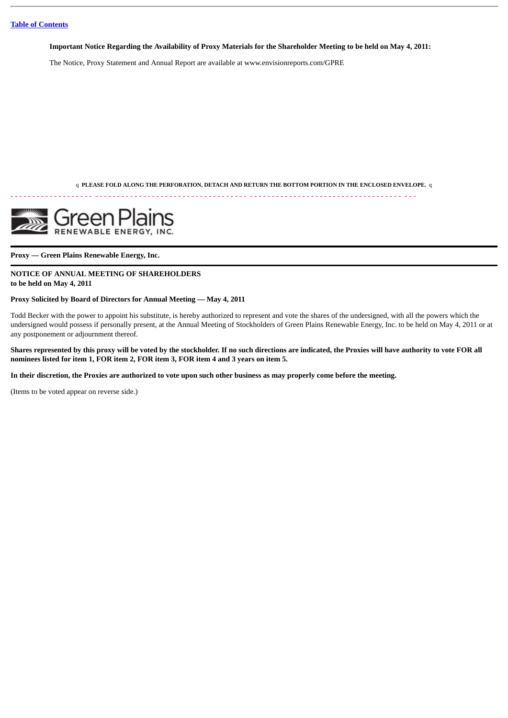**Important Notice Regarding the Availability of Proxy Materials for the Shareholder Meeting to be held on May 4, 2011:**

The Notice, Proxy Statement and Annual Report are available at www.envisionreports.com/GPRE

q **PLEASE FOLD ALONG THE PERFORATION, DETACH AND RETURN THE BOTTOM PORTION IN THE ENCLOSED ENVELOPE.** q

- - - - - - - - - - - - - - - - - - - - - - - - - - - - - - - - - - - - - - - - - - - - - - - - - - - - - - - - - - - - - - - - - - - - - - - - - - - - - - - - - - - - - - - - - - - -



**Proxy — Green Plains Renewable Energy, Inc.**

### **NOTICE OF ANNUAL MEETING OF SHAREHOLDERS to be held on May 4, 2011**

### **Proxy Solicited by Board of Directors for Annual Meeting — May 4, 2011**

Todd Becker with the power to appoint his substitute, is hereby authorized to represent and vote the shares of the undersigned, with all the powers which the undersigned would possess if personally present, at the Annual Meeting of Stockholders of Green Plains Renewable Energy, Inc. to be held on May 4, 2011 or at any postponement or adjournment thereof.

**Shares represented by this proxy will be voted by the stockholder. If no such directions are indicated, the Proxies will have authority to vote FOR all nominees listed for item 1, FOR item 2, FOR item 3, FOR item 4 and 3 years on item 5.**

**In their discretion, the Proxies are authorized to vote upon such other business as may properly come before the meeting.**

(Items to be voted appear on reverse side.)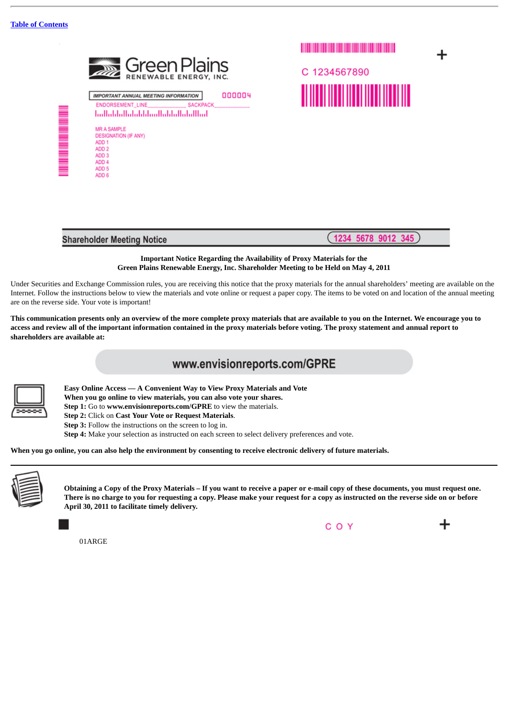

1234567890 **THE REAL PROPERTY** 



1234 5678 9012  $345$ 

### **Important Notice Regarding the Availability of Proxy Materials for the Green Plains Renewable Energy, Inc. Shareholder Meeting to be Held on May 4, 2011**

Under Securities and Exchange Commission rules, you are receiving this notice that the proxy materials for the annual shareholders' meeting are available on the Internet. Follow the instructions below to view the materials and vote online or request a paper copy. The items to be voted on and location of the annual meeting are on the reverse side. Your vote is important!

**This communication presents only an overview of the more complete proxy materials that are available to you on the Internet. We encourage you to access and review all of the important information contained in the proxy materials before voting. The proxy statement and annual report to shareholders are available at:**

# www.envisionreports.com/GPRE



 **Easy Online Access — A Convenient Way to View Proxy Materials and Vote When you go online to view materials, you can also vote your shares.**

**Step 1:** Go to **www.envisionreports.com/GPRE** to view the materials.

**Step 2:** Click on **Cast Your Vote or Request Materials**.

**Step 3:** Follow the instructions on the screen to log in.

**Step 4:** Make your selection as instructed on each screen to select delivery preferences and vote.

**When you go online, you can also help the environment by consenting to receive electronic delivery of future materials.**



**Obtaining a Copy of the Proxy Materials – If you want to receive a paper or e-mail copy of these documents, you must request one. There is no charge to you for requesting a copy. Please make your request for a copy as instructed on the reverse side on or before April 30, 2011 to facilitate timely delivery.**

COY

01ARGE